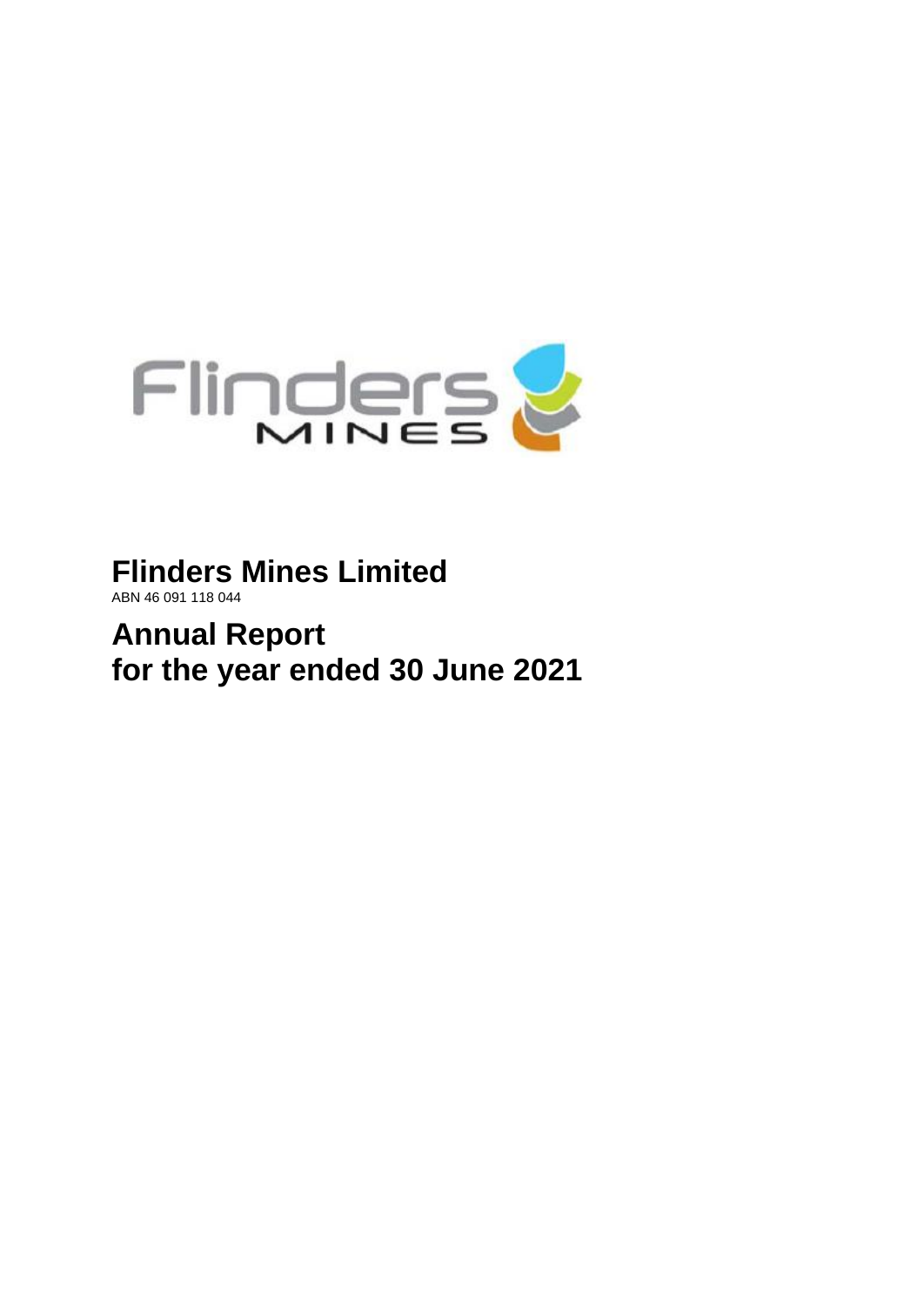

**Flinders Mines Limited** ABN 46 091 118 044

**Annual Report for the year ended 30 June 2021**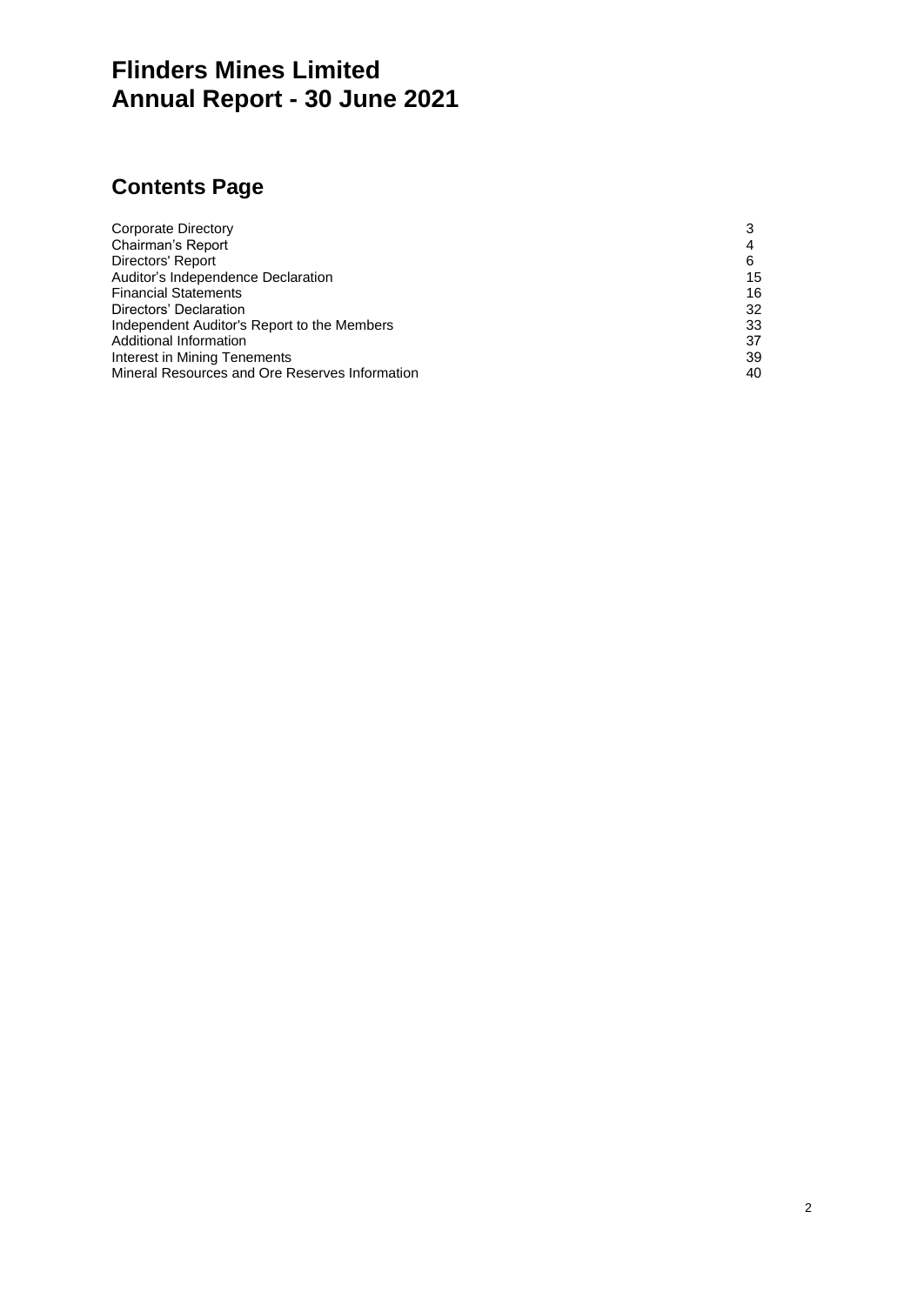# **Flinders Mines Limited Annual Report - 30 June 2021**

# **Contents Page**

| Corporate Directory                            | 3  |
|------------------------------------------------|----|
| Chairman's Report                              | 4  |
| Directors' Report                              | 6  |
| Auditor's Independence Declaration             | 15 |
| <b>Financial Statements</b>                    | 16 |
| Directors' Declaration                         | 32 |
| Independent Auditor's Report to the Members    | 33 |
| Additional Information                         | 37 |
| Interest in Mining Tenements                   | 39 |
| Mineral Resources and Ore Reserves Information | 40 |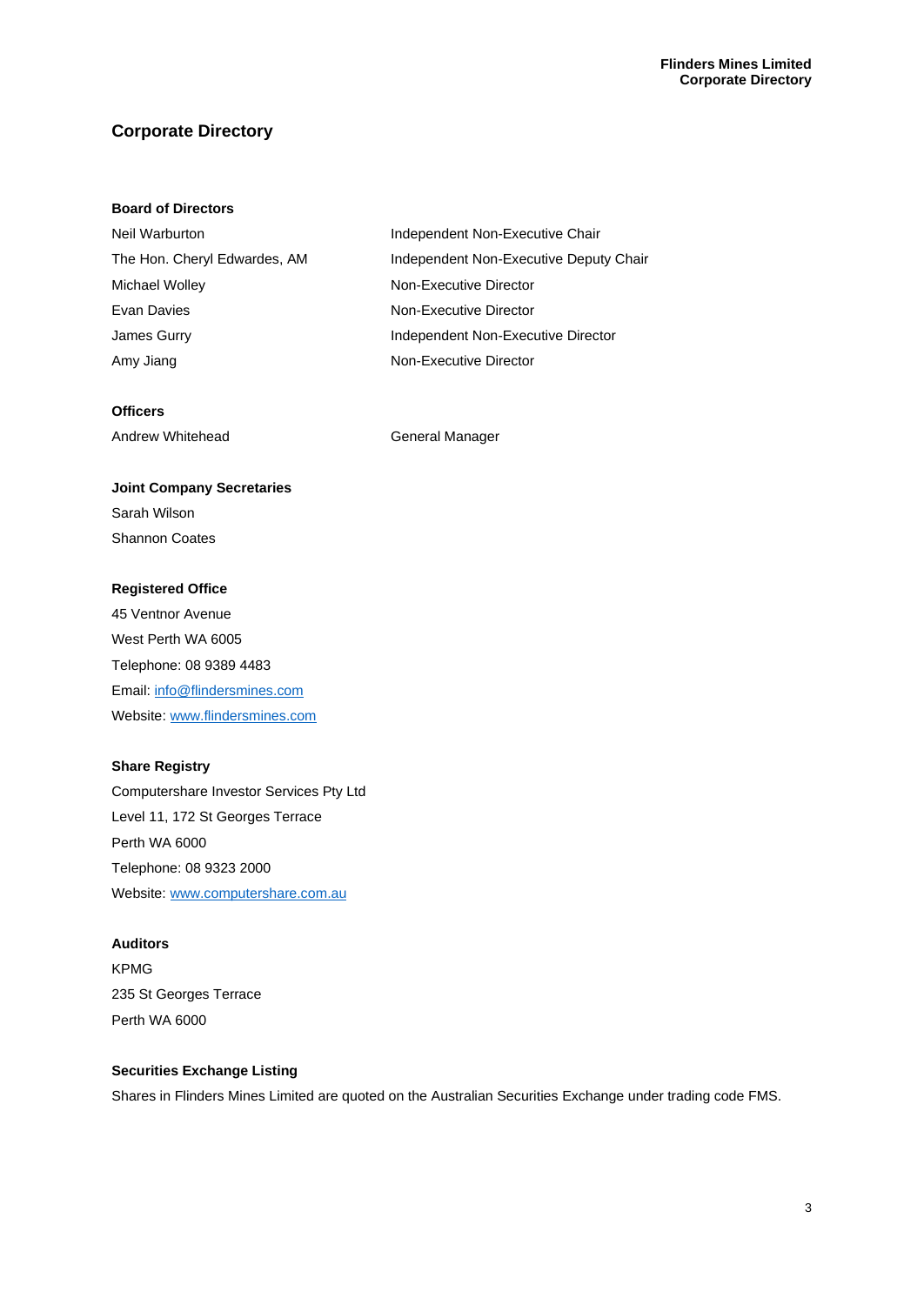# **Corporate Directory**

#### **Board of Directors**

| Neil Warburton               | Independent Non-Executive Chair        |
|------------------------------|----------------------------------------|
| The Hon. Cheryl Edwardes, AM | Independent Non-Executive Deputy Chair |
| Michael Wolley               | Non-Executive Director                 |
| Evan Davies                  | Non-Executive Director                 |
| James Gurry                  | Independent Non-Executive Director     |
| Amy Jiang                    | Non-Executive Director                 |

#### **Officers**

Andrew Whitehead General Manager

# **Joint Company Secretaries**

Sarah Wilson Shannon Coates

### **Registered Office**

45 Ventnor Avenue West Perth WA 6005 Telephone: 08 9389 4483 Email[: info@flindersmines.com](mailto:info@flindersmines.com) Website[: www.flindersmines.com](http://www.flindersmines.com/)

#### **Share Registry**

Computershare Investor Services Pty Ltd Level 11, 172 St Georges Terrace Perth WA 6000 Telephone: 08 9323 2000 Website[: www.computershare.com.au](http://www.computershare.com.au/)

#### **Auditors**

KPMG 235 St Georges Terrace Perth WA 6000

#### **Securities Exchange Listing**

Shares in Flinders Mines Limited are quoted on the Australian Securities Exchange under trading code FMS.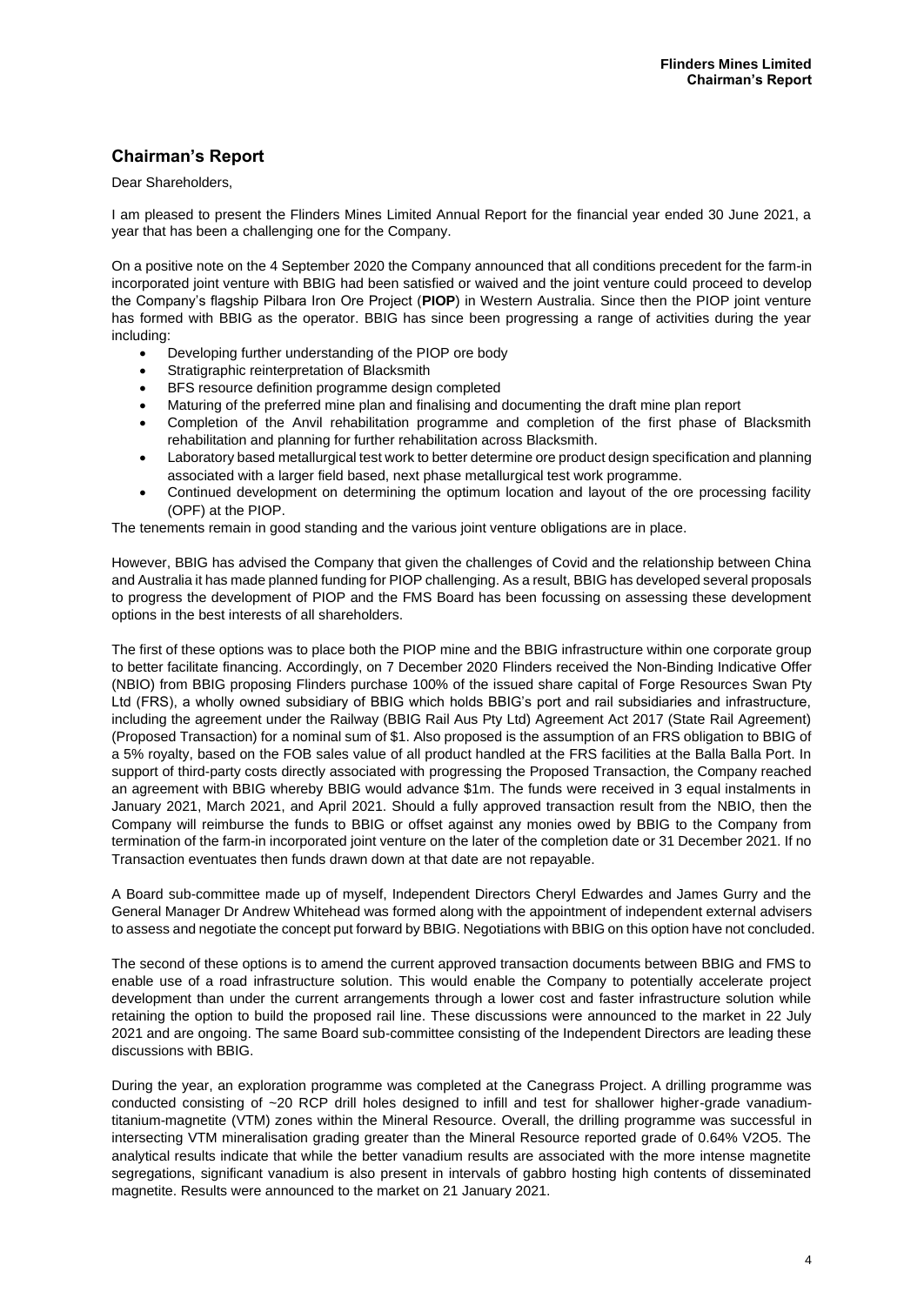# **Chairman's Report**

#### Dear Shareholders,

I am pleased to present the Flinders Mines Limited Annual Report for the financial year ended 30 June 2021, a year that has been a challenging one for the Company.

On a positive note on the 4 September 2020 the Company announced that all conditions precedent for the farm-in incorporated joint venture with BBIG had been satisfied or waived and the joint venture could proceed to develop the Company's flagship Pilbara Iron Ore Project (**PIOP**) in Western Australia. Since then the PIOP joint venture has formed with BBIG as the operator. BBIG has since been progressing a range of activities during the year including:

- Developing further understanding of the PIOP ore body
- Stratigraphic reinterpretation of Blacksmith
- BFS resource definition programme design completed
- Maturing of the preferred mine plan and finalising and documenting the draft mine plan report
- Completion of the Anvil rehabilitation programme and completion of the first phase of Blacksmith rehabilitation and planning for further rehabilitation across Blacksmith.
- Laboratory based metallurgical test work to better determine ore product design specification and planning associated with a larger field based, next phase metallurgical test work programme.
- Continued development on determining the optimum location and layout of the ore processing facility (OPF) at the PIOP.

The tenements remain in good standing and the various joint venture obligations are in place.

However, BBIG has advised the Company that given the challenges of Covid and the relationship between China and Australia it has made planned funding for PIOP challenging. As a result, BBIG has developed several proposals to progress the development of PIOP and the FMS Board has been focussing on assessing these development options in the best interests of all shareholders.

The first of these options was to place both the PIOP mine and the BBIG infrastructure within one corporate group to better facilitate financing. Accordingly, on 7 December 2020 Flinders received the Non-Binding Indicative Offer (NBIO) from BBIG proposing Flinders purchase 100% of the issued share capital of Forge Resources Swan Pty Ltd (FRS), a wholly owned subsidiary of BBIG which holds BBIG's port and rail subsidiaries and infrastructure, including the agreement under the Railway (BBIG Rail Aus Pty Ltd) Agreement Act 2017 (State Rail Agreement) (Proposed Transaction) for a nominal sum of \$1. Also proposed is the assumption of an FRS obligation to BBIG of a 5% royalty, based on the FOB sales value of all product handled at the FRS facilities at the Balla Balla Port. In support of third-party costs directly associated with progressing the Proposed Transaction, the Company reached an agreement with BBIG whereby BBIG would advance \$1m. The funds were received in 3 equal instalments in January 2021, March 2021, and April 2021. Should a fully approved transaction result from the NBIO, then the Company will reimburse the funds to BBIG or offset against any monies owed by BBIG to the Company from termination of the farm-in incorporated joint venture on the later of the completion date or 31 December 2021. If no Transaction eventuates then funds drawn down at that date are not repayable.

A Board sub-committee made up of myself, Independent Directors Cheryl Edwardes and James Gurry and the General Manager Dr Andrew Whitehead was formed along with the appointment of independent external advisers to assess and negotiate the concept put forward by BBIG. Negotiations with BBIG on this option have not concluded.

The second of these options is to amend the current approved transaction documents between BBIG and FMS to enable use of a road infrastructure solution. This would enable the Company to potentially accelerate project development than under the current arrangements through a lower cost and faster infrastructure solution while retaining the option to build the proposed rail line. These discussions were announced to the market in 22 July 2021 and are ongoing. The same Board sub-committee consisting of the Independent Directors are leading these discussions with BBIG.

During the year, an exploration programme was completed at the Canegrass Project. A drilling programme was conducted consisting of ~20 RCP drill holes designed to infill and test for shallower higher-grade vanadiumtitanium-magnetite (VTM) zones within the Mineral Resource. Overall, the drilling programme was successful in intersecting VTM mineralisation grading greater than the Mineral Resource reported grade of 0.64% V2O5. The analytical results indicate that while the better vanadium results are associated with the more intense magnetite segregations, significant vanadium is also present in intervals of gabbro hosting high contents of disseminated magnetite. Results were announced to the market on 21 January 2021.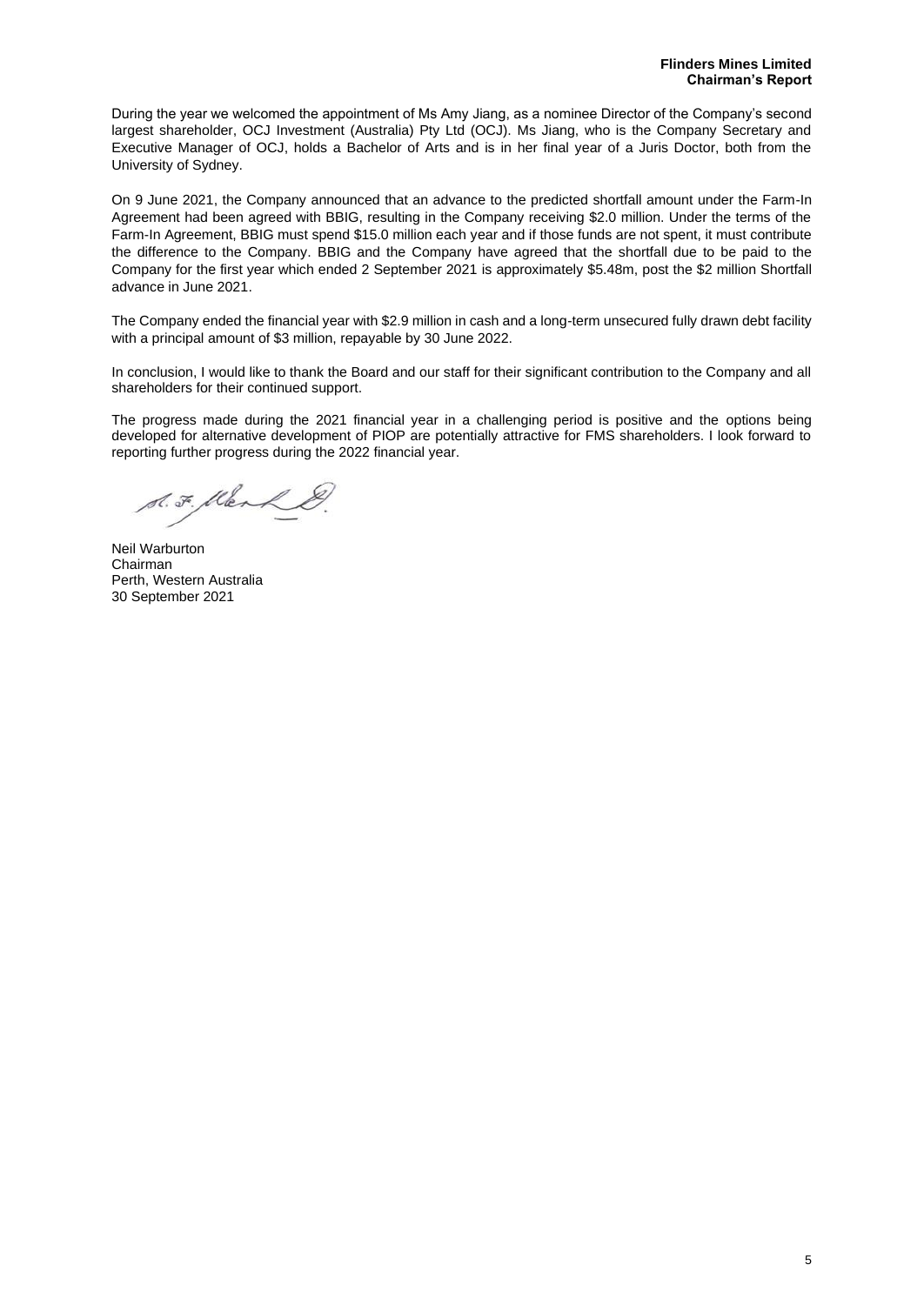During the year we welcomed the appointment of Ms Amy Jiang, as a nominee Director of the Company's second largest shareholder, OCJ Investment (Australia) Pty Ltd (OCJ). Ms Jiang, who is the Company Secretary and Executive Manager of OCJ, holds a Bachelor of Arts and is in her final year of a Juris Doctor, both from the University of Sydney.

On 9 June 2021, the Company announced that an advance to the predicted shortfall amount under the Farm-In Agreement had been agreed with BBIG, resulting in the Company receiving \$2.0 million. Under the terms of the Farm-In Agreement, BBIG must spend \$15.0 million each year and if those funds are not spent, it must contribute the difference to the Company. BBIG and the Company have agreed that the shortfall due to be paid to the Company for the first year which ended 2 September 2021 is approximately \$5.48m, post the \$2 million Shortfall advance in June 2021.

The Company ended the financial year with \$2.9 million in cash and a long-term unsecured fully drawn debt facility with a principal amount of \$3 million, repayable by 30 June 2022.

In conclusion, I would like to thank the Board and our staff for their significant contribution to the Company and all shareholders for their continued support.

The progress made during the 2021 financial year in a challenging period is positive and the options being developed for alternative development of PIOP are potentially attractive for FMS shareholders. I look forward to reporting further progress during the 2022 financial year.

S.F. Klerk

Neil Warburton Chairman Perth, Western Australia 30 September 2021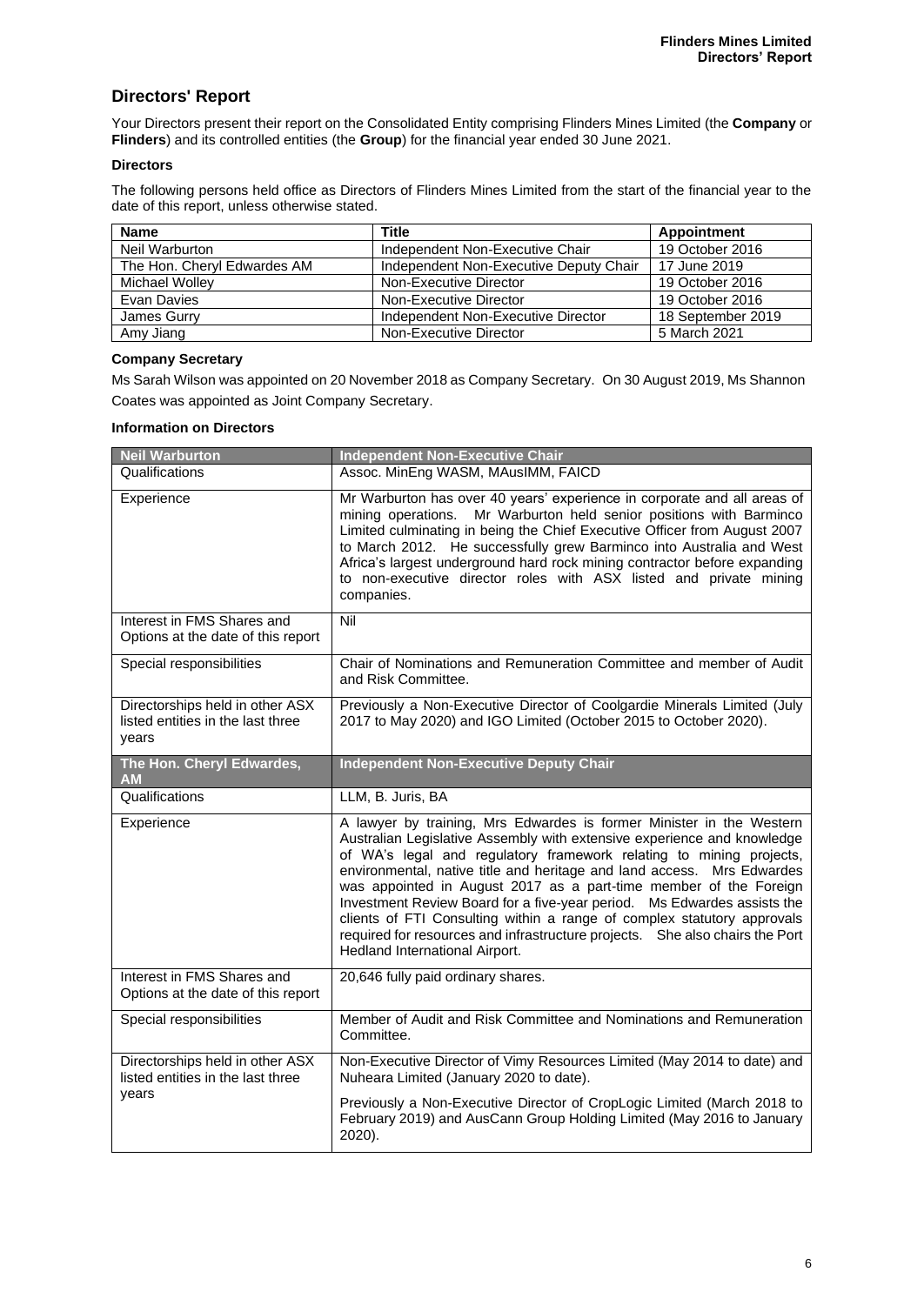# **Directors' Report**

Your Directors present their report on the Consolidated Entity comprising Flinders Mines Limited (the **Company** or **Flinders**) and its controlled entities (the **Group**) for the financial year ended 30 June 2021.

#### **Directors**

The following persons held office as Directors of Flinders Mines Limited from the start of the financial year to the date of this report, unless otherwise stated.

| <b>Name</b>                 | Title                                  | Appointment       |
|-----------------------------|----------------------------------------|-------------------|
| Neil Warburton              | Independent Non-Executive Chair        | 19 October 2016   |
| The Hon. Cheryl Edwardes AM | Independent Non-Executive Deputy Chair | 17 June 2019      |
| Michael Wollev              | Non-Executive Director                 | 19 October 2016   |
| Evan Davies                 | Non-Executive Director                 | 19 October 2016   |
| James Gurry                 | Independent Non-Executive Director     | 18 September 2019 |
| Amy Jiang                   | Non-Executive Director                 | 5 March 2021      |

#### **Company Secretary**

Ms Sarah Wilson was appointed on 20 November 2018 as Company Secretary. On 30 August 2019, Ms Shannon Coates was appointed as Joint Company Secretary.

#### **Information on Directors**

| <b>Neil Warburton</b>                                                         | <b>Independent Non-Executive Chair</b>                                                                                                                                                                                                                                                                                                                                                                                                                                                                                                                                                                                                        |
|-------------------------------------------------------------------------------|-----------------------------------------------------------------------------------------------------------------------------------------------------------------------------------------------------------------------------------------------------------------------------------------------------------------------------------------------------------------------------------------------------------------------------------------------------------------------------------------------------------------------------------------------------------------------------------------------------------------------------------------------|
| Qualifications                                                                | Assoc. MinEng WASM, MAusIMM, FAICD                                                                                                                                                                                                                                                                                                                                                                                                                                                                                                                                                                                                            |
| Experience                                                                    | Mr Warburton has over 40 years' experience in corporate and all areas of<br>mining operations.<br>Mr Warburton held senior positions with Barminco<br>Limited culminating in being the Chief Executive Officer from August 2007<br>to March 2012. He successfully grew Barminco into Australia and West<br>Africa's largest underground hard rock mining contractor before expanding<br>to non-executive director roles with ASX listed and private mining<br>companies.                                                                                                                                                                      |
| Interest in FMS Shares and<br>Options at the date of this report              | Nil                                                                                                                                                                                                                                                                                                                                                                                                                                                                                                                                                                                                                                           |
| Special responsibilities                                                      | Chair of Nominations and Remuneration Committee and member of Audit<br>and Risk Committee.                                                                                                                                                                                                                                                                                                                                                                                                                                                                                                                                                    |
| Directorships held in other ASX<br>listed entities in the last three<br>vears | Previously a Non-Executive Director of Coolgardie Minerals Limited (July<br>2017 to May 2020) and IGO Limited (October 2015 to October 2020).                                                                                                                                                                                                                                                                                                                                                                                                                                                                                                 |
| The Hon. Cheryl Edwardes,<br><b>AM</b>                                        | <b>Independent Non-Executive Deputy Chair</b>                                                                                                                                                                                                                                                                                                                                                                                                                                                                                                                                                                                                 |
| Qualifications                                                                | LLM, B. Juris, BA                                                                                                                                                                                                                                                                                                                                                                                                                                                                                                                                                                                                                             |
| Experience                                                                    | A lawyer by training, Mrs Edwardes is former Minister in the Western<br>Australian Legislative Assembly with extensive experience and knowledge<br>of WA's legal and regulatory framework relating to mining projects,<br>environmental, native title and heritage and land access. Mrs Edwardes<br>was appointed in August 2017 as a part-time member of the Foreign<br>Investment Review Board for a five-year period. Ms Edwardes assists the<br>clients of FTI Consulting within a range of complex statutory approvals<br>required for resources and infrastructure projects. She also chairs the Port<br>Hedland International Airport. |
| Interest in FMS Shares and<br>Options at the date of this report              | 20,646 fully paid ordinary shares.                                                                                                                                                                                                                                                                                                                                                                                                                                                                                                                                                                                                            |
| Special responsibilities                                                      | Member of Audit and Risk Committee and Nominations and Remuneration<br>Committee.                                                                                                                                                                                                                                                                                                                                                                                                                                                                                                                                                             |
| Directorships held in other ASX<br>listed entities in the last three          | Non-Executive Director of Vimy Resources Limited (May 2014 to date) and<br>Nuheara Limited (January 2020 to date).                                                                                                                                                                                                                                                                                                                                                                                                                                                                                                                            |
| years                                                                         | Previously a Non-Executive Director of CropLogic Limited (March 2018 to<br>February 2019) and AusCann Group Holding Limited (May 2016 to January<br>2020).                                                                                                                                                                                                                                                                                                                                                                                                                                                                                    |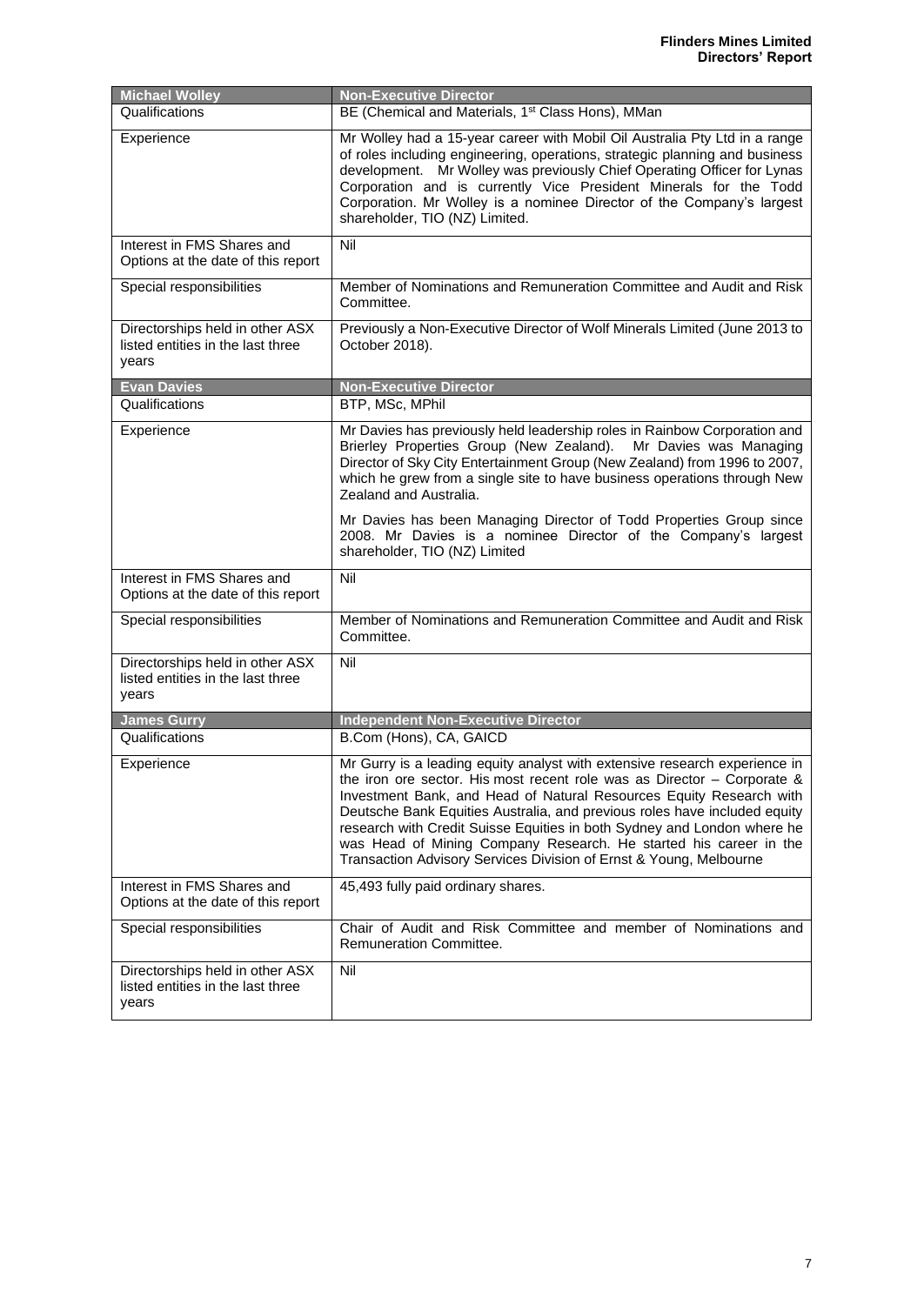| <b>Michael Wolley</b>                                                         | <b>Non-Executive Director</b>                                                                                                                                                                                                                                                                                                                                                                                                                                                                                                     |
|-------------------------------------------------------------------------------|-----------------------------------------------------------------------------------------------------------------------------------------------------------------------------------------------------------------------------------------------------------------------------------------------------------------------------------------------------------------------------------------------------------------------------------------------------------------------------------------------------------------------------------|
| Qualifications                                                                | BE (Chemical and Materials, 1 <sup>st</sup> Class Hons), MMan                                                                                                                                                                                                                                                                                                                                                                                                                                                                     |
| Experience                                                                    | Mr Wolley had a 15-year career with Mobil Oil Australia Pty Ltd in a range<br>of roles including engineering, operations, strategic planning and business<br>development. Mr Wolley was previously Chief Operating Officer for Lynas<br>Corporation and is currently Vice President Minerals for the Todd<br>Corporation. Mr Wolley is a nominee Director of the Company's largest<br>shareholder, TIO (NZ) Limited.                                                                                                              |
| Interest in FMS Shares and<br>Options at the date of this report              | Nil                                                                                                                                                                                                                                                                                                                                                                                                                                                                                                                               |
| Special responsibilities                                                      | Member of Nominations and Remuneration Committee and Audit and Risk<br>Committee.                                                                                                                                                                                                                                                                                                                                                                                                                                                 |
| Directorships held in other ASX<br>listed entities in the last three<br>years | Previously a Non-Executive Director of Wolf Minerals Limited (June 2013 to<br>October 2018).                                                                                                                                                                                                                                                                                                                                                                                                                                      |
| <b>Evan Davies</b>                                                            | <b>Non-Executive Director</b>                                                                                                                                                                                                                                                                                                                                                                                                                                                                                                     |
| Qualifications                                                                | BTP, MSc, MPhil                                                                                                                                                                                                                                                                                                                                                                                                                                                                                                                   |
| Experience                                                                    | Mr Davies has previously held leadership roles in Rainbow Corporation and<br>Brierley Properties Group (New Zealand). Mr Davies was Managing<br>Director of Sky City Entertainment Group (New Zealand) from 1996 to 2007,<br>which he grew from a single site to have business operations through New<br>Zealand and Australia.                                                                                                                                                                                                   |
|                                                                               | Mr Davies has been Managing Director of Todd Properties Group since<br>2008. Mr Davies is a nominee Director of the Company's largest<br>shareholder, TIO (NZ) Limited                                                                                                                                                                                                                                                                                                                                                            |
| Interest in FMS Shares and<br>Options at the date of this report              | Nil                                                                                                                                                                                                                                                                                                                                                                                                                                                                                                                               |
| Special responsibilities                                                      | Member of Nominations and Remuneration Committee and Audit and Risk<br>Committee.                                                                                                                                                                                                                                                                                                                                                                                                                                                 |
| Directorships held in other ASX<br>listed entities in the last three<br>years | Nil                                                                                                                                                                                                                                                                                                                                                                                                                                                                                                                               |
| <b>James Gurry</b>                                                            | <b>Independent Non-Executive Director</b>                                                                                                                                                                                                                                                                                                                                                                                                                                                                                         |
| Qualifications                                                                | B.Com (Hons), CA, GAICD                                                                                                                                                                                                                                                                                                                                                                                                                                                                                                           |
| Experience                                                                    | Mr Gurry is a leading equity analyst with extensive research experience in<br>the iron ore sector. His most recent role was as Director $-$ Corporate &<br>Investment Bank, and Head of Natural Resources Equity Research with<br>Deutsche Bank Equities Australia, and previous roles have included equity<br>research with Credit Suisse Equities in both Sydney and London where he<br>was Head of Mining Company Research. He started his career in the<br>Transaction Advisory Services Division of Ernst & Young, Melbourne |
| Interest in FMS Shares and<br>Options at the date of this report              | 45,493 fully paid ordinary shares.                                                                                                                                                                                                                                                                                                                                                                                                                                                                                                |
| Special responsibilities                                                      | Chair of Audit and Risk Committee and member of Nominations and<br>Remuneration Committee.                                                                                                                                                                                                                                                                                                                                                                                                                                        |
| Directorships held in other ASX<br>listed entities in the last three<br>years | Nil                                                                                                                                                                                                                                                                                                                                                                                                                                                                                                                               |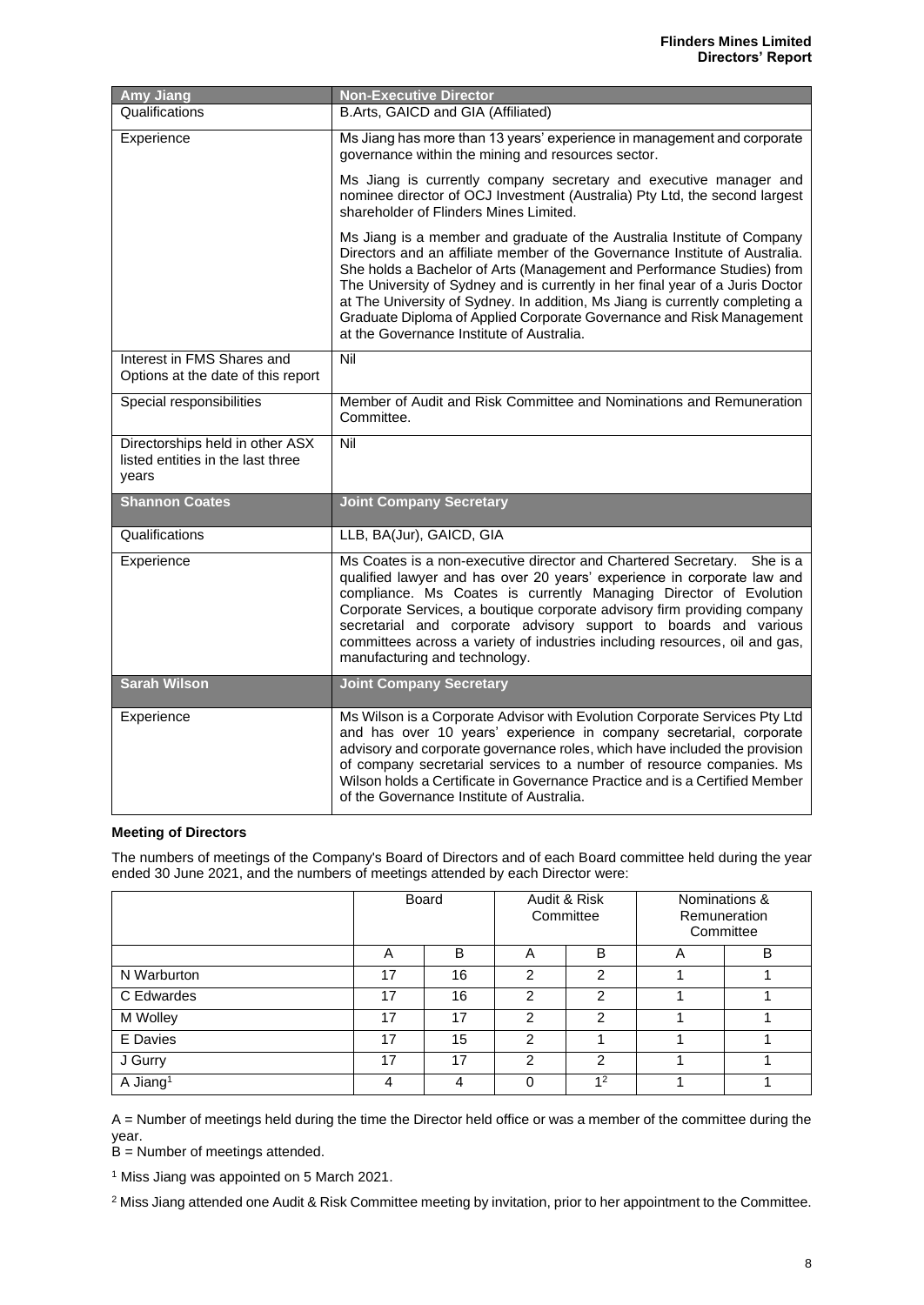| <b>Amy Jiang</b>                                                              | <b>Non-Executive Director</b>                                                                                                                                                                                                                                                                                                                                                                                                                                                                                          |
|-------------------------------------------------------------------------------|------------------------------------------------------------------------------------------------------------------------------------------------------------------------------------------------------------------------------------------------------------------------------------------------------------------------------------------------------------------------------------------------------------------------------------------------------------------------------------------------------------------------|
| Qualifications                                                                | B.Arts, GAICD and GIA (Affiliated)                                                                                                                                                                                                                                                                                                                                                                                                                                                                                     |
| Experience                                                                    | Ms Jiang has more than 13 years' experience in management and corporate<br>governance within the mining and resources sector.                                                                                                                                                                                                                                                                                                                                                                                          |
|                                                                               | Ms Jiang is currently company secretary and executive manager and<br>nominee director of OCJ Investment (Australia) Pty Ltd, the second largest<br>shareholder of Flinders Mines Limited.                                                                                                                                                                                                                                                                                                                              |
|                                                                               | Ms Jiang is a member and graduate of the Australia Institute of Company<br>Directors and an affiliate member of the Governance Institute of Australia.<br>She holds a Bachelor of Arts (Management and Performance Studies) from<br>The University of Sydney and is currently in her final year of a Juris Doctor<br>at The University of Sydney. In addition, Ms Jiang is currently completing a<br>Graduate Diploma of Applied Corporate Governance and Risk Management<br>at the Governance Institute of Australia. |
| Interest in FMS Shares and<br>Options at the date of this report              | Nil                                                                                                                                                                                                                                                                                                                                                                                                                                                                                                                    |
| Special responsibilities                                                      | Member of Audit and Risk Committee and Nominations and Remuneration<br>Committee.                                                                                                                                                                                                                                                                                                                                                                                                                                      |
| Directorships held in other ASX<br>listed entities in the last three<br>vears | Nil                                                                                                                                                                                                                                                                                                                                                                                                                                                                                                                    |
| <b>Shannon Coates</b>                                                         | <b>Joint Company Secretary</b>                                                                                                                                                                                                                                                                                                                                                                                                                                                                                         |
| Qualifications                                                                | LLB, BA(Jur), GAICD, GIA                                                                                                                                                                                                                                                                                                                                                                                                                                                                                               |
| Experience                                                                    | Ms Coates is a non-executive director and Chartered Secretary. She is a<br>qualified lawyer and has over 20 years' experience in corporate law and<br>compliance. Ms Coates is currently Managing Director of Evolution<br>Corporate Services, a boutique corporate advisory firm providing company<br>secretarial and corporate advisory support to boards and various<br>committees across a variety of industries including resources, oil and gas,<br>manufacturing and technology.                                |
| <b>Sarah Wilson</b>                                                           | <b>Joint Company Secretary</b>                                                                                                                                                                                                                                                                                                                                                                                                                                                                                         |
| Experience                                                                    | Ms Wilson is a Corporate Advisor with Evolution Corporate Services Pty Ltd<br>and has over 10 years' experience in company secretarial, corporate<br>advisory and corporate governance roles, which have included the provision<br>of company secretarial services to a number of resource companies. Ms<br>Wilson holds a Certificate in Governance Practice and is a Certified Member<br>of the Governance Institute of Australia.                                                                                   |

#### **Meeting of Directors**

The numbers of meetings of the Company's Board of Directors and of each Board committee held during the year ended 30 June 2021, and the numbers of meetings attended by each Director were:

|                      | <b>Board</b> |    | Audit & Risk<br>Committee |                | Nominations &<br><b>Remuneration</b><br>Committee |   |
|----------------------|--------------|----|---------------------------|----------------|---------------------------------------------------|---|
|                      | A            | B  | A                         | B              | A                                                 | B |
| N Warburton          | 17           | 16 | 2                         | $\mathcal{P}$  |                                                   |   |
| C Edwardes           | 17           | 16 | っ                         | 2              |                                                   |   |
| M Wolley             | 17           | 17 | 2                         | 2              |                                                   |   |
| E Davies             | 17           | 15 | $\mathcal{P}$             |                |                                                   |   |
| J Gurry              | 17           | 17 | $\mathfrak{p}$            | $\mathfrak{p}$ |                                                   |   |
| A Jiang <sup>1</sup> | 4            |    | 0                         | 1 <sup>2</sup> |                                                   |   |

A = Number of meetings held during the time the Director held office or was a member of the committee during the year.

B = Number of meetings attended.

<sup>1</sup> Miss Jiang was appointed on 5 March 2021.

<sup>2</sup> Miss Jiang attended one Audit & Risk Committee meeting by invitation, prior to her appointment to the Committee.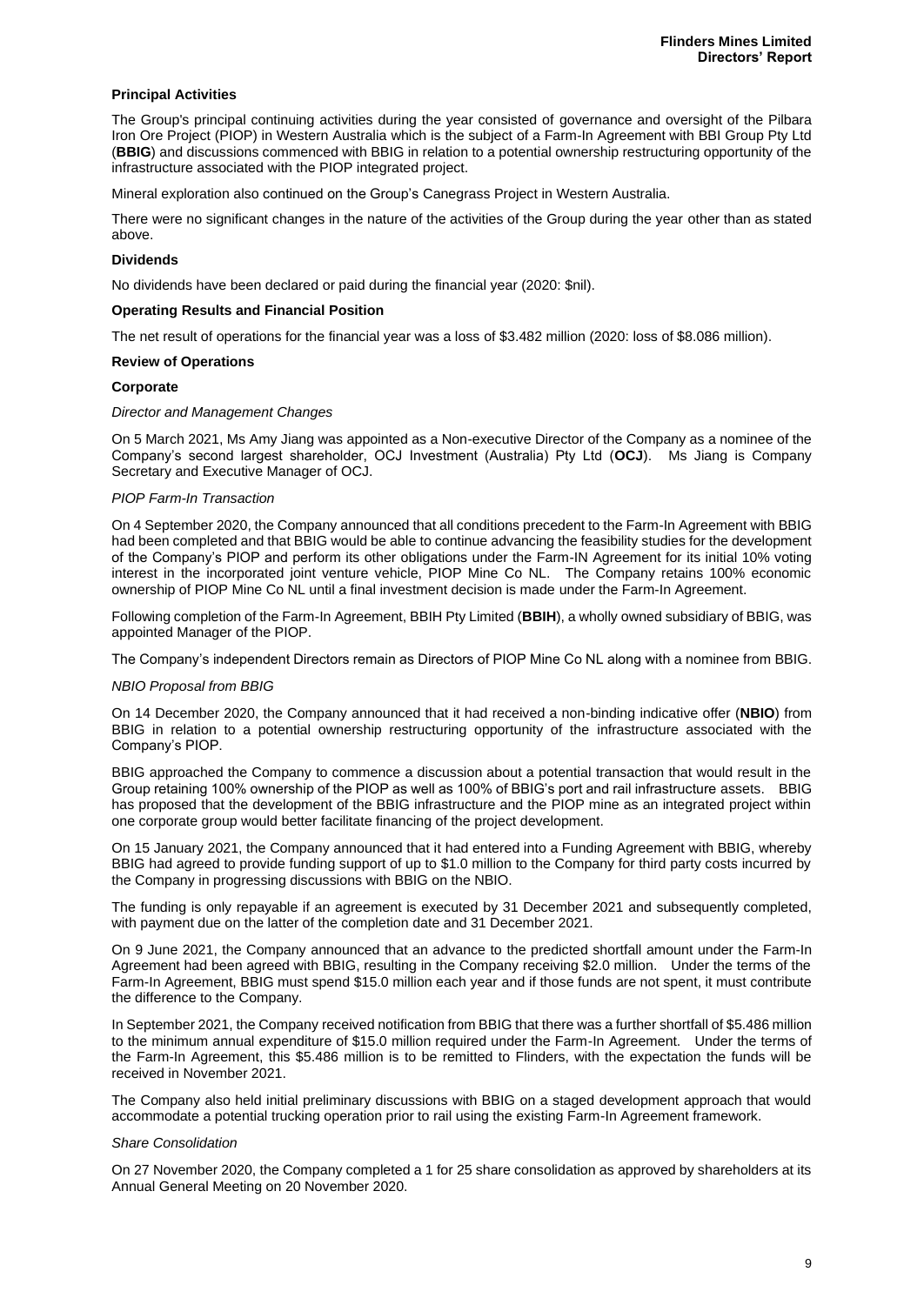#### **Principal Activities**

The Group's principal continuing activities during the year consisted of governance and oversight of the Pilbara Iron Ore Project (PIOP) in Western Australia which is the subject of a Farm-In Agreement with BBI Group Pty Ltd (**BBIG**) and discussions commenced with BBIG in relation to a potential ownership restructuring opportunity of the infrastructure associated with the PIOP integrated project.

Mineral exploration also continued on the Group's Canegrass Project in Western Australia.

There were no significant changes in the nature of the activities of the Group during the year other than as stated above.

#### **Dividends**

No dividends have been declared or paid during the financial year (2020: \$nil).

#### **Operating Results and Financial Position**

The net result of operations for the financial year was a loss of \$3.482 million (2020: loss of \$8.086 million).

#### **Review of Operations**

#### **Corporate**

#### *Director and Management Changes*

On 5 March 2021, Ms Amy Jiang was appointed as a Non-executive Director of the Company as a nominee of the Company's second largest shareholder, OCJ Investment (Australia) Pty Ltd (**OCJ**). Ms Jiang is Company Secretary and Executive Manager of OCJ.

#### *PIOP Farm-In Transaction*

On 4 September 2020, the Company announced that all conditions precedent to the Farm-In Agreement with BBIG had been completed and that BBIG would be able to continue advancing the feasibility studies for the development of the Company's PIOP and perform its other obligations under the Farm-IN Agreement for its initial 10% voting interest in the incorporated joint venture vehicle, PIOP Mine Co NL. The Company retains 100% economic ownership of PIOP Mine Co NL until a final investment decision is made under the Farm-In Agreement.

Following completion of the Farm-In Agreement, BBIH Pty Limited (**BBIH**), a wholly owned subsidiary of BBIG, was appointed Manager of the PIOP.

The Company's independent Directors remain as Directors of PIOP Mine Co NL along with a nominee from BBIG.

#### *NBIO Proposal from BBIG*

On 14 December 2020, the Company announced that it had received a non-binding indicative offer (**NBIO**) from BBIG in relation to a potential ownership restructuring opportunity of the infrastructure associated with the Company's PIOP.

BBIG approached the Company to commence a discussion about a potential transaction that would result in the Group retaining 100% ownership of the PIOP as well as 100% of BBIG's port and rail infrastructure assets. BBIG has proposed that the development of the BBIG infrastructure and the PIOP mine as an integrated project within one corporate group would better facilitate financing of the project development.

On 15 January 2021, the Company announced that it had entered into a Funding Agreement with BBIG, whereby BBIG had agreed to provide funding support of up to \$1.0 million to the Company for third party costs incurred by the Company in progressing discussions with BBIG on the NBIO.

The funding is only repayable if an agreement is executed by 31 December 2021 and subsequently completed, with payment due on the latter of the completion date and 31 December 2021.

On 9 June 2021, the Company announced that an advance to the predicted shortfall amount under the Farm-In Agreement had been agreed with BBIG, resulting in the Company receiving \$2.0 million. Under the terms of the Farm-In Agreement, BBIG must spend \$15.0 million each year and if those funds are not spent, it must contribute the difference to the Company.

In September 2021, the Company received notification from BBIG that there was a further shortfall of \$5.486 million to the minimum annual expenditure of \$15.0 million required under the Farm-In Agreement. Under the terms of the Farm-In Agreement, this \$5.486 million is to be remitted to Flinders, with the expectation the funds will be received in November 2021.

The Company also held initial preliminary discussions with BBIG on a staged development approach that would accommodate a potential trucking operation prior to rail using the existing Farm-In Agreement framework.

#### *Share Consolidation*

On 27 November 2020, the Company completed a 1 for 25 share consolidation as approved by shareholders at its Annual General Meeting on 20 November 2020.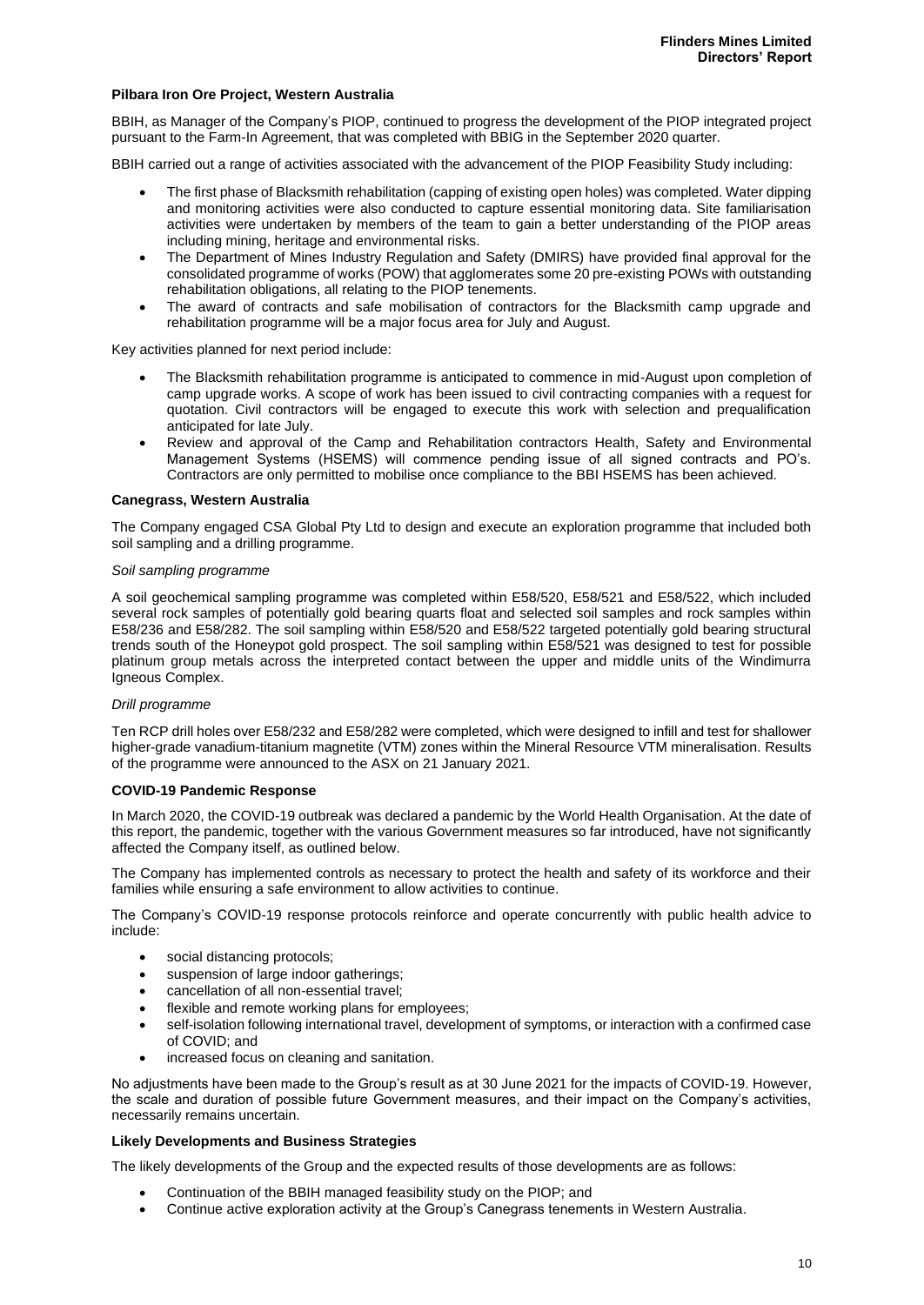#### **Pilbara Iron Ore Project, Western Australia**

BBIH, as Manager of the Company's PIOP, continued to progress the development of the PIOP integrated project pursuant to the Farm-In Agreement, that was completed with BBIG in the September 2020 quarter.

BBIH carried out a range of activities associated with the advancement of the PIOP Feasibility Study including:

- The first phase of Blacksmith rehabilitation (capping of existing open holes) was completed. Water dipping and monitoring activities were also conducted to capture essential monitoring data. Site familiarisation activities were undertaken by members of the team to gain a better understanding of the PIOP areas including mining, heritage and environmental risks.
- The Department of Mines Industry Regulation and Safety (DMIRS) have provided final approval for the consolidated programme of works (POW) that agglomerates some 20 pre-existing POWs with outstanding rehabilitation obligations, all relating to the PIOP tenements.
- The award of contracts and safe mobilisation of contractors for the Blacksmith camp upgrade and rehabilitation programme will be a major focus area for July and August.

Key activities planned for next period include:

- The Blacksmith rehabilitation programme is anticipated to commence in mid-August upon completion of camp upgrade works. A scope of work has been issued to civil contracting companies with a request for quotation. Civil contractors will be engaged to execute this work with selection and prequalification anticipated for late July.
- Review and approval of the Camp and Rehabilitation contractors Health, Safety and Environmental Management Systems (HSEMS) will commence pending issue of all signed contracts and PO's. Contractors are only permitted to mobilise once compliance to the BBI HSEMS has been achieved.

#### **Canegrass, Western Australia**

The Company engaged CSA Global Pty Ltd to design and execute an exploration programme that included both soil sampling and a drilling programme.

#### *Soil sampling programme*

A soil geochemical sampling programme was completed within E58/520, E58/521 and E58/522, which included several rock samples of potentially gold bearing quarts float and selected soil samples and rock samples within E58/236 and E58/282. The soil sampling within E58/520 and E58/522 targeted potentially gold bearing structural trends south of the Honeypot gold prospect. The soil sampling within E58/521 was designed to test for possible platinum group metals across the interpreted contact between the upper and middle units of the Windimurra Igneous Complex.

#### *Drill programme*

Ten RCP drill holes over E58/232 and E58/282 were completed, which were designed to infill and test for shallower higher-grade vanadium-titanium magnetite (VTM) zones within the Mineral Resource VTM mineralisation. Results of the programme were announced to the ASX on 21 January 2021.

#### **COVID-19 Pandemic Response**

In March 2020, the COVID-19 outbreak was declared a pandemic by the World Health Organisation. At the date of this report, the pandemic, together with the various Government measures so far introduced, have not significantly affected the Company itself, as outlined below.

The Company has implemented controls as necessary to protect the health and safety of its workforce and their families while ensuring a safe environment to allow activities to continue.

The Company's COVID-19 response protocols reinforce and operate concurrently with public health advice to include:

- social distancing protocols;
- suspension of large indoor gatherings;
- cancellation of all non-essential travel;
- flexible and remote working plans for employees;
- self-isolation following international travel, development of symptoms, or interaction with a confirmed case of COVID; and
- increased focus on cleaning and sanitation.

No adjustments have been made to the Group's result as at 30 June 2021 for the impacts of COVID-19. However, the scale and duration of possible future Government measures, and their impact on the Company's activities, necessarily remains uncertain.

#### **Likely Developments and Business Strategies**

The likely developments of the Group and the expected results of those developments are as follows:

- Continuation of the BBIH managed feasibility study on the PIOP; and
- Continue active exploration activity at the Group's Canegrass tenements in Western Australia.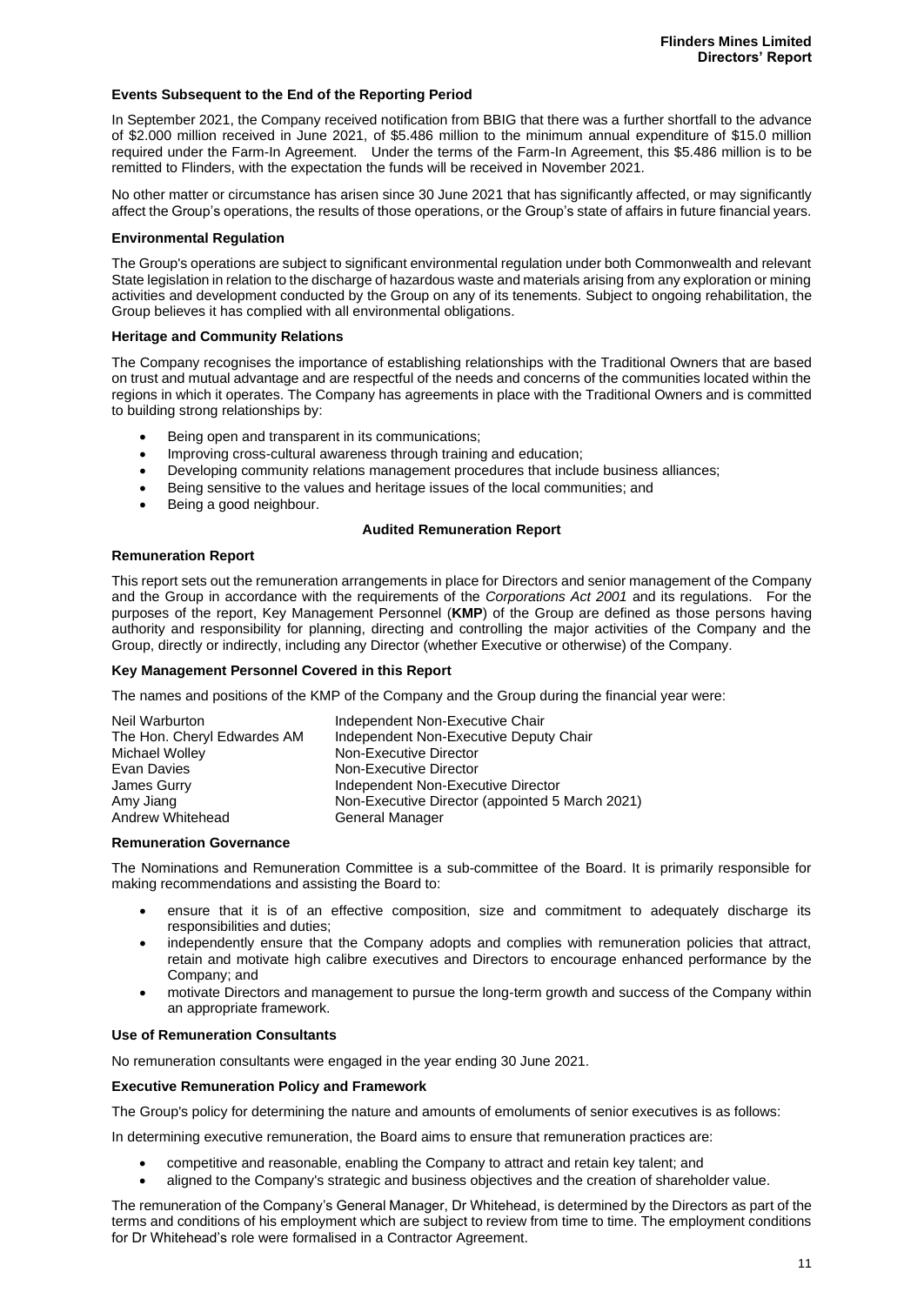#### **Events Subsequent to the End of the Reporting Period**

In September 2021, the Company received notification from BBIG that there was a further shortfall to the advance of \$2.000 million received in June 2021, of \$5.486 million to the minimum annual expenditure of \$15.0 million required under the Farm-In Agreement. Under the terms of the Farm-In Agreement, this \$5.486 million is to be remitted to Flinders, with the expectation the funds will be received in November 2021.

No other matter or circumstance has arisen since 30 June 2021 that has significantly affected, or may significantly affect the Group's operations, the results of those operations, or the Group's state of affairs in future financial years.

#### **Environmental Regulation**

The Group's operations are subject to significant environmental regulation under both Commonwealth and relevant State legislation in relation to the discharge of hazardous waste and materials arising from any exploration or mining activities and development conducted by the Group on any of its tenements. Subject to ongoing rehabilitation, the Group believes it has complied with all environmental obligations.

#### **Heritage and Community Relations**

The Company recognises the importance of establishing relationships with the Traditional Owners that are based on trust and mutual advantage and are respectful of the needs and concerns of the communities located within the regions in which it operates. The Company has agreements in place with the Traditional Owners and is committed to building strong relationships by:

- Being open and transparent in its communications;
- Improving cross-cultural awareness through training and education:
- Developing community relations management procedures that include business alliances;
- Being sensitive to the values and heritage issues of the local communities; and
- Being a good neighbour.

#### **Audited Remuneration Report**

#### **Remuneration Report**

This report sets out the remuneration arrangements in place for Directors and senior management of the Company and the Group in accordance with the requirements of the *Corporations Act 2001* and its regulations. For the purposes of the report, Key Management Personnel (**KMP**) of the Group are defined as those persons having authority and responsibility for planning, directing and controlling the major activities of the Company and the Group, directly or indirectly, including any Director (whether Executive or otherwise) of the Company.

#### **Key Management Personnel Covered in this Report**

The names and positions of the KMP of the Company and the Group during the financial year were:

| Independent Non-Executive Chair                 |
|-------------------------------------------------|
| Independent Non-Executive Deputy Chair          |
| Non-Executive Director                          |
| Non-Executive Director                          |
| Independent Non-Executive Director              |
| Non-Executive Director (appointed 5 March 2021) |
| General Manager                                 |
|                                                 |

#### **Remuneration Governance**

The Nominations and Remuneration Committee is a sub-committee of the Board. It is primarily responsible for making recommendations and assisting the Board to:

- ensure that it is of an effective composition, size and commitment to adequately discharge its responsibilities and duties;
- independently ensure that the Company adopts and complies with remuneration policies that attract, retain and motivate high calibre executives and Directors to encourage enhanced performance by the Company; and
- motivate Directors and management to pursue the long-term growth and success of the Company within an appropriate framework.

#### **Use of Remuneration Consultants**

No remuneration consultants were engaged in the year ending 30 June 2021.

#### **Executive Remuneration Policy and Framework**

The Group's policy for determining the nature and amounts of emoluments of senior executives is as follows:

In determining executive remuneration, the Board aims to ensure that remuneration practices are:

- competitive and reasonable, enabling the Company to attract and retain key talent; and
- aligned to the Company's strategic and business objectives and the creation of shareholder value.

The remuneration of the Company's General Manager, Dr Whitehead, is determined by the Directors as part of the terms and conditions of his employment which are subject to review from time to time. The employment conditions for Dr Whitehead's role were formalised in a Contractor Agreement.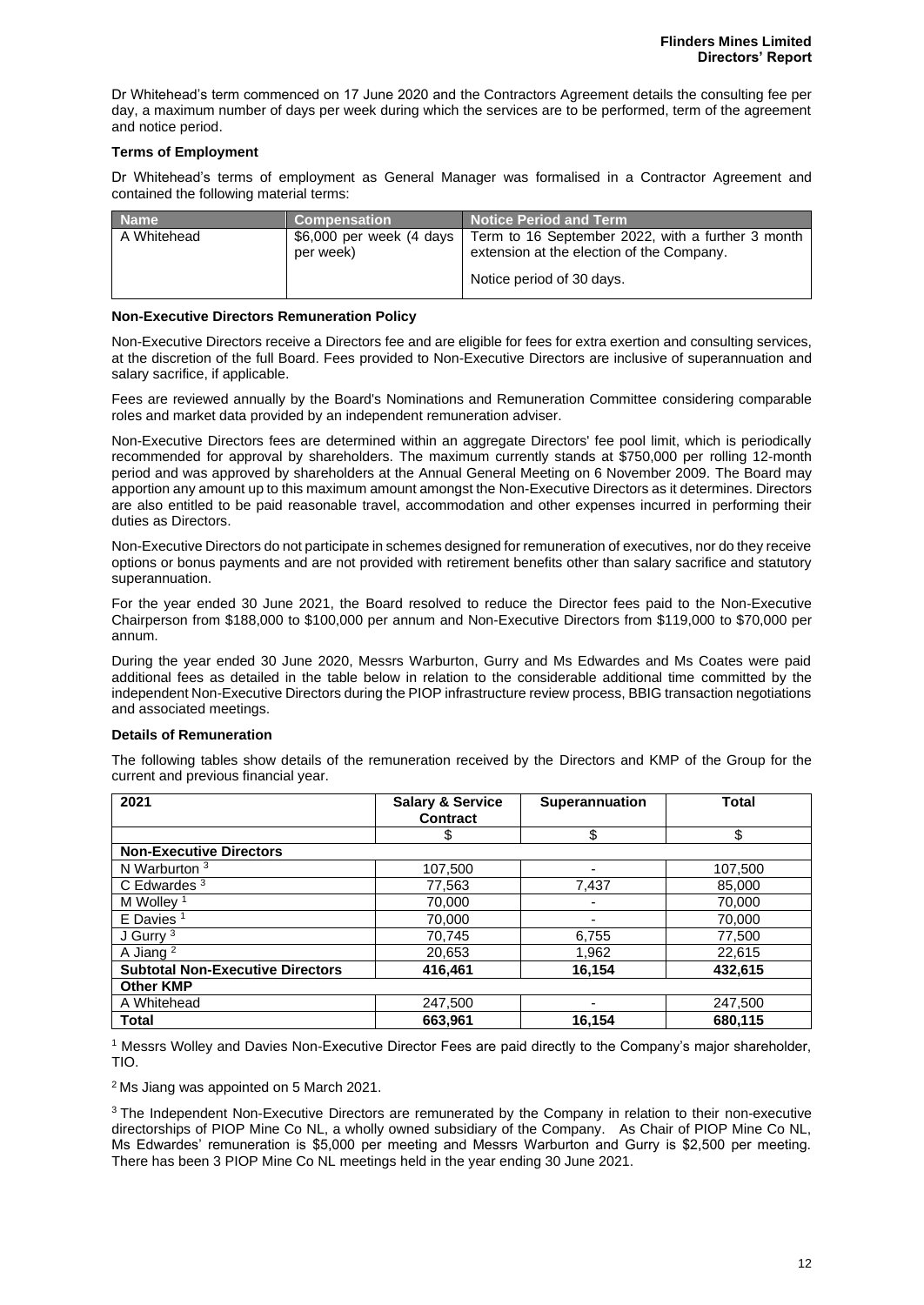Dr Whitehead's term commenced on 17 June 2020 and the Contractors Agreement details the consulting fee per day, a maximum number of days per week during which the services are to be performed, term of the agreement and notice period.

#### **Terms of Employment**

Dr Whitehead's terms of employment as General Manager was formalised in a Contractor Agreement and contained the following material terms:

| <b>Name</b> | <b>Compensation</b> | Notice Period and Term                                                                                                                                 |
|-------------|---------------------|--------------------------------------------------------------------------------------------------------------------------------------------------------|
| A Whitehead | per week)           | \$6,000 per week (4 days   Term to 16 September 2022, with a further 3 month<br>extension at the election of the Company.<br>Notice period of 30 days. |

#### **Non-Executive Directors Remuneration Policy**

Non-Executive Directors receive a Directors fee and are eligible for fees for extra exertion and consulting services, at the discretion of the full Board. Fees provided to Non-Executive Directors are inclusive of superannuation and salary sacrifice, if applicable.

Fees are reviewed annually by the Board's Nominations and Remuneration Committee considering comparable roles and market data provided by an independent remuneration adviser.

Non-Executive Directors fees are determined within an aggregate Directors' fee pool limit, which is periodically recommended for approval by shareholders. The maximum currently stands at \$750,000 per rolling 12-month period and was approved by shareholders at the Annual General Meeting on 6 November 2009. The Board may apportion any amount up to this maximum amount amongst the Non-Executive Directors as it determines. Directors are also entitled to be paid reasonable travel, accommodation and other expenses incurred in performing their duties as Directors.

Non-Executive Directors do not participate in schemes designed for remuneration of executives, nor do they receive options or bonus payments and are not provided with retirement benefits other than salary sacrifice and statutory superannuation.

For the year ended 30 June 2021, the Board resolved to reduce the Director fees paid to the Non-Executive Chairperson from \$188,000 to \$100,000 per annum and Non-Executive Directors from \$119,000 to \$70,000 per annum.

During the year ended 30 June 2020, Messrs Warburton, Gurry and Ms Edwardes and Ms Coates were paid additional fees as detailed in the table below in relation to the considerable additional time committed by the independent Non-Executive Directors during the PIOP infrastructure review process, BBIG transaction negotiations and associated meetings.

#### **Details of Remuneration**

The following tables show details of the remuneration received by the Directors and KMP of the Group for the current and previous financial year.

| 2021                                    | <b>Salary &amp; Service</b><br><b>Contract</b> | <b>Superannuation</b>    | <b>Total</b> |  |
|-----------------------------------------|------------------------------------------------|--------------------------|--------------|--|
|                                         | \$                                             | \$                       | \$           |  |
| <b>Non-Executive Directors</b>          |                                                |                          |              |  |
| N Warburton $3$                         | 107,500                                        | -                        | 107,500      |  |
| C Edwardes $3$                          | 77,563                                         | 7,437                    | 85,000       |  |
| M Wollev <sup>1</sup>                   | 70,000                                         |                          | 70,000       |  |
| $E$ Davies <sup>1</sup>                 | 70,000                                         | $\overline{\phantom{0}}$ | 70,000       |  |
| J Gurry <sup>3</sup>                    | 70.745                                         | 6,755                    | 77,500       |  |
| A Jiang <sup>2</sup>                    | 20,653                                         | 1,962                    | 22,615       |  |
| <b>Subtotal Non-Executive Directors</b> | 416,461                                        | 16,154                   | 432,615      |  |
| <b>Other KMP</b>                        |                                                |                          |              |  |
| A Whitehead                             | 247,500                                        |                          | 247,500      |  |
| <b>Total</b>                            | 663.961                                        | 16.154                   | 680,115      |  |

<sup>1</sup> Messrs Wolley and Davies Non-Executive Director Fees are paid directly to the Company's major shareholder, TIO.

<sup>2</sup>Ms Jiang was appointed on 5 March 2021.

<sup>3</sup>The Independent Non-Executive Directors are remunerated by the Company in relation to their non-executive directorships of PIOP Mine Co NL, a wholly owned subsidiary of the Company. As Chair of PIOP Mine Co NL, Ms Edwardes' remuneration is \$5,000 per meeting and Messrs Warburton and Gurry is \$2,500 per meeting. There has been 3 PIOP Mine Co NL meetings held in the year ending 30 June 2021.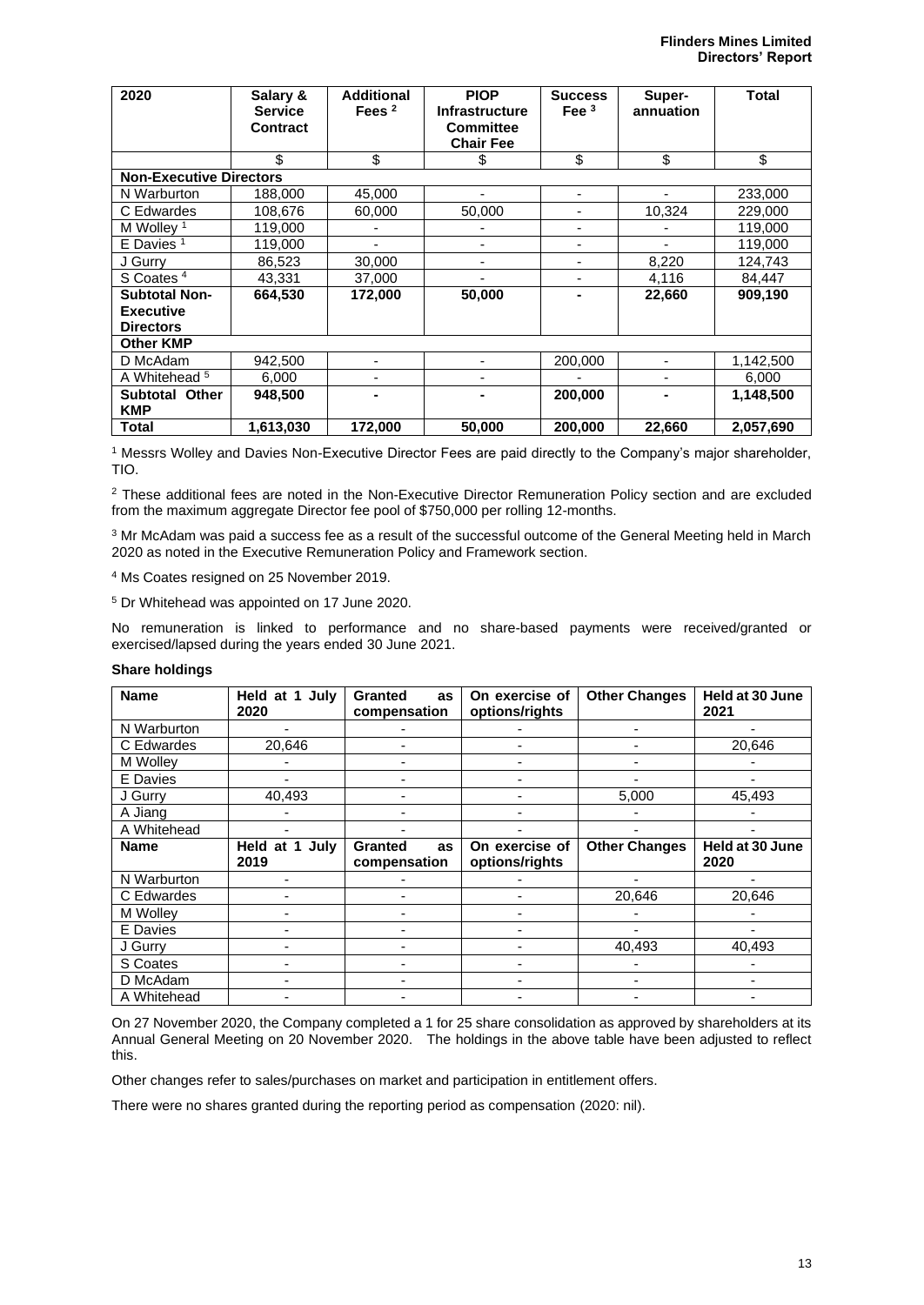| 2020                                                         | Salary &<br><b>Service</b><br>Contract | <b>Additional</b><br>Fees $2$ | <b>PIOP</b><br><b>Infrastructure</b><br><b>Committee</b><br><b>Chair Fee</b> | <b>Success</b><br>Fee $3$ | Super-<br>annuation | Total     |
|--------------------------------------------------------------|----------------------------------------|-------------------------------|------------------------------------------------------------------------------|---------------------------|---------------------|-----------|
|                                                              | \$                                     | \$                            | \$                                                                           | \$                        | \$                  | \$        |
| <b>Non-Executive Directors</b>                               |                                        |                               |                                                                              |                           |                     |           |
| N Warburton                                                  | 188,000                                | 45,000                        |                                                                              | ۰                         |                     | 233,000   |
| C Edwardes                                                   | 108,676                                | 60,000                        | 50,000                                                                       | ۰                         | 10,324              | 229,000   |
| M Wollev <sup>1</sup>                                        | 119.000                                | -                             |                                                                              | $\blacksquare$            |                     | 119,000   |
| $E$ Davies $1$                                               | 119,000                                | ۰                             | -                                                                            | ۰                         |                     | 119,000   |
| J Gurry                                                      | 86,523                                 | 30,000                        |                                                                              |                           | 8,220               | 124,743   |
| S Coates <sup>4</sup>                                        | 43,331                                 | 37,000                        |                                                                              | -                         | 4,116               | 84,447    |
| <b>Subtotal Non-</b><br><b>Executive</b><br><b>Directors</b> | 664,530                                | 172,000                       | 50,000                                                                       | $\blacksquare$            | 22,660              | 909,190   |
| <b>Other KMP</b>                                             |                                        |                               |                                                                              |                           |                     |           |
| D McAdam                                                     | 942,500                                | ٠                             |                                                                              | 200,000                   | ٠                   | 1,142,500 |
| A Whitehead <sup>5</sup>                                     | 6,000                                  | ٠                             |                                                                              |                           |                     | 6,000     |
| <b>Subtotal Other</b><br><b>KMP</b>                          | 948,500                                |                               |                                                                              | 200,000                   |                     | 1,148,500 |
| <b>Total</b>                                                 | 1,613,030                              | 172,000                       | 50,000                                                                       | 200,000                   | 22,660              | 2,057,690 |

<sup>1</sup> Messrs Wolley and Davies Non-Executive Director Fees are paid directly to the Company's major shareholder, TIO.

<sup>2</sup> These additional fees are noted in the Non-Executive Director Remuneration Policy section and are excluded from the maximum aggregate Director fee pool of \$750,000 per rolling 12-months.

<sup>3</sup> Mr McAdam was paid a success fee as a result of the successful outcome of the General Meeting held in March 2020 as noted in the Executive Remuneration Policy and Framework section.

<sup>4</sup> Ms Coates resigned on 25 November 2019.

<sup>5</sup> Dr Whitehead was appointed on 17 June 2020.

No remuneration is linked to performance and no share-based payments were received/granted or exercised/lapsed during the years ended 30 June 2021.

#### **Share holdings**

| <b>Name</b> | Held at 1 July<br>2020    | <b>Granted</b><br>as<br>compensation | On exercise of<br>options/rights | <b>Other Changes</b> | Held at 30 June<br>2021 |
|-------------|---------------------------|--------------------------------------|----------------------------------|----------------------|-------------------------|
| N Warburton |                           |                                      |                                  |                      |                         |
| C Edwardes  | 20,646                    |                                      |                                  |                      | 20,646                  |
| M Wolley    |                           |                                      |                                  |                      |                         |
| E Davies    |                           |                                      |                                  |                      |                         |
| J Gurry     | 40,493                    |                                      |                                  | 5,000                | 45.493                  |
| A Jiang     |                           |                                      |                                  |                      |                         |
| A Whitehead |                           |                                      |                                  |                      |                         |
| <b>Name</b> | Held at 1<br>July<br>2019 | <b>Granted</b><br>as<br>compensation | On exercise of<br>options/rights | <b>Other Changes</b> | Held at 30 June<br>2020 |
| N Warburton |                           |                                      |                                  |                      |                         |
| C Edwardes  |                           |                                      |                                  | 20,646               | 20,646                  |
| M Wolley    |                           |                                      |                                  |                      |                         |
| E Davies    |                           |                                      |                                  |                      |                         |
| J Gurry     |                           |                                      |                                  | 40,493               | 40,493                  |
| S Coates    |                           |                                      |                                  |                      |                         |
| D McAdam    |                           |                                      |                                  |                      |                         |
| A Whitehead |                           |                                      |                                  |                      |                         |

On 27 November 2020, the Company completed a 1 for 25 share consolidation as approved by shareholders at its Annual General Meeting on 20 November 2020. The holdings in the above table have been adjusted to reflect this.

Other changes refer to sales/purchases on market and participation in entitlement offers.

There were no shares granted during the reporting period as compensation (2020: nil).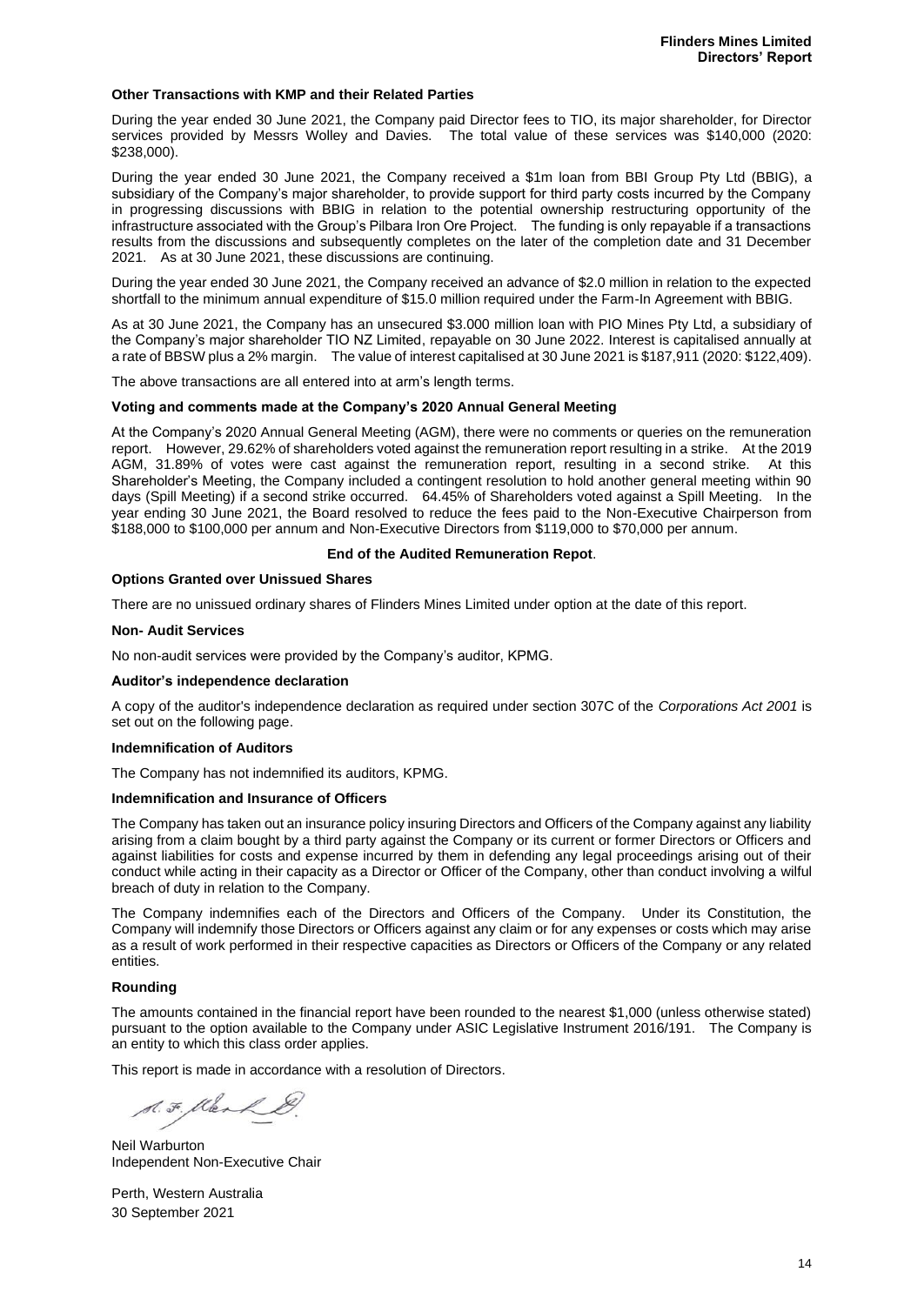#### **Other Transactions with KMP and their Related Parties**

During the year ended 30 June 2021, the Company paid Director fees to TIO, its major shareholder, for Director services provided by Messrs Wolley and Davies. The total value of these services was \$140,000 (2020: \$238,000).

During the year ended 30 June 2021, the Company received a \$1m loan from BBI Group Pty Ltd (BBIG), a subsidiary of the Company's major shareholder, to provide support for third party costs incurred by the Company in progressing discussions with BBIG in relation to the potential ownership restructuring opportunity of the infrastructure associated with the Group's Pilbara Iron Ore Project. The funding is only repayable if a transactions results from the discussions and subsequently completes on the later of the completion date and 31 December 2021. As at 30 June 2021, these discussions are continuing.

During the year ended 30 June 2021, the Company received an advance of \$2.0 million in relation to the expected shortfall to the minimum annual expenditure of \$15.0 million required under the Farm-In Agreement with BBIG.

As at 30 June 2021, the Company has an unsecured \$3.000 million loan with PIO Mines Pty Ltd, a subsidiary of the Company's major shareholder TIO NZ Limited, repayable on 30 June 2022. Interest is capitalised annually at a rate of BBSW plus a 2% margin. The value of interest capitalised at 30 June 2021 is \$187,911 (2020: \$122,409).

The above transactions are all entered into at arm's length terms.

#### **Voting and comments made at the Company's 2020 Annual General Meeting**

At the Company's 2020 Annual General Meeting (AGM), there were no comments or queries on the remuneration report. However, 29.62% of shareholders voted against the remuneration report resulting in a strike. At the 2019 AGM, 31.89% of votes were cast against the remuneration report, resulting in a second strike. At this Shareholder's Meeting, the Company included a contingent resolution to hold another general meeting within 90 days (Spill Meeting) if a second strike occurred. 64.45% of Shareholders voted against a Spill Meeting. In the year ending 30 June 2021, the Board resolved to reduce the fees paid to the Non-Executive Chairperson from \$188,000 to \$100,000 per annum and Non-Executive Directors from \$119,000 to \$70,000 per annum.

#### **End of the Audited Remuneration Repot**.

#### **Options Granted over Unissued Shares**

There are no unissued ordinary shares of Flinders Mines Limited under option at the date of this report.

#### **Non- Audit Services**

No non-audit services were provided by the Company's auditor, KPMG.

#### **Auditor's independence declaration**

A copy of the auditor's independence declaration as required under section 307C of the *Corporations Act 2001* is set out on the following page.

#### **Indemnification of Auditors**

The Company has not indemnified its auditors, KPMG.

#### **Indemnification and Insurance of Officers**

The Company has taken out an insurance policy insuring Directors and Officers of the Company against any liability arising from a claim bought by a third party against the Company or its current or former Directors or Officers and against liabilities for costs and expense incurred by them in defending any legal proceedings arising out of their conduct while acting in their capacity as a Director or Officer of the Company, other than conduct involving a wilful breach of duty in relation to the Company.

The Company indemnifies each of the Directors and Officers of the Company. Under its Constitution, the Company will indemnify those Directors or Officers against any claim or for any expenses or costs which may arise as a result of work performed in their respective capacities as Directors or Officers of the Company or any related entities.

#### **Rounding**

The amounts contained in the financial report have been rounded to the nearest \$1,000 (unless otherwise stated) pursuant to the option available to the Company under ASIC Legislative Instrument 2016/191. The Company is an entity to which this class order applies.

This report is made in accordance with a resolution of Directors.

S. F. Klerk

Neil Warburton Independent Non-Executive Chair

Perth, Western Australia 30 September 2021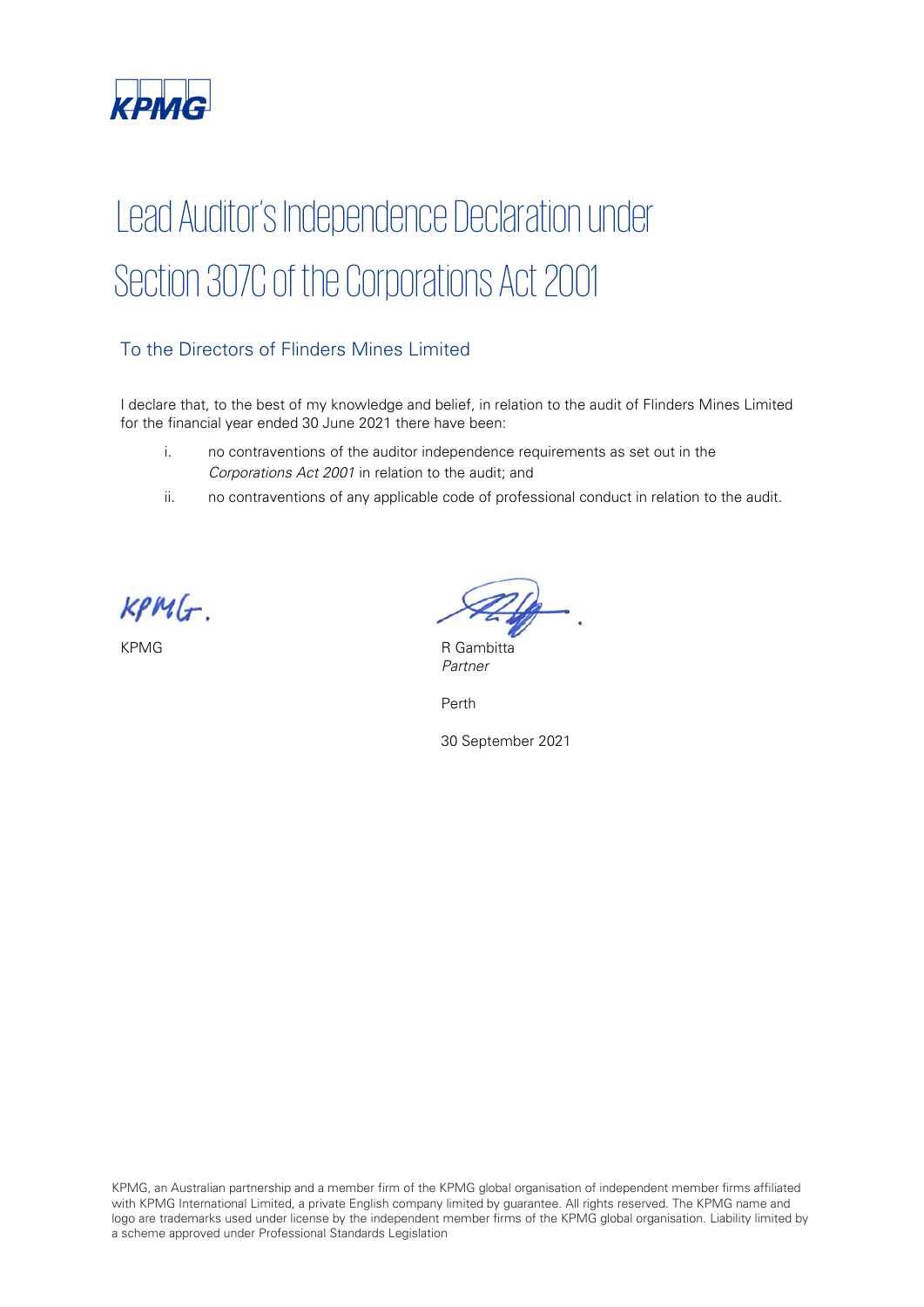

# Lead Auditor's Independence Declaration under Section 307C of the Corporations Act 2001

# To the Directors of Flinders Mines Limited

I declare that, to the best of my knowledge and belief, in relation to the audit of Flinders Mines Limited for the financial year ended 30 June 2021 there have been:

- i. no contraventions of the auditor independence requirements as set out in the Corporations Act 2001 in relation to the audit; and
- ii. no contraventions of any applicable code of professional conduct in relation to the audit.

 $KPMG$ .

KPMG R Gambitta Partner

Perth

30 September 2021

KPMG, an Australian partnership and a member firm of the KPMG global organisation of independent member firms affiliated with KPMG International Limited, a private English company limited by guarantee. All rights reserved. The KPMG name and logo are trademarks used under license by the independent member firms of the KPMG global organisation. Liability limited by a scheme approved under Professional Standards Legislation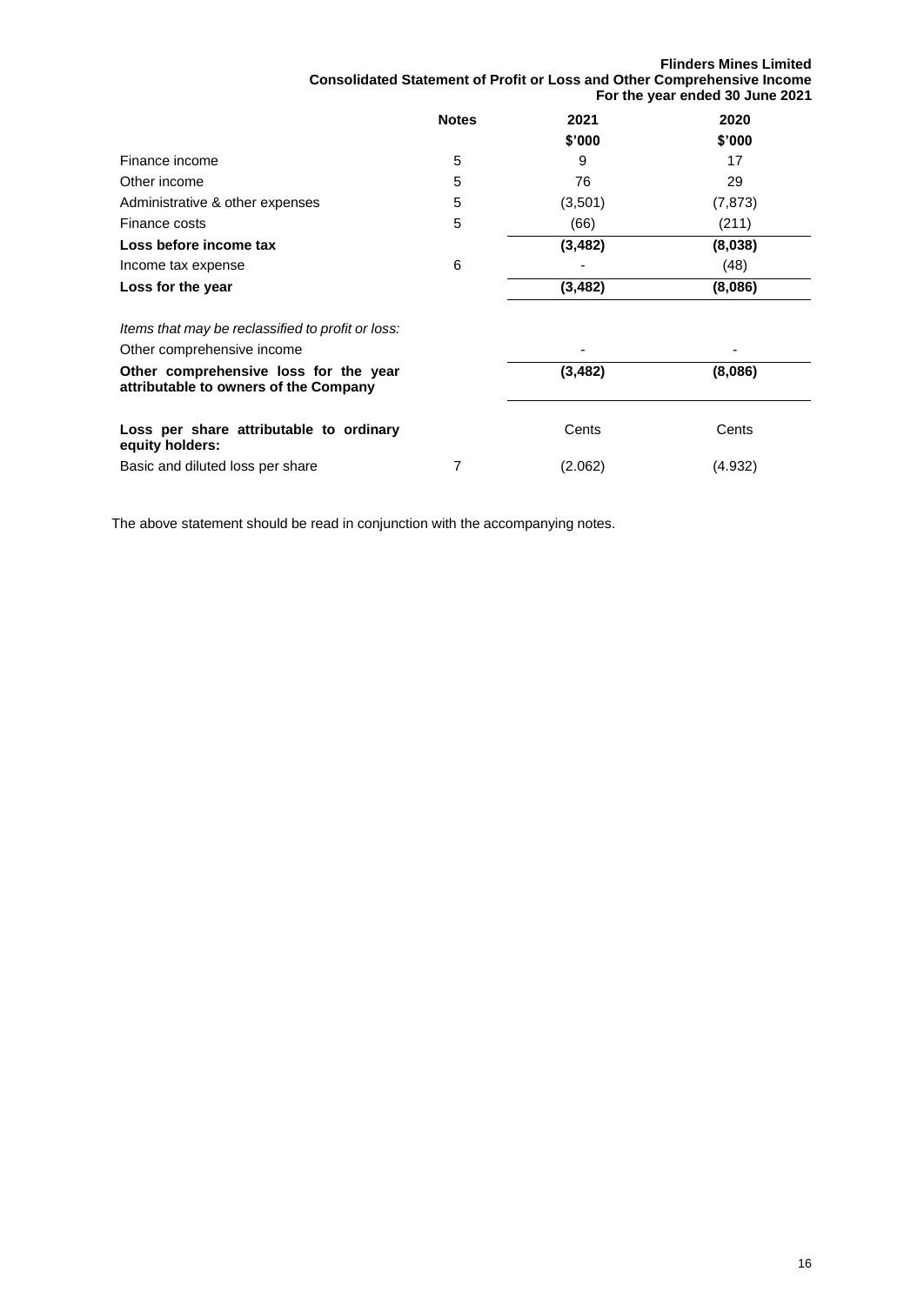**Flinders Mines Limited Consolidated Statement of Profit or Loss and Other Comprehensive Income For the year ended 30 June 2021**

|                                                                                 | <b>Notes</b> | 2021<br>\$'000 | 2020<br>\$'000 |
|---------------------------------------------------------------------------------|--------------|----------------|----------------|
| Finance income                                                                  | 5            | 9              | 17             |
| Other income                                                                    | 5            | 76             | 29             |
| Administrative & other expenses                                                 | 5            | (3,501)        | (7, 873)       |
| Finance costs                                                                   | 5            | (66)           | (211)          |
| Loss before income tax                                                          |              | (3, 482)       | (8,038)        |
| Income tax expense                                                              | 6            |                | (48)           |
| Loss for the year                                                               |              | (3, 482)       | (8,086)        |
| Items that may be reclassified to profit or loss:<br>Other comprehensive income |              |                |                |
| Other comprehensive loss for the year<br>attributable to owners of the Company  |              | (3, 482)       | (8,086)        |

| Loss per share attributable to ordinary | Cents   | Cents   |
|-----------------------------------------|---------|---------|
| equity holders:                         |         |         |
| Basic and diluted loss per share        | (2.062) | (4.932) |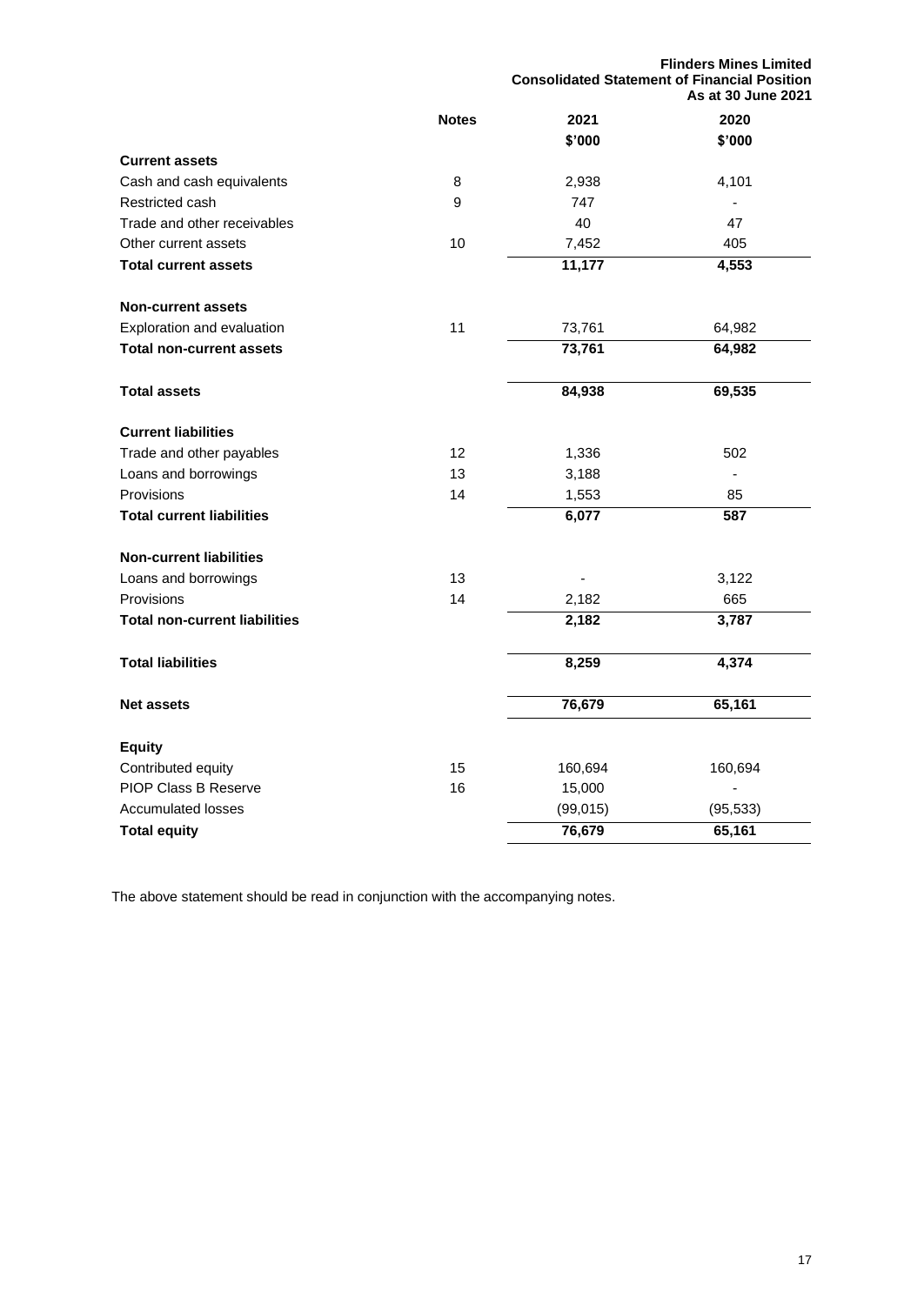|                                      |                   | <b>Flinders Mines Limited</b><br><b>Consolidated Statement of Financial Position</b><br>As at 30 June 2021 |                |
|--------------------------------------|-------------------|------------------------------------------------------------------------------------------------------------|----------------|
|                                      | <b>Notes</b>      | 2021                                                                                                       | 2020           |
|                                      |                   | \$'000                                                                                                     | \$'000         |
| <b>Current assets</b>                |                   |                                                                                                            |                |
| Cash and cash equivalents            | 8                 | 2,938                                                                                                      | 4,101          |
| Restricted cash                      | 9                 | 747                                                                                                        |                |
| Trade and other receivables          |                   | 40                                                                                                         | 47             |
| Other current assets                 | 10                | 7,452                                                                                                      | 405            |
| <b>Total current assets</b>          |                   | 11,177                                                                                                     | 4,553          |
| <b>Non-current assets</b>            |                   |                                                                                                            |                |
| Exploration and evaluation           | 11                | 73,761                                                                                                     | 64,982         |
| <b>Total non-current assets</b>      |                   | 73,761                                                                                                     | 64,982         |
| <b>Total assets</b>                  |                   | 84,938                                                                                                     | 69,535         |
| <b>Current liabilities</b>           |                   |                                                                                                            |                |
| Trade and other payables             | $12 \overline{ }$ | 1,336                                                                                                      | 502            |
| Loans and borrowings                 | 13                | 3,188                                                                                                      | $\blacksquare$ |
| Provisions                           | 14                | 1,553                                                                                                      | 85             |
| <b>Total current liabilities</b>     |                   | 6,077                                                                                                      | 587            |
| <b>Non-current liabilities</b>       |                   |                                                                                                            |                |
| Loans and borrowings                 | 13                |                                                                                                            | 3,122          |
| Provisions                           | 14                | 2,182                                                                                                      | 665            |
| <b>Total non-current liabilities</b> |                   | $\overline{2,}182$                                                                                         | 3,787          |
| <b>Total liabilities</b>             |                   | 8,259                                                                                                      | 4,374          |
| <b>Net assets</b>                    |                   | 76,679                                                                                                     | 65,161         |
| <b>Equity</b>                        |                   |                                                                                                            |                |
| Contributed equity                   | 15                | 160,694                                                                                                    | 160,694        |
| <b>PIOP Class B Reserve</b>          | 16                | 15,000                                                                                                     | $\blacksquare$ |
| <b>Accumulated losses</b>            |                   | (99, 015)                                                                                                  | (95, 533)      |
| <b>Total equity</b>                  |                   | 76,679                                                                                                     | 65,161         |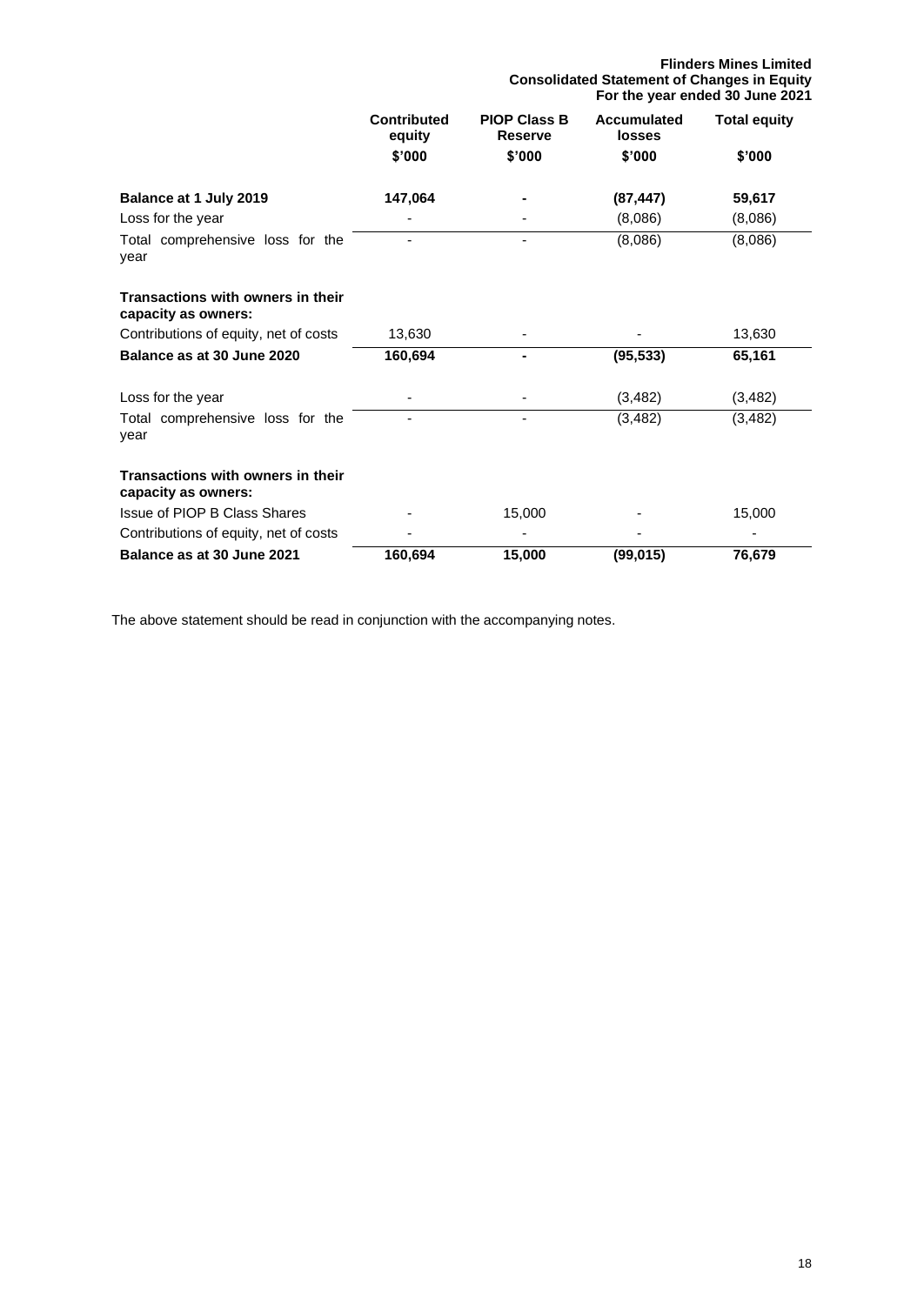#### **Flinders Mines Limited Consolidated Statement of Changes in Equity For the year ended 30 June 2021**

|                                                          | <b>Contributed</b><br>equity | <b>PIOP Class B</b><br>Reserve | <b>Accumulated</b><br>losses | <b>Total equity</b> |
|----------------------------------------------------------|------------------------------|--------------------------------|------------------------------|---------------------|
|                                                          | \$'000                       | \$'000                         | \$'000                       | \$'000              |
| Balance at 1 July 2019                                   | 147,064                      |                                | (87, 447)                    | 59,617              |
| Loss for the year                                        |                              |                                | (8,086)                      | (8,086)             |
| Total comprehensive loss for the<br>year                 |                              |                                | (8,086)                      | (8,086)             |
| Transactions with owners in their<br>capacity as owners: |                              |                                |                              |                     |
| Contributions of equity, net of costs                    | 13,630                       |                                |                              | 13,630              |
| Balance as at 30 June 2020                               | 160,694                      |                                | (95, 533)                    | 65,161              |
| Loss for the year                                        |                              |                                | (3, 482)                     | (3, 482)            |
| Total comprehensive loss for the<br>year                 |                              |                                | (3, 482)                     | (3, 482)            |
| Transactions with owners in their<br>capacity as owners: |                              |                                |                              |                     |
| Issue of PIOP B Class Shares                             |                              | 15,000                         |                              | 15,000              |
| Contributions of equity, net of costs                    |                              |                                |                              |                     |
| Balance as at 30 June 2021                               | 160,694                      | 15,000                         | (99, 015)                    | 76,679              |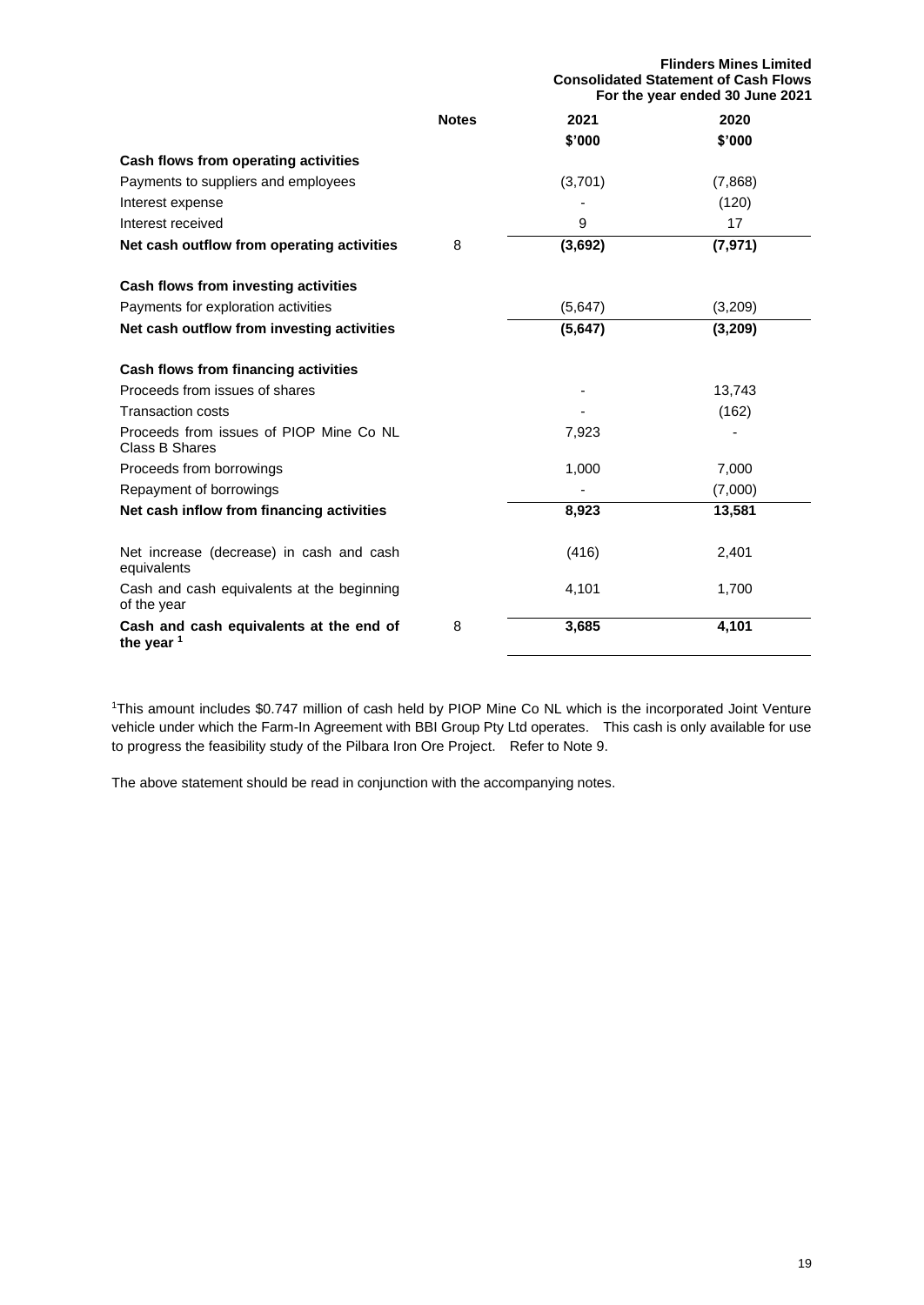| <b>Notes</b><br>2020<br>2021<br>\$'000<br>\$'000<br>Cash flows from operating activities<br>Payments to suppliers and employees<br>(3,701)<br>(7,868)<br>(120)<br>Interest expense<br>9<br>Interest received<br>17<br>(3,692)<br>Net cash outflow from operating activities<br>8<br>(7, 971)<br>Cash flows from investing activities<br>Payments for exploration activities<br>(5,647)<br>(3,209)<br>(5,647)<br>(3, 209)<br>Net cash outflow from investing activities<br>Cash flows from financing activities<br>Proceeds from issues of shares<br>13,743<br><b>Transaction costs</b><br>(162)<br>Proceeds from issues of PIOP Mine Co NL<br>7,923<br>Class B Shares<br>7,000<br>Proceeds from borrowings<br>1,000<br>(7,000)<br>Repayment of borrowings<br>Net cash inflow from financing activities<br>8,923<br>13,581<br>Net increase (decrease) in cash and cash<br>(416)<br>2,401<br>equivalents<br>1,700<br>Cash and cash equivalents at the beginning<br>4,101<br>of the year<br>4,101<br>3,685<br>Cash and cash equivalents at the end of<br>8<br>the year $1$ |  | <b>Flinders Mines Limited</b><br><b>Consolidated Statement of Cash Flows</b><br>For the year ended 30 June 2021 |  |  |
|-------------------------------------------------------------------------------------------------------------------------------------------------------------------------------------------------------------------------------------------------------------------------------------------------------------------------------------------------------------------------------------------------------------------------------------------------------------------------------------------------------------------------------------------------------------------------------------------------------------------------------------------------------------------------------------------------------------------------------------------------------------------------------------------------------------------------------------------------------------------------------------------------------------------------------------------------------------------------------------------------------------------------------------------------------------------------|--|-----------------------------------------------------------------------------------------------------------------|--|--|
|                                                                                                                                                                                                                                                                                                                                                                                                                                                                                                                                                                                                                                                                                                                                                                                                                                                                                                                                                                                                                                                                         |  |                                                                                                                 |  |  |
|                                                                                                                                                                                                                                                                                                                                                                                                                                                                                                                                                                                                                                                                                                                                                                                                                                                                                                                                                                                                                                                                         |  |                                                                                                                 |  |  |
|                                                                                                                                                                                                                                                                                                                                                                                                                                                                                                                                                                                                                                                                                                                                                                                                                                                                                                                                                                                                                                                                         |  |                                                                                                                 |  |  |
|                                                                                                                                                                                                                                                                                                                                                                                                                                                                                                                                                                                                                                                                                                                                                                                                                                                                                                                                                                                                                                                                         |  |                                                                                                                 |  |  |
|                                                                                                                                                                                                                                                                                                                                                                                                                                                                                                                                                                                                                                                                                                                                                                                                                                                                                                                                                                                                                                                                         |  |                                                                                                                 |  |  |
|                                                                                                                                                                                                                                                                                                                                                                                                                                                                                                                                                                                                                                                                                                                                                                                                                                                                                                                                                                                                                                                                         |  |                                                                                                                 |  |  |
|                                                                                                                                                                                                                                                                                                                                                                                                                                                                                                                                                                                                                                                                                                                                                                                                                                                                                                                                                                                                                                                                         |  |                                                                                                                 |  |  |
|                                                                                                                                                                                                                                                                                                                                                                                                                                                                                                                                                                                                                                                                                                                                                                                                                                                                                                                                                                                                                                                                         |  |                                                                                                                 |  |  |
|                                                                                                                                                                                                                                                                                                                                                                                                                                                                                                                                                                                                                                                                                                                                                                                                                                                                                                                                                                                                                                                                         |  |                                                                                                                 |  |  |
|                                                                                                                                                                                                                                                                                                                                                                                                                                                                                                                                                                                                                                                                                                                                                                                                                                                                                                                                                                                                                                                                         |  |                                                                                                                 |  |  |
|                                                                                                                                                                                                                                                                                                                                                                                                                                                                                                                                                                                                                                                                                                                                                                                                                                                                                                                                                                                                                                                                         |  |                                                                                                                 |  |  |
|                                                                                                                                                                                                                                                                                                                                                                                                                                                                                                                                                                                                                                                                                                                                                                                                                                                                                                                                                                                                                                                                         |  |                                                                                                                 |  |  |
|                                                                                                                                                                                                                                                                                                                                                                                                                                                                                                                                                                                                                                                                                                                                                                                                                                                                                                                                                                                                                                                                         |  |                                                                                                                 |  |  |
|                                                                                                                                                                                                                                                                                                                                                                                                                                                                                                                                                                                                                                                                                                                                                                                                                                                                                                                                                                                                                                                                         |  |                                                                                                                 |  |  |
|                                                                                                                                                                                                                                                                                                                                                                                                                                                                                                                                                                                                                                                                                                                                                                                                                                                                                                                                                                                                                                                                         |  |                                                                                                                 |  |  |
|                                                                                                                                                                                                                                                                                                                                                                                                                                                                                                                                                                                                                                                                                                                                                                                                                                                                                                                                                                                                                                                                         |  |                                                                                                                 |  |  |
|                                                                                                                                                                                                                                                                                                                                                                                                                                                                                                                                                                                                                                                                                                                                                                                                                                                                                                                                                                                                                                                                         |  |                                                                                                                 |  |  |
|                                                                                                                                                                                                                                                                                                                                                                                                                                                                                                                                                                                                                                                                                                                                                                                                                                                                                                                                                                                                                                                                         |  |                                                                                                                 |  |  |
|                                                                                                                                                                                                                                                                                                                                                                                                                                                                                                                                                                                                                                                                                                                                                                                                                                                                                                                                                                                                                                                                         |  |                                                                                                                 |  |  |
|                                                                                                                                                                                                                                                                                                                                                                                                                                                                                                                                                                                                                                                                                                                                                                                                                                                                                                                                                                                                                                                                         |  |                                                                                                                 |  |  |

<sup>1</sup>This amount includes \$0.747 million of cash held by PIOP Mine Co NL which is the incorporated Joint Venture vehicle under which the Farm-In Agreement with BBI Group Pty Ltd operates. This cash is only available for use to progress the feasibility study of the Pilbara Iron Ore Project. Refer to Note 9.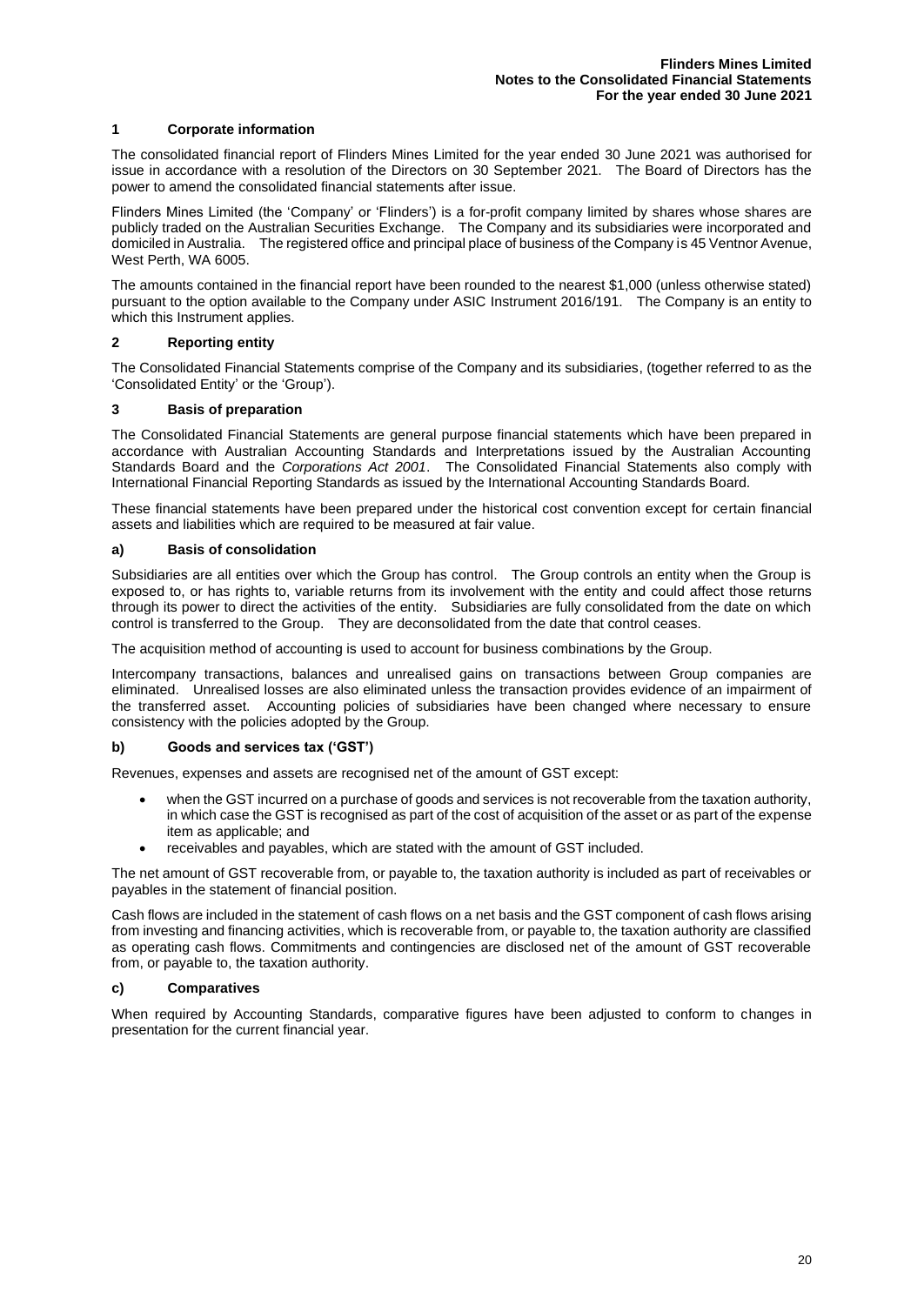#### **1 Corporate information**

The consolidated financial report of Flinders Mines Limited for the year ended 30 June 2021 was authorised for issue in accordance with a resolution of the Directors on 30 September 2021. The Board of Directors has the power to amend the consolidated financial statements after issue.

Flinders Mines Limited (the 'Company' or 'Flinders') is a for-profit company limited by shares whose shares are publicly traded on the Australian Securities Exchange. The Company and its subsidiaries were incorporated and domiciled in Australia. The registered office and principal place of business of the Company is 45 Ventnor Avenue, West Perth, WA 6005.

The amounts contained in the financial report have been rounded to the nearest \$1,000 (unless otherwise stated) pursuant to the option available to the Company under ASIC Instrument 2016/191. The Company is an entity to which this Instrument applies.

#### **2 Reporting entity**

The Consolidated Financial Statements comprise of the Company and its subsidiaries, (together referred to as the 'Consolidated Entity' or the 'Group').

#### **3 Basis of preparation**

The Consolidated Financial Statements are general purpose financial statements which have been prepared in accordance with Australian Accounting Standards and Interpretations issued by the Australian Accounting Standards Board and the *Corporations Act 2001*. The Consolidated Financial Statements also comply with International Financial Reporting Standards as issued by the International Accounting Standards Board.

These financial statements have been prepared under the historical cost convention except for certain financial assets and liabilities which are required to be measured at fair value.

#### **a) Basis of consolidation**

Subsidiaries are all entities over which the Group has control. The Group controls an entity when the Group is exposed to, or has rights to, variable returns from its involvement with the entity and could affect those returns through its power to direct the activities of the entity. Subsidiaries are fully consolidated from the date on which control is transferred to the Group. They are deconsolidated from the date that control ceases.

The acquisition method of accounting is used to account for business combinations by the Group.

Intercompany transactions, balances and unrealised gains on transactions between Group companies are eliminated. Unrealised losses are also eliminated unless the transaction provides evidence of an impairment of the transferred asset. Accounting policies of subsidiaries have been changed where necessary to ensure consistency with the policies adopted by the Group.

#### **b) Goods and services tax ('GST')**

Revenues, expenses and assets are recognised net of the amount of GST except:

- when the GST incurred on a purchase of goods and services is not recoverable from the taxation authority, in which case the GST is recognised as part of the cost of acquisition of the asset or as part of the expense item as applicable; and
- receivables and payables, which are stated with the amount of GST included.

The net amount of GST recoverable from, or payable to, the taxation authority is included as part of receivables or payables in the statement of financial position.

Cash flows are included in the statement of cash flows on a net basis and the GST component of cash flows arising from investing and financing activities, which is recoverable from, or payable to, the taxation authority are classified as operating cash flows. Commitments and contingencies are disclosed net of the amount of GST recoverable from, or payable to, the taxation authority.

#### **c) Comparatives**

When required by Accounting Standards, comparative figures have been adjusted to conform to changes in presentation for the current financial year.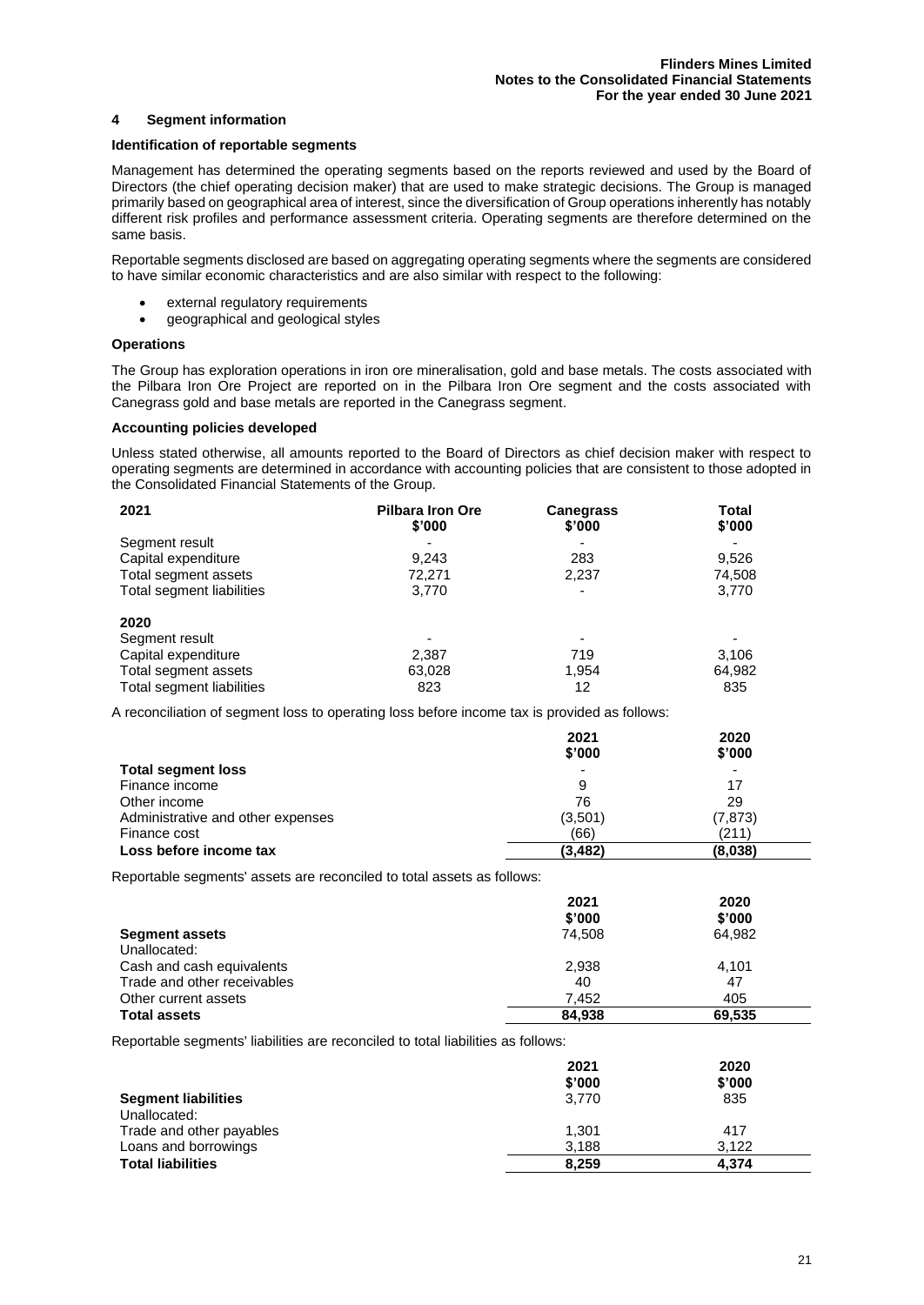#### **4 Segment information**

#### **Identification of reportable segments**

Management has determined the operating segments based on the reports reviewed and used by the Board of Directors (the chief operating decision maker) that are used to make strategic decisions. The Group is managed primarily based on geographical area of interest, since the diversification of Group operations inherently has notably different risk profiles and performance assessment criteria. Operating segments are therefore determined on the same basis.

Reportable segments disclosed are based on aggregating operating segments where the segments are considered to have similar economic characteristics and are also similar with respect to the following:

- external regulatory requirements
- geographical and geological styles

#### **Operations**

The Group has exploration operations in iron ore mineralisation, gold and base metals. The costs associated with the Pilbara Iron Ore Project are reported on in the Pilbara Iron Ore segment and the costs associated with Canegrass gold and base metals are reported in the Canegrass segment.

#### **Accounting policies developed**

Unless stated otherwise, all amounts reported to the Board of Directors as chief decision maker with respect to operating segments are determined in accordance with accounting policies that are consistent to those adopted in the Consolidated Financial Statements of the Group.

| 2021                      | <b>Pilbara Iron Ore</b><br>\$'000 | <b>Canegrass</b><br>\$'000 | Total<br>\$'000 |
|---------------------------|-----------------------------------|----------------------------|-----------------|
| Segment result            |                                   |                            |                 |
| Capital expenditure       | 9,243                             | 283                        | 9,526           |
| Total segment assets      | 72.271                            | 2,237                      | 74,508          |
| Total segment liabilities | 3,770                             | $\overline{\phantom{0}}$   | 3,770           |
| 2020                      |                                   |                            |                 |
| Segment result            |                                   |                            |                 |
| Capital expenditure       | 2,387                             | 719                        | 3,106           |
| Total segment assets      | 63,028                            | 1.954                      | 64,982          |
| Total segment liabilities | 823                               | 12                         | 835             |

A reconciliation of segment loss to operating loss before income tax is provided as follows:

|                                   | 2021                     | 2020     |
|-----------------------------------|--------------------------|----------|
|                                   | \$'000                   | \$'000   |
| <b>Total segment loss</b>         | $\overline{\phantom{0}}$ | ٠        |
| Finance income                    | 9                        | 17       |
| Other income                      | 76                       | 29       |
| Administrative and other expenses | (3,501)                  | (7, 873) |
| Finance cost                      | (66)                     | (211)    |
| Loss before income tax            | (3, 482)                 | (8,038)  |

Reportable segments' assets are reconciled to total assets as follows:

|                             | 2021   | 2020   |
|-----------------------------|--------|--------|
|                             | \$'000 | \$'000 |
| <b>Segment assets</b>       | 74.508 | 64.982 |
| Unallocated:                |        |        |
| Cash and cash equivalents   | 2,938  | 4,101  |
| Trade and other receivables | 40     | 47     |
| Other current assets        | 7.452  | 405    |
| <b>Total assets</b>         | 84.938 | 69,535 |

Reportable segments' liabilities are reconciled to total liabilities as follows:

|                            | 2021<br>\$'000 | 2020<br>\$'000 |
|----------------------------|----------------|----------------|
| <b>Segment liabilities</b> | 3.770          | 835            |
| Unallocated:               |                |                |
| Trade and other payables   | 1.301          | 417            |
| Loans and borrowings       | 3,188          | 3.122          |
| <b>Total liabilities</b>   | 8,259          | 4.374          |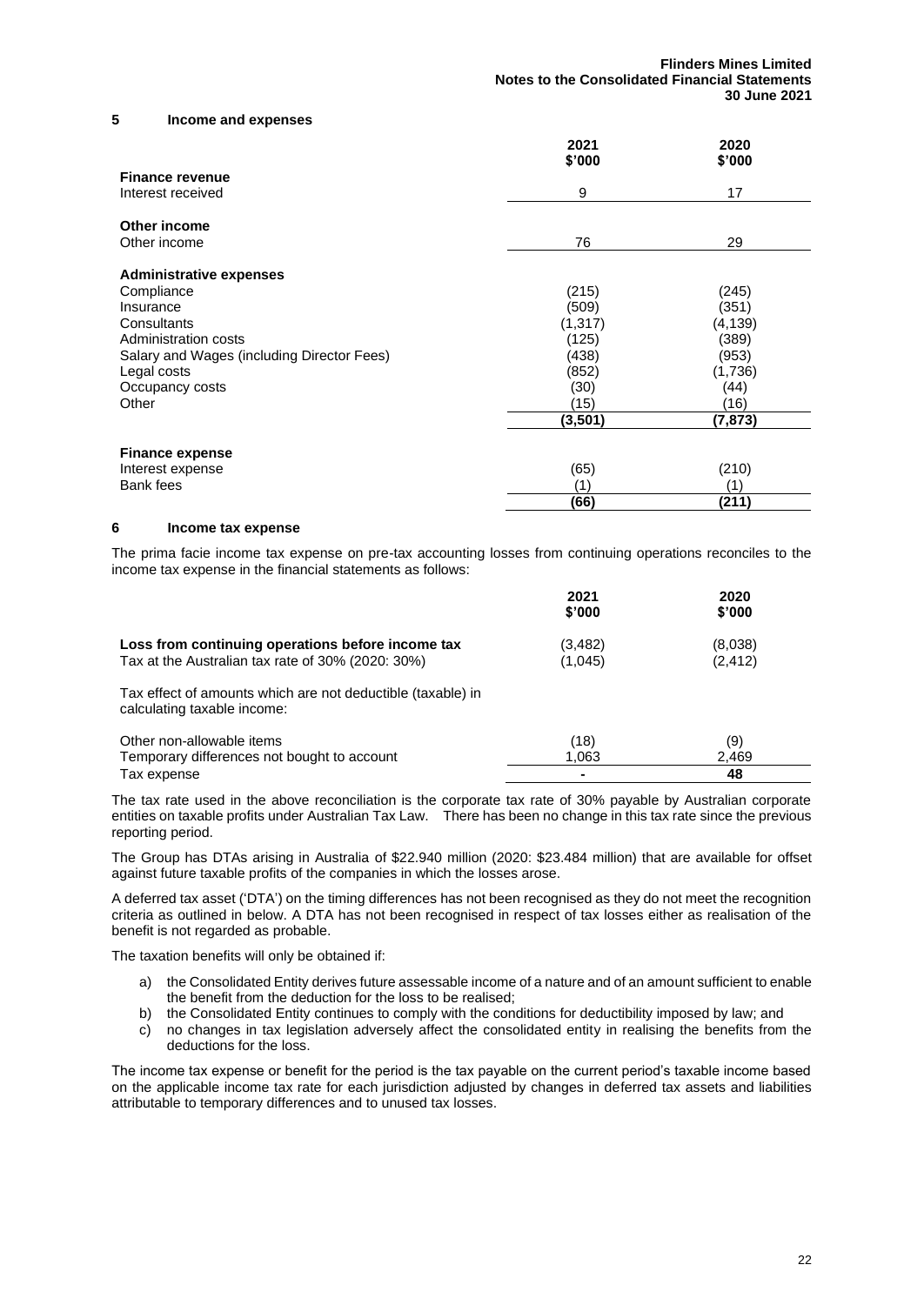#### **5 Income and expenses**

|                                            | 2021<br>\$'000 | 2020<br>\$'000 |
|--------------------------------------------|----------------|----------------|
| <b>Finance revenue</b>                     |                |                |
| Interest received                          | 9              | 17             |
| Other income                               |                |                |
| Other income                               | 76             | 29             |
| <b>Administrative expenses</b>             |                |                |
| Compliance                                 | (215)          | (245)          |
| Insurance                                  | (509)          | (351)          |
| Consultants                                | (1, 317)       | (4, 139)       |
| Administration costs                       | (125)          | (389)          |
| Salary and Wages (including Director Fees) | (438)          | (953)          |
| Legal costs                                | (852)          | (1,736)        |
| Occupancy costs                            | (30)           | (44)           |
| Other                                      | (15)           | (16)           |
|                                            | (3,501)        | (7,873)        |
| <b>Finance expense</b>                     |                |                |
| Interest expense                           | (65)           | (210)          |
| Bank fees                                  | (1)            | (1)            |
|                                            | (66)           | (211)          |

#### **6 Income tax expense**

The prima facie income tax expense on pre-tax accounting losses from continuing operations reconciles to the income tax expense in the financial statements as follows:

|                                                                                                        | 2021<br>\$'000     | 2020<br>\$'000      |
|--------------------------------------------------------------------------------------------------------|--------------------|---------------------|
| Loss from continuing operations before income tax<br>Tax at the Australian tax rate of 30% (2020: 30%) | (3,482)<br>(1,045) | (8,038)<br>(2, 412) |
| Tax effect of amounts which are not deductible (taxable) in<br>calculating taxable income:             |                    |                     |
| Other non-allowable items                                                                              | (18)               | (9)                 |
| Temporary differences not bought to account                                                            | 1,063              | 2,469               |
| Tax expense                                                                                            |                    | 48                  |

The tax rate used in the above reconciliation is the corporate tax rate of 30% payable by Australian corporate entities on taxable profits under Australian Tax Law. There has been no change in this tax rate since the previous reporting period.

The Group has DTAs arising in Australia of \$22.940 million (2020: \$23.484 million) that are available for offset against future taxable profits of the companies in which the losses arose.

A deferred tax asset ('DTA') on the timing differences has not been recognised as they do not meet the recognition criteria as outlined in below. A DTA has not been recognised in respect of tax losses either as realisation of the benefit is not regarded as probable.

The taxation benefits will only be obtained if:

- a) the Consolidated Entity derives future assessable income of a nature and of an amount sufficient to enable the benefit from the deduction for the loss to be realised;
- b) the Consolidated Entity continues to comply with the conditions for deductibility imposed by law; and
- c) no changes in tax legislation adversely affect the consolidated entity in realising the benefits from the deductions for the loss.

The income tax expense or benefit for the period is the tax payable on the current period's taxable income based on the applicable income tax rate for each jurisdiction adjusted by changes in deferred tax assets and liabilities attributable to temporary differences and to unused tax losses.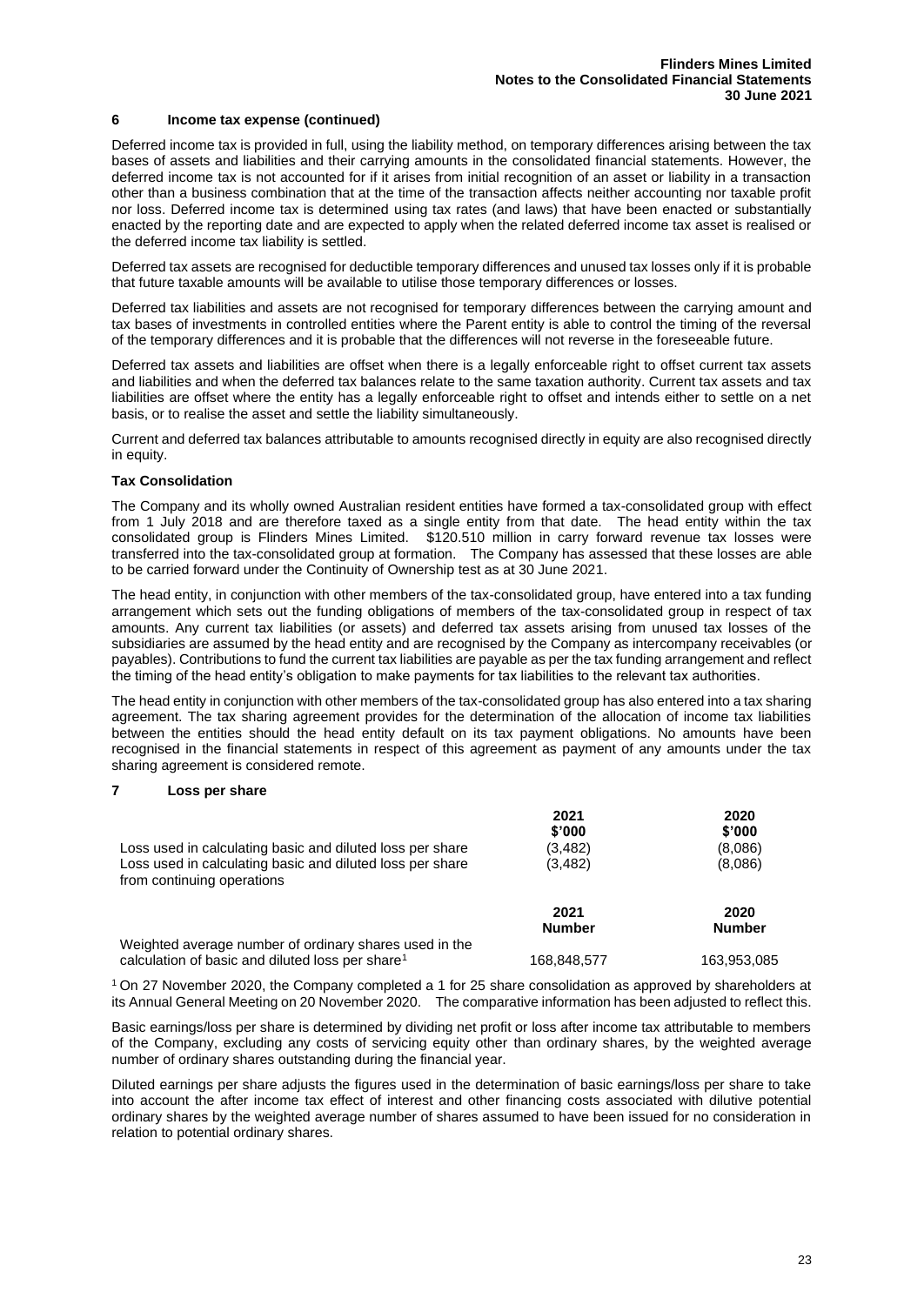#### **6 Income tax expense (continued)**

Deferred income tax is provided in full, using the liability method, on temporary differences arising between the tax bases of assets and liabilities and their carrying amounts in the consolidated financial statements. However, the deferred income tax is not accounted for if it arises from initial recognition of an asset or liability in a transaction other than a business combination that at the time of the transaction affects neither accounting nor taxable profit nor loss. Deferred income tax is determined using tax rates (and laws) that have been enacted or substantially enacted by the reporting date and are expected to apply when the related deferred income tax asset is realised or the deferred income tax liability is settled.

Deferred tax assets are recognised for deductible temporary differences and unused tax losses only if it is probable that future taxable amounts will be available to utilise those temporary differences or losses.

Deferred tax liabilities and assets are not recognised for temporary differences between the carrying amount and tax bases of investments in controlled entities where the Parent entity is able to control the timing of the reversal of the temporary differences and it is probable that the differences will not reverse in the foreseeable future.

Deferred tax assets and liabilities are offset when there is a legally enforceable right to offset current tax assets and liabilities and when the deferred tax balances relate to the same taxation authority. Current tax assets and tax liabilities are offset where the entity has a legally enforceable right to offset and intends either to settle on a net basis, or to realise the asset and settle the liability simultaneously.

Current and deferred tax balances attributable to amounts recognised directly in equity are also recognised directly in equity.

#### **Tax Consolidation**

The Company and its wholly owned Australian resident entities have formed a tax-consolidated group with effect from 1 July 2018 and are therefore taxed as a single entity from that date. The head entity within the tax consolidated group is Flinders Mines Limited. \$120.510 million in carry forward revenue tax losses were transferred into the tax-consolidated group at formation. The Company has assessed that these losses are able to be carried forward under the Continuity of Ownership test as at 30 June 2021.

The head entity, in conjunction with other members of the tax-consolidated group, have entered into a tax funding arrangement which sets out the funding obligations of members of the tax-consolidated group in respect of tax amounts. Any current tax liabilities (or assets) and deferred tax assets arising from unused tax losses of the subsidiaries are assumed by the head entity and are recognised by the Company as intercompany receivables (or payables). Contributions to fund the current tax liabilities are payable as per the tax funding arrangement and reflect the timing of the head entity's obligation to make payments for tax liabilities to the relevant tax authorities.

The head entity in conjunction with other members of the tax-consolidated group has also entered into a tax sharing agreement. The tax sharing agreement provides for the determination of the allocation of income tax liabilities between the entities should the head entity default on its tax payment obligations. No amounts have been recognised in the financial statements in respect of this agreement as payment of any amounts under the tax sharing agreement is considered remote.

#### **7 Loss per share**

|                                                                                         | 2021<br>\$'000        | 2020<br>\$'000        |
|-----------------------------------------------------------------------------------------|-----------------------|-----------------------|
| Loss used in calculating basic and diluted loss per share                               | (3, 482)              | (8,086)               |
| Loss used in calculating basic and diluted loss per share<br>from continuing operations | (3, 482)              | (8.086)               |
|                                                                                         | 2021<br><b>Number</b> | 2020<br><b>Number</b> |
| Weighted average number of ordinary shares used in the                                  |                       |                       |
| calculation of basic and diluted loss per share <sup>1</sup>                            | 168.848.577           | 163.953.085           |

<sup>1</sup> On 27 November 2020, the Company completed a 1 for 25 share consolidation as approved by shareholders at its Annual General Meeting on 20 November 2020. The comparative information has been adjusted to reflect this.

Basic earnings/loss per share is determined by dividing net profit or loss after income tax attributable to members of the Company, excluding any costs of servicing equity other than ordinary shares, by the weighted average number of ordinary shares outstanding during the financial year.

Diluted earnings per share adjusts the figures used in the determination of basic earnings/loss per share to take into account the after income tax effect of interest and other financing costs associated with dilutive potential ordinary shares by the weighted average number of shares assumed to have been issued for no consideration in relation to potential ordinary shares.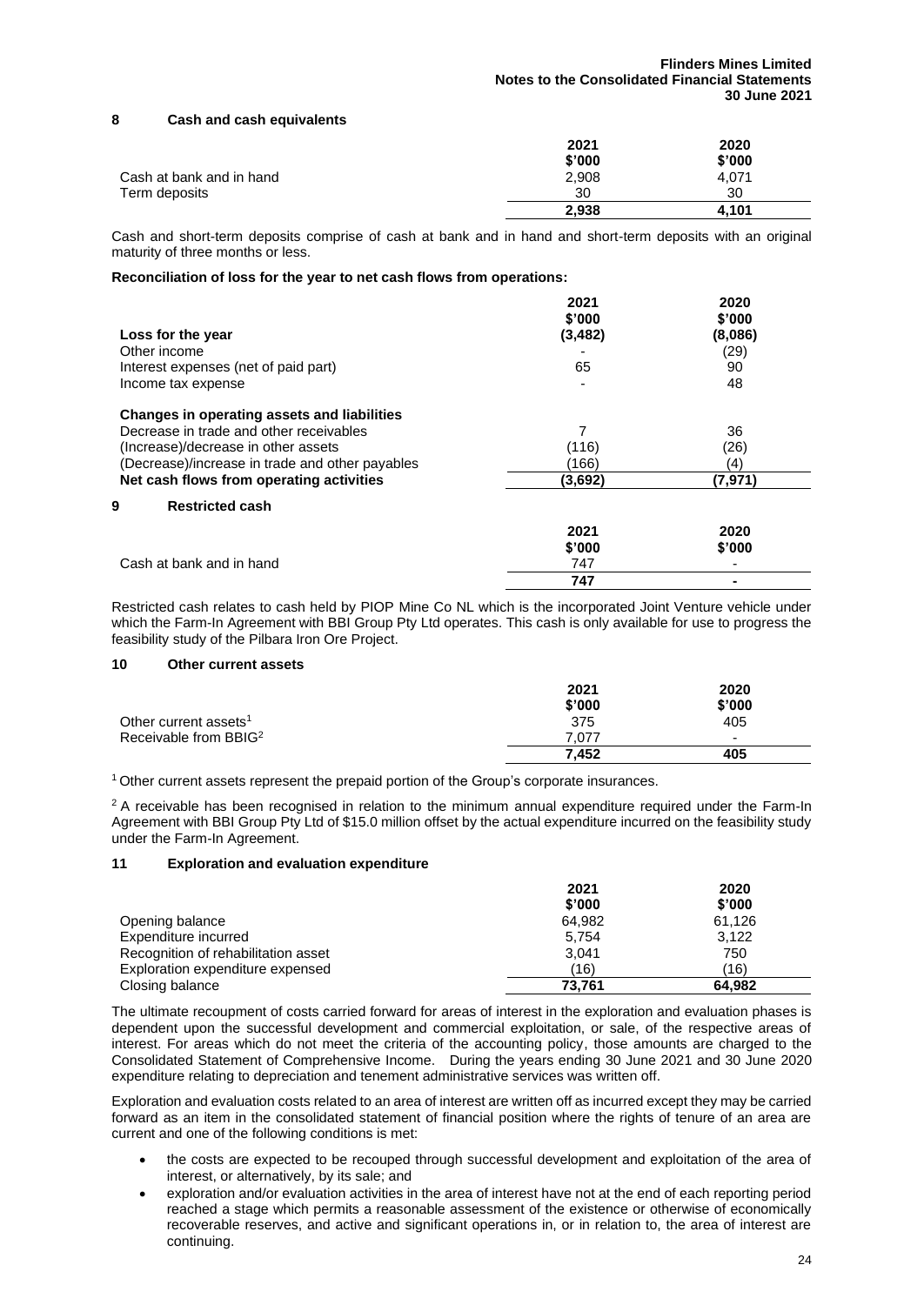#### **8 Cash and cash equivalents**

|                          | 2021   | 2020   |
|--------------------------|--------|--------|
|                          | \$'000 | \$'000 |
| Cash at bank and in hand | 2,908  | 4,071  |
| Term deposits            | 30     | 30     |
|                          | 2,938  | 4.101  |

Cash and short-term deposits comprise of cash at bank and in hand and short-term deposits with an original maturity of three months or less.

#### **Reconciliation of loss for the year to net cash flows from operations:**

|                                                 | 2021<br>\$'000 | 2020<br>\$'000 |
|-------------------------------------------------|----------------|----------------|
| Loss for the year                               | (3, 482)       | (8,086)        |
| Other income                                    |                | (29)           |
| Interest expenses (net of paid part)            | 65             | 90             |
| Income tax expense                              | -              | 48             |
| Changes in operating assets and liabilities     |                |                |
| Decrease in trade and other receivables         | 7              | 36             |
| (Increase)/decrease in other assets             | (116)          | (26)           |
| (Decrease)/increase in trade and other payables | (166)          | (4)            |
| Net cash flows from operating activities        | (3,692)        | (7, 971)       |
| 9<br><b>Restricted cash</b>                     |                |                |
|                                                 | 2021           | 2020           |
|                                                 | \$'000         | \$'000         |
| Cash at bank and in hand                        | 747            |                |
|                                                 | 747            |                |

Restricted cash relates to cash held by PIOP Mine Co NL which is the incorporated Joint Venture vehicle under which the Farm-In Agreement with BBI Group Pty Ltd operates. This cash is only available for use to progress the feasibility study of the Pilbara Iron Ore Project.

#### **10 Other current assets**

|                                   | 2021   | 2020                     |
|-----------------------------------|--------|--------------------------|
|                                   | \$'000 | \$'000                   |
| Other current assets <sup>1</sup> | 375    | 405                      |
| Receivable from BBIG <sup>2</sup> | 7.077  | $\overline{\phantom{0}}$ |
|                                   | 7.452  | 405                      |

<sup>1</sup> Other current assets represent the prepaid portion of the Group's corporate insurances.

<sup>2</sup> A receivable has been recognised in relation to the minimum annual expenditure required under the Farm-In Agreement with BBI Group Pty Ltd of \$15.0 million offset by the actual expenditure incurred on the feasibility study under the Farm-In Agreement.

#### **11 Exploration and evaluation expenditure**

|                                     | 2021   | 2020   |
|-------------------------------------|--------|--------|
|                                     | \$'000 | \$'000 |
| Opening balance                     | 64.982 | 61.126 |
| Expenditure incurred                | 5.754  | 3.122  |
| Recognition of rehabilitation asset | 3.041  | 750    |
| Exploration expenditure expensed    | (16)   | (16)   |
| Closing balance                     | 73.761 | 64.982 |

The ultimate recoupment of costs carried forward for areas of interest in the exploration and evaluation phases is dependent upon the successful development and commercial exploitation, or sale, of the respective areas of interest. For areas which do not meet the criteria of the accounting policy, those amounts are charged to the Consolidated Statement of Comprehensive Income. During the years ending 30 June 2021 and 30 June 2020 expenditure relating to depreciation and tenement administrative services was written off.

Exploration and evaluation costs related to an area of interest are written off as incurred except they may be carried forward as an item in the consolidated statement of financial position where the rights of tenure of an area are current and one of the following conditions is met:

- the costs are expected to be recouped through successful development and exploitation of the area of interest, or alternatively, by its sale; and
- exploration and/or evaluation activities in the area of interest have not at the end of each reporting period reached a stage which permits a reasonable assessment of the existence or otherwise of economically recoverable reserves, and active and significant operations in, or in relation to, the area of interest are continuing.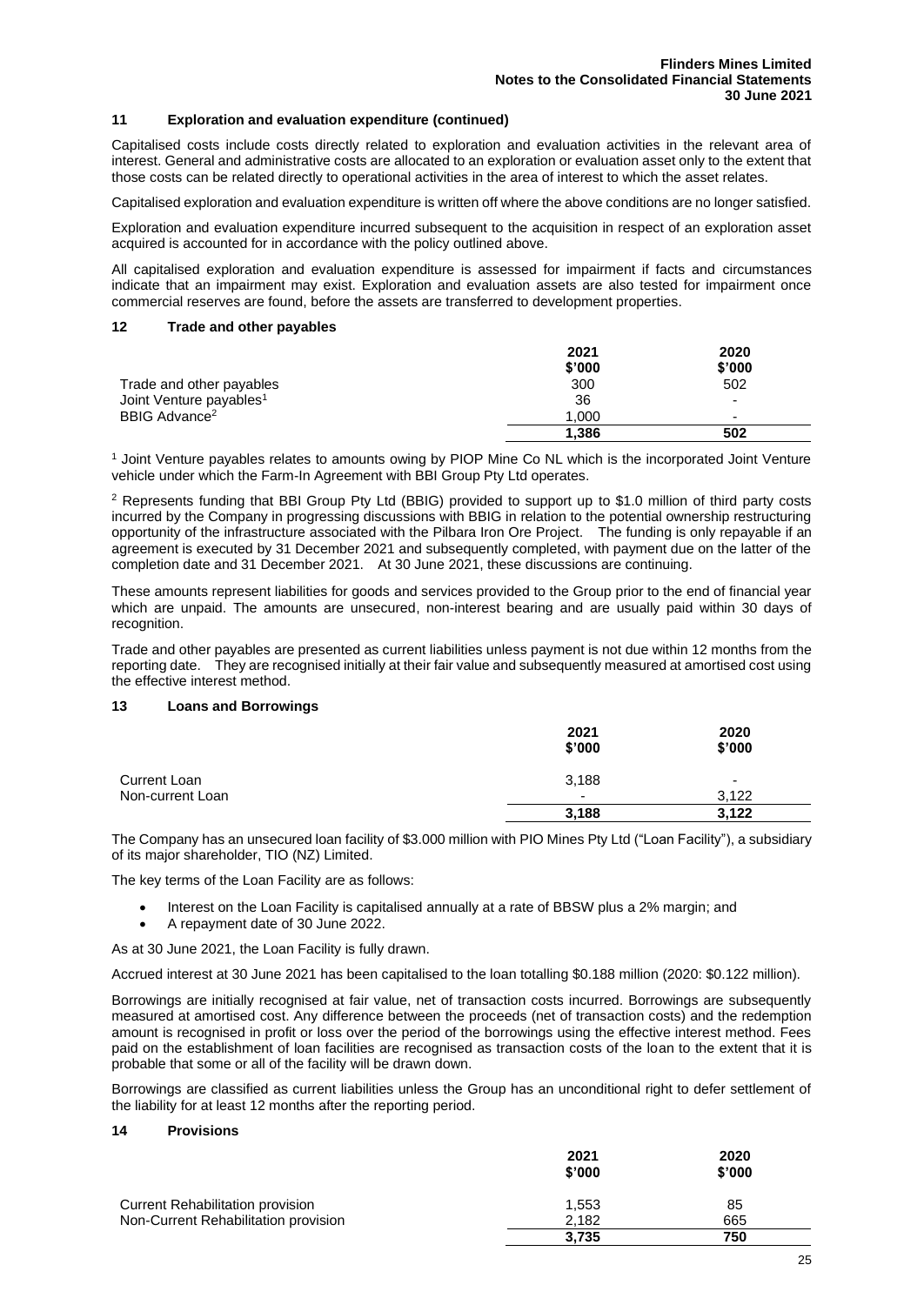#### **11 Exploration and evaluation expenditure (continued)**

Capitalised costs include costs directly related to exploration and evaluation activities in the relevant area of interest. General and administrative costs are allocated to an exploration or evaluation asset only to the extent that those costs can be related directly to operational activities in the area of interest to which the asset relates.

Capitalised exploration and evaluation expenditure is written off where the above conditions are no longer satisfied.

Exploration and evaluation expenditure incurred subsequent to the acquisition in respect of an exploration asset acquired is accounted for in accordance with the policy outlined above.

All capitalised exploration and evaluation expenditure is assessed for impairment if facts and circumstances indicate that an impairment may exist. Exploration and evaluation assets are also tested for impairment once commercial reserves are found, before the assets are transferred to development properties.

#### **12 Trade and other payables**

|                                     | 2021<br>\$'000 | 2020<br>\$'000           |
|-------------------------------------|----------------|--------------------------|
| Trade and other payables            | 300            | 502                      |
| Joint Venture payables <sup>1</sup> | 36             | -                        |
| BBIG Advance <sup>2</sup>           | 1.000          | $\overline{\phantom{a}}$ |
|                                     | 1.386          | 502                      |

<sup>1</sup> Joint Venture payables relates to amounts owing by PIOP Mine Co NL which is the incorporated Joint Venture vehicle under which the Farm-In Agreement with BBI Group Pty Ltd operates.

<sup>2</sup> Represents funding that BBI Group Pty Ltd (BBIG) provided to support up to \$1.0 million of third party costs incurred by the Company in progressing discussions with BBIG in relation to the potential ownership restructuring opportunity of the infrastructure associated with the Pilbara Iron Ore Project. The funding is only repayable if an agreement is executed by 31 December 2021 and subsequently completed, with payment due on the latter of the completion date and 31 December 2021. At 30 June 2021, these discussions are continuing.

These amounts represent liabilities for goods and services provided to the Group prior to the end of financial year which are unpaid. The amounts are unsecured, non-interest bearing and are usually paid within 30 days of recognition.

Trade and other payables are presented as current liabilities unless payment is not due within 12 months from the reporting date. They are recognised initially at their fair value and subsequently measured at amortised cost using the effective interest method.

#### **13 Loans and Borrowings**

|                  | 2021<br>\$'000           | 2020<br>\$'000           |
|------------------|--------------------------|--------------------------|
| Current Loan     | 3,188                    | $\overline{\phantom{0}}$ |
| Non-current Loan | $\overline{\phantom{0}}$ | 3.122                    |
|                  | 3,188                    | 3,122                    |

The Company has an unsecured loan facility of \$3.000 million with PIO Mines Pty Ltd ("Loan Facility"), a subsidiary of its major shareholder, TIO (NZ) Limited.

The key terms of the Loan Facility are as follows:

- Interest on the Loan Facility is capitalised annually at a rate of BBSW plus a 2% margin; and • A repayment date of 30 June 2022.
- As at 30 June 2021, the Loan Facility is fully drawn.

Accrued interest at 30 June 2021 has been capitalised to the loan totalling \$0.188 million (2020: \$0.122 million).

Borrowings are initially recognised at fair value, net of transaction costs incurred. Borrowings are subsequently measured at amortised cost. Any difference between the proceeds (net of transaction costs) and the redemption amount is recognised in profit or loss over the period of the borrowings using the effective interest method. Fees paid on the establishment of loan facilities are recognised as transaction costs of the loan to the extent that it is probable that some or all of the facility will be drawn down.

Borrowings are classified as current liabilities unless the Group has an unconditional right to defer settlement of the liability for at least 12 months after the reporting period.

#### **14 Provisions**

|                                      | 2021<br>\$'000 | 2020<br>\$'000 |
|--------------------------------------|----------------|----------------|
| Current Rehabilitation provision     | 1,553          | 85             |
| Non-Current Rehabilitation provision | 2.182          | 665            |
|                                      | 3,735          | 750            |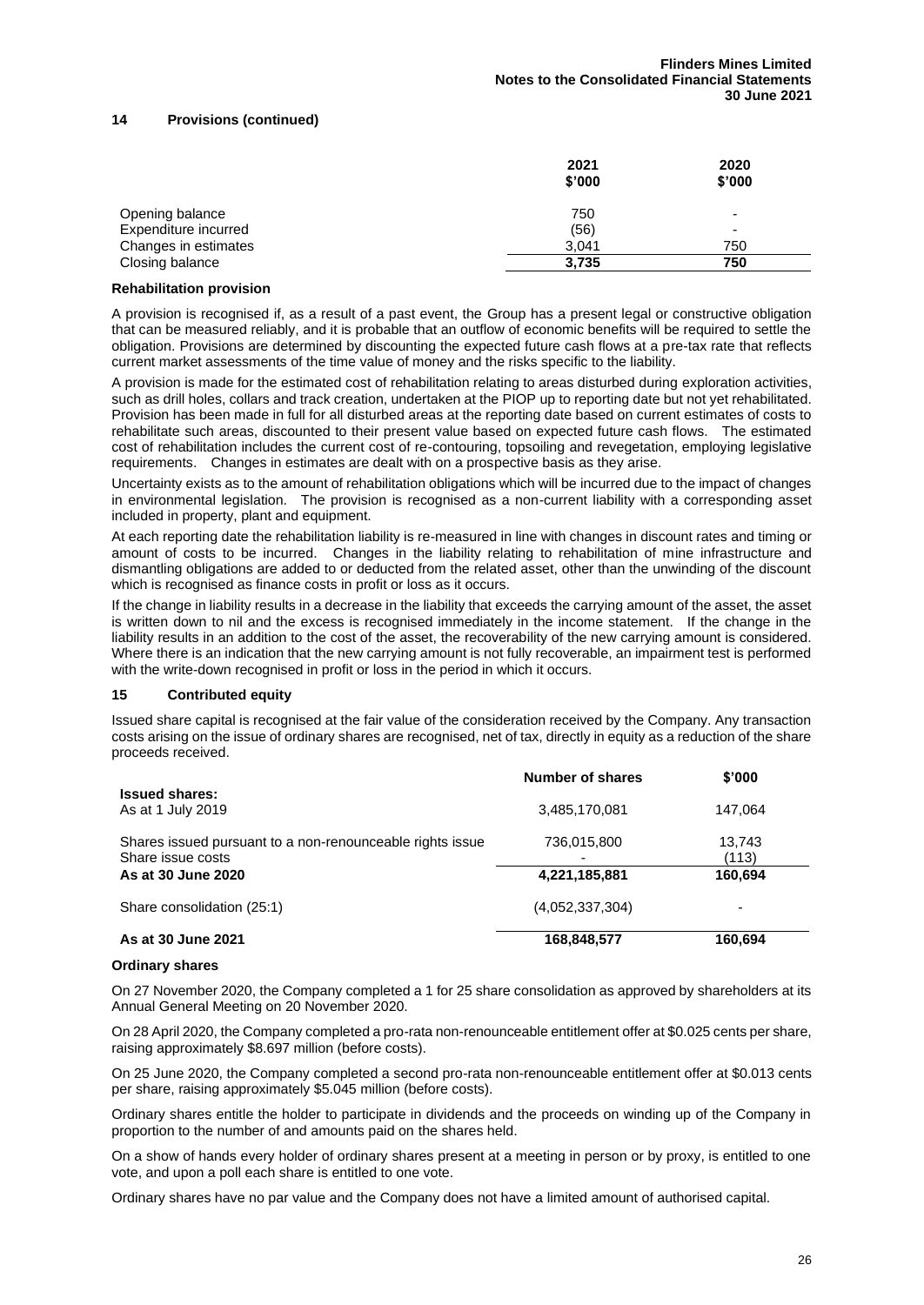#### **14 Provisions (continued)**

|                      | 2021<br>\$'000 | 2020<br>\$'000 |
|----------------------|----------------|----------------|
| Opening balance      | 750            | -              |
| Expenditure incurred | (56)           | -              |
| Changes in estimates | 3.041          | 750            |
| Closing balance      | 3,735          | 750            |

#### **Rehabilitation provision**

A provision is recognised if, as a result of a past event, the Group has a present legal or constructive obligation that can be measured reliably, and it is probable that an outflow of economic benefits will be required to settle the obligation. Provisions are determined by discounting the expected future cash flows at a pre-tax rate that reflects current market assessments of the time value of money and the risks specific to the liability.

A provision is made for the estimated cost of rehabilitation relating to areas disturbed during exploration activities, such as drill holes, collars and track creation, undertaken at the PIOP up to reporting date but not yet rehabilitated. Provision has been made in full for all disturbed areas at the reporting date based on current estimates of costs to rehabilitate such areas, discounted to their present value based on expected future cash flows. The estimated cost of rehabilitation includes the current cost of re-contouring, topsoiling and revegetation, employing legislative requirements. Changes in estimates are dealt with on a prospective basis as they arise.

Uncertainty exists as to the amount of rehabilitation obligations which will be incurred due to the impact of changes in environmental legislation. The provision is recognised as a non-current liability with a corresponding asset included in property, plant and equipment.

At each reporting date the rehabilitation liability is re-measured in line with changes in discount rates and timing or amount of costs to be incurred. Changes in the liability relating to rehabilitation of mine infrastructure and dismantling obligations are added to or deducted from the related asset, other than the unwinding of the discount which is recognised as finance costs in profit or loss as it occurs.

If the change in liability results in a decrease in the liability that exceeds the carrying amount of the asset, the asset is written down to nil and the excess is recognised immediately in the income statement. If the change in the liability results in an addition to the cost of the asset, the recoverability of the new carrying amount is considered. Where there is an indication that the new carrying amount is not fully recoverable, an impairment test is performed with the write-down recognised in profit or loss in the period in which it occurs.

#### **15 Contributed equity**

Issued share capital is recognised at the fair value of the consideration received by the Company. Any transaction costs arising on the issue of ordinary shares are recognised, net of tax, directly in equity as a reduction of the share proceeds received.

|                                                                                | Number of shares | \$'000          |
|--------------------------------------------------------------------------------|------------------|-----------------|
| <b>Issued shares:</b><br>As at 1 July 2019                                     | 3,485,170,081    | 147,064         |
| Shares issued pursuant to a non-renounceable rights issue<br>Share issue costs | 736,015,800      | 13,743<br>(113) |
| As at 30 June 2020                                                             | 4,221,185,881    | 160,694         |
| Share consolidation (25:1)                                                     | (4.052.337.304)  | -               |
| As at 30 June 2021                                                             | 168,848,577      | 160,694         |

#### **Ordinary shares**

On 27 November 2020, the Company completed a 1 for 25 share consolidation as approved by shareholders at its Annual General Meeting on 20 November 2020.

On 28 April 2020, the Company completed a pro-rata non-renounceable entitlement offer at \$0.025 cents per share, raising approximately \$8.697 million (before costs).

On 25 June 2020, the Company completed a second pro-rata non-renounceable entitlement offer at \$0.013 cents per share, raising approximately \$5.045 million (before costs).

Ordinary shares entitle the holder to participate in dividends and the proceeds on winding up of the Company in proportion to the number of and amounts paid on the shares held.

On a show of hands every holder of ordinary shares present at a meeting in person or by proxy, is entitled to one vote, and upon a poll each share is entitled to one vote.

Ordinary shares have no par value and the Company does not have a limited amount of authorised capital.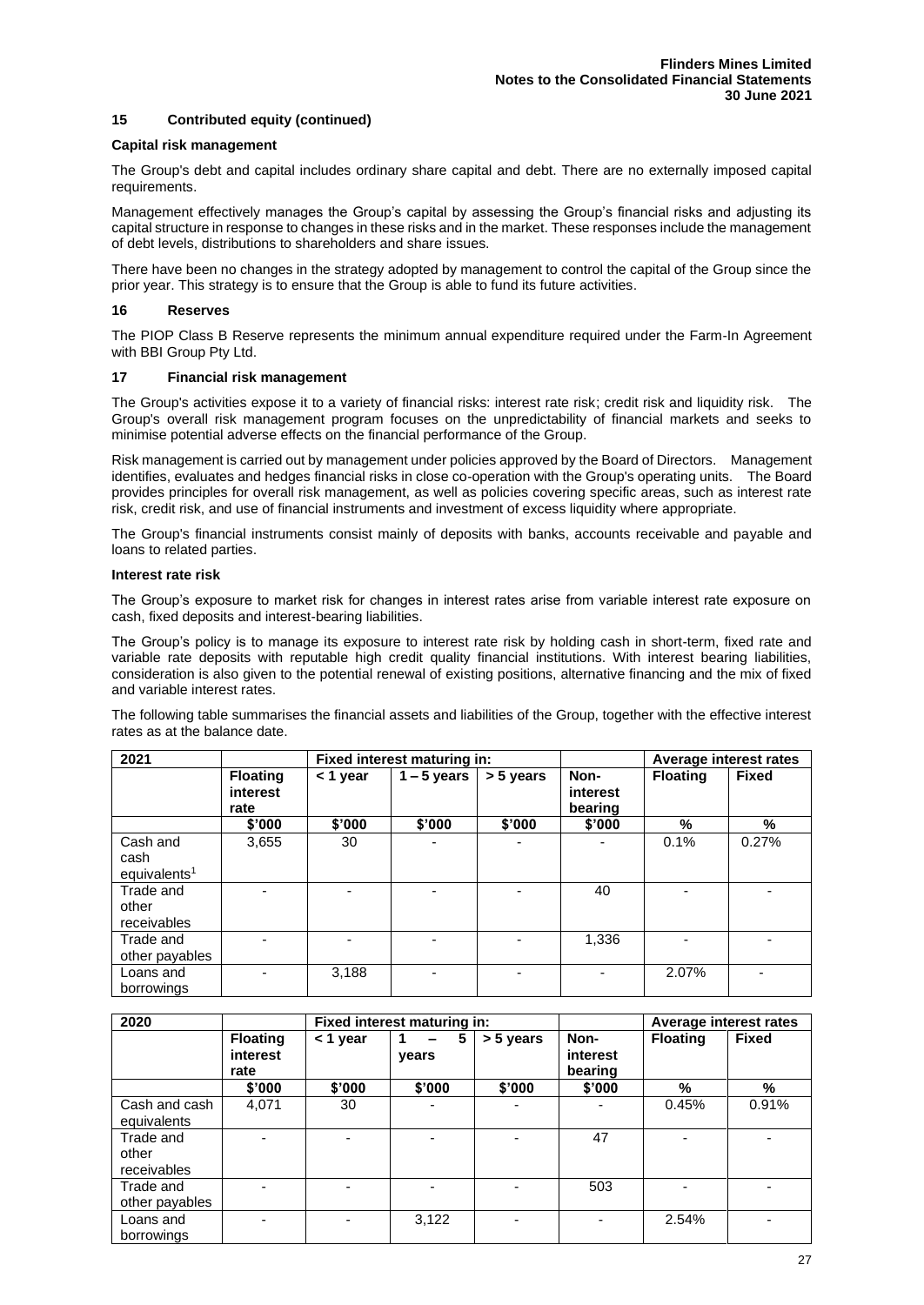#### **15 Contributed equity (continued)**

#### **Capital risk management**

The Group's debt and capital includes ordinary share capital and debt. There are no externally imposed capital requirements.

Management effectively manages the Group's capital by assessing the Group's financial risks and adjusting its capital structure in response to changes in these risks and in the market. These responses include the management of debt levels, distributions to shareholders and share issues.

There have been no changes in the strategy adopted by management to control the capital of the Group since the prior year. This strategy is to ensure that the Group is able to fund its future activities.

#### **16 Reserves**

The PIOP Class B Reserve represents the minimum annual expenditure required under the Farm-In Agreement with BBI Group Pty Ltd.

#### **17 Financial risk management**

The Group's activities expose it to a variety of financial risks: interest rate risk; credit risk and liquidity risk. The Group's overall risk management program focuses on the unpredictability of financial markets and seeks to minimise potential adverse effects on the financial performance of the Group.

Risk management is carried out by management under policies approved by the Board of Directors. Management identifies, evaluates and hedges financial risks in close co-operation with the Group's operating units. The Board provides principles for overall risk management, as well as policies covering specific areas, such as interest rate risk, credit risk, and use of financial instruments and investment of excess liquidity where appropriate.

The Group's financial instruments consist mainly of deposits with banks, accounts receivable and payable and loans to related parties.

#### **Interest rate risk**

The Group's exposure to market risk for changes in interest rates arise from variable interest rate exposure on cash, fixed deposits and interest-bearing liabilities.

The Group's policy is to manage its exposure to interest rate risk by holding cash in short-term, fixed rate and variable rate deposits with reputable high credit quality financial institutions. With interest bearing liabilities, consideration is also given to the potential renewal of existing positions, alternative financing and the mix of fixed and variable interest rates.

The following table summarises the financial assets and liabilities of the Group, together with the effective interest rates as at the balance date.

| 2021                              |                                     |          | Fixed interest maturing in: |           |                             | Average interest rates |              |
|-----------------------------------|-------------------------------------|----------|-----------------------------|-----------|-----------------------------|------------------------|--------------|
|                                   | <b>Floating</b><br>interest<br>rate | < 1 year | $1 - 5$ years               | > 5 years | Non-<br>interest<br>bearing | <b>Floating</b>        | <b>Fixed</b> |
|                                   | \$'000                              | \$'000   | \$'000                      | \$'000    | \$'000                      | $\frac{0}{0}$          | %            |
| Cash and<br>cash                  | 3,655                               | 30       |                             |           |                             | 0.1%                   | 0.27%        |
| equivalents <sup>1</sup>          |                                     |          |                             |           |                             |                        |              |
| Trade and<br>other<br>receivables |                                     |          |                             |           | 40                          |                        |              |
| Trade and<br>other payables       |                                     |          |                             |           | 1,336                       |                        |              |
| Loans and<br>borrowings           |                                     | 3.188    |                             |           | $\blacksquare$              | 2.07%                  |              |

| 2020                              |                                     | Fixed interest maturing in: |            |           |                             | Average interest rates |              |
|-----------------------------------|-------------------------------------|-----------------------------|------------|-----------|-----------------------------|------------------------|--------------|
|                                   | <b>Floating</b><br>interest<br>rate | < 1 year                    | 5<br>years | > 5 years | Non-<br>interest<br>bearing | <b>Floating</b>        | <b>Fixed</b> |
|                                   | \$'000                              | \$'000                      | \$'000     | \$'000    | \$'000                      | %                      | %            |
| Cash and cash<br>equivalents      | 4.071                               | 30                          |            |           |                             | 0.45%                  | 0.91%        |
| Trade and<br>other<br>receivables |                                     |                             |            |           | 47                          |                        |              |
| Trade and<br>other payables       |                                     |                             |            |           | 503                         |                        |              |
| Loans and<br>borrowings           |                                     |                             | 3,122      |           |                             | 2.54%                  |              |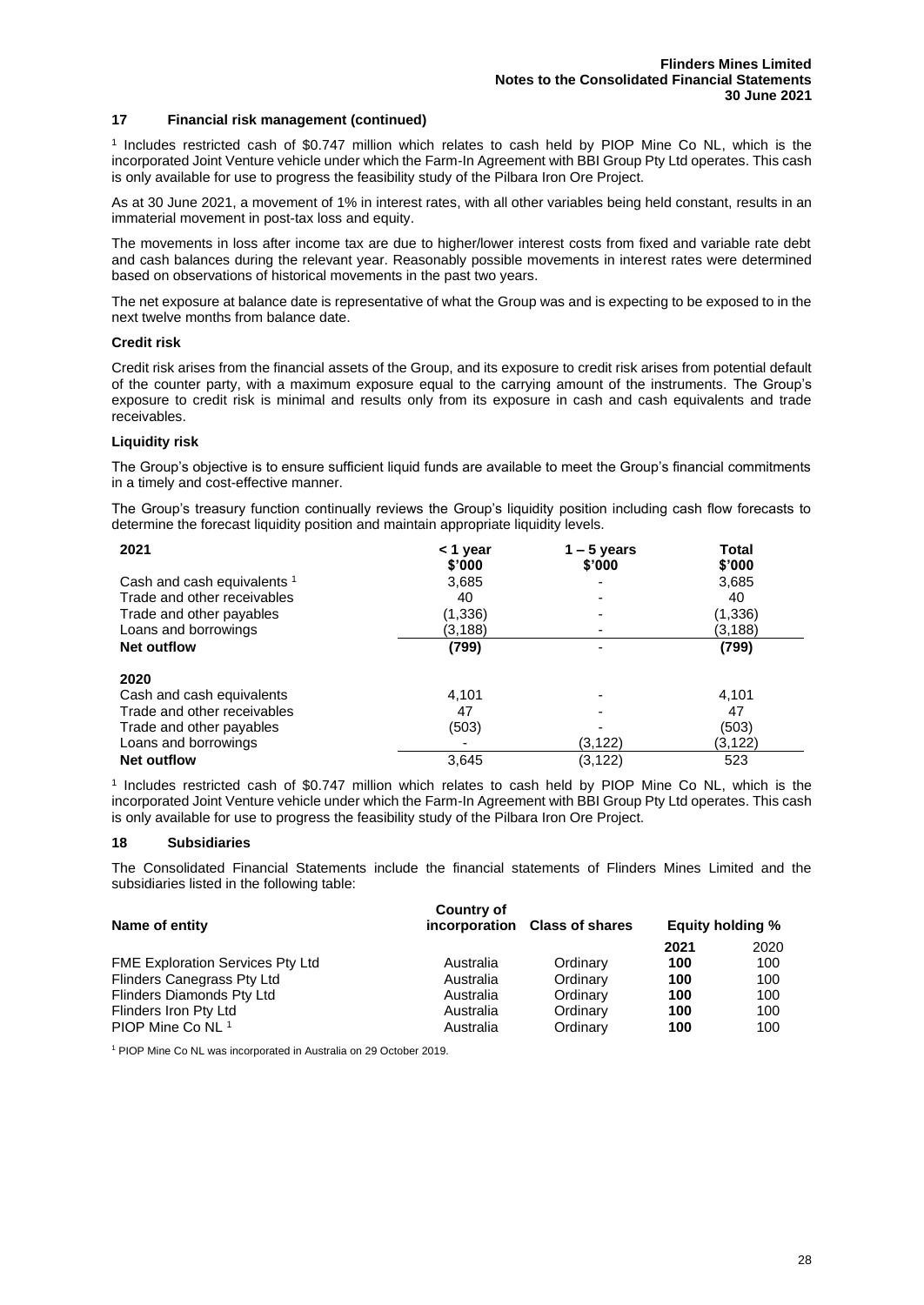#### **17 Financial risk management (continued)**

1 Includes restricted cash of \$0.747 million which relates to cash held by PIOP Mine Co NL, which is the incorporated Joint Venture vehicle under which the Farm-In Agreement with BBI Group Pty Ltd operates. This cash is only available for use to progress the feasibility study of the Pilbara Iron Ore Project.

As at 30 June 2021, a movement of 1% in interest rates, with all other variables being held constant, results in an immaterial movement in post-tax loss and equity.

The movements in loss after income tax are due to higher/lower interest costs from fixed and variable rate debt and cash balances during the relevant year. Reasonably possible movements in interest rates were determined based on observations of historical movements in the past two years.

The net exposure at balance date is representative of what the Group was and is expecting to be exposed to in the next twelve months from balance date.

#### **Credit risk**

Credit risk arises from the financial assets of the Group, and its exposure to credit risk arises from potential default of the counter party, with a maximum exposure equal to the carrying amount of the instruments. The Group's exposure to credit risk is minimal and results only from its exposure in cash and cash equivalents and trade receivables.

#### **Liquidity risk**

The Group's objective is to ensure sufficient liquid funds are available to meet the Group's financial commitments in a timely and cost-effective manner.

The Group's treasury function continually reviews the Group's liquidity position including cash flow forecasts to determine the forecast liquidity position and maintain appropriate liquidity levels.

| 2021                                   | < 1 year | $1 - 5$ years | <b>Total</b> |
|----------------------------------------|----------|---------------|--------------|
|                                        | \$'000   | \$'000        | \$'000       |
| Cash and cash equivalents <sup>1</sup> | 3,685    |               | 3,685        |
| Trade and other receivables            | 40       |               | 40           |
| Trade and other payables               | (1, 336) |               | (1, 336)     |
| Loans and borrowings                   | (3.188)  |               | (3,188)      |
| <b>Net outflow</b>                     | (799)    |               | (799)        |
|                                        |          |               |              |
| 2020                                   |          |               |              |
| Cash and cash equivalents              | 4.101    |               | 4.101        |
| Trade and other receivables            | 47       |               | 47           |
| Trade and other payables               | (503)    |               | (503)        |
| Loans and borrowings                   |          | (3, 122)      | (3, 122)     |
| <b>Net outflow</b>                     | 3,645    | (3, 122)      | 523          |

1 Includes restricted cash of \$0.747 million which relates to cash held by PIOP Mine Co NL, which is the incorporated Joint Venture vehicle under which the Farm-In Agreement with BBI Group Pty Ltd operates. This cash is only available for use to progress the feasibility study of the Pilbara Iron Ore Project.

#### **18 Subsidiaries**

The Consolidated Financial Statements include the financial statements of Flinders Mines Limited and the subsidiaries listed in the following table:

| Name of entity                          | Country of | incorporation Class of shares | <b>Equity holding %</b> |      |
|-----------------------------------------|------------|-------------------------------|-------------------------|------|
|                                         |            |                               | 2021                    | 2020 |
| <b>FME Exploration Services Pty Ltd</b> | Australia  | Ordinary                      | 100                     | 100  |
| <b>Flinders Canegrass Pty Ltd</b>       | Australia  | Ordinary                      | 100                     | 100  |
| Flinders Diamonds Pty Ltd               | Australia  | Ordinary                      | 100                     | 100  |
| Flinders Iron Pty Ltd                   | Australia  | Ordinary                      | 100                     | 100  |
| PIOP Mine Co NL 1                       | Australia  | Ordinary                      | 100                     | 100  |

<sup>1</sup> PIOP Mine Co NL was incorporated in Australia on 29 October 2019.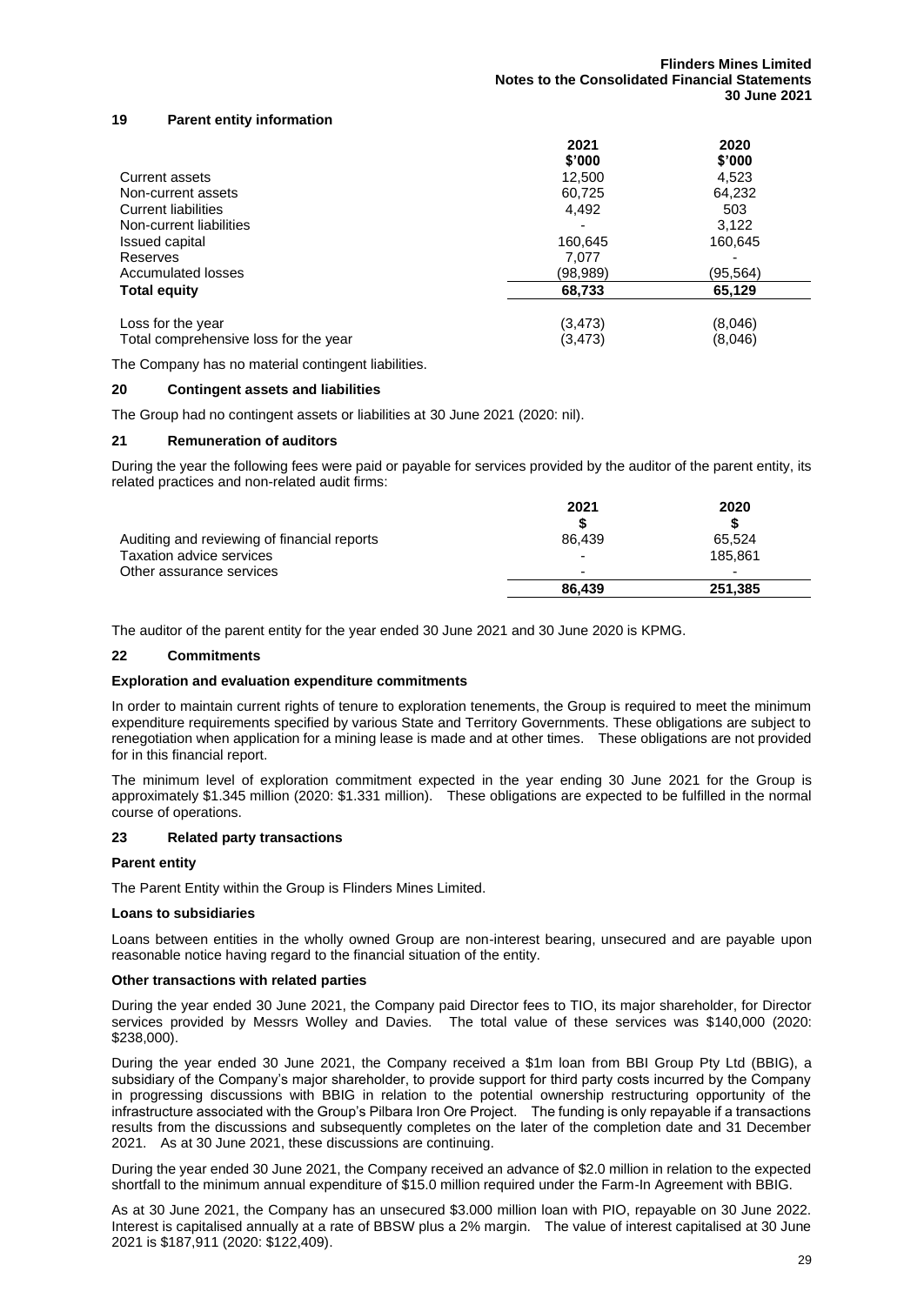#### **19 Parent entity information**

|                                       | 2021     | 2020     |
|---------------------------------------|----------|----------|
|                                       | \$'000   | \$'000   |
| Current assets                        | 12,500   | 4.523    |
| Non-current assets                    | 60,725   | 64,232   |
| Current liabilities                   | 4,492    | 503      |
| Non-current liabilities               |          | 3,122    |
| Issued capital                        | 160,645  | 160,645  |
| Reserves                              | 7.077    |          |
| Accumulated losses                    | (98,989) | (95,564) |
| <b>Total equity</b>                   | 68,733   | 65,129   |
| Loss for the year                     | (3, 473) | (8,046)  |
| Total comprehensive loss for the year | (3,473)  | (8,046)  |

The Company has no material contingent liabilities.

#### **20 Contingent assets and liabilities**

The Group had no contingent assets or liabilities at 30 June 2021 (2020: nil).

#### **21 Remuneration of auditors**

During the year the following fees were paid or payable for services provided by the auditor of the parent entity, its related practices and non-related audit firms:

|                                             | 2021                     | 2020                     |
|---------------------------------------------|--------------------------|--------------------------|
|                                             |                          |                          |
| Auditing and reviewing of financial reports | 86.439                   | 65.524                   |
| Taxation advice services                    | $\overline{\phantom{0}}$ | 185.861                  |
| Other assurance services                    | $\overline{\phantom{0}}$ | $\overline{\phantom{0}}$ |
|                                             | 86.439                   | 251.385                  |

The auditor of the parent entity for the year ended 30 June 2021 and 30 June 2020 is KPMG.

#### **22 Commitments**

#### **Exploration and evaluation expenditure commitments**

In order to maintain current rights of tenure to exploration tenements, the Group is required to meet the minimum expenditure requirements specified by various State and Territory Governments. These obligations are subject to renegotiation when application for a mining lease is made and at other times. These obligations are not provided for in this financial report.

The minimum level of exploration commitment expected in the year ending 30 June 2021 for the Group is approximately \$1.345 million (2020: \$1.331 million). These obligations are expected to be fulfilled in the normal course of operations.

#### **23 Related party transactions**

#### **Parent entity**

The Parent Entity within the Group is Flinders Mines Limited.

#### **Loans to subsidiaries**

Loans between entities in the wholly owned Group are non-interest bearing, unsecured and are payable upon reasonable notice having regard to the financial situation of the entity.

#### **Other transactions with related parties**

During the year ended 30 June 2021, the Company paid Director fees to TIO, its major shareholder, for Director services provided by Messrs Wolley and Davies. The total value of these services was \$140,000 (2020: \$238,000).

During the year ended 30 June 2021, the Company received a \$1m loan from BBI Group Pty Ltd (BBIG), a subsidiary of the Company's major shareholder, to provide support for third party costs incurred by the Company in progressing discussions with BBIG in relation to the potential ownership restructuring opportunity of the infrastructure associated with the Group's Pilbara Iron Ore Project. The funding is only repayable if a transactions results from the discussions and subsequently completes on the later of the completion date and 31 December 2021. As at 30 June 2021, these discussions are continuing.

During the year ended 30 June 2021, the Company received an advance of \$2.0 million in relation to the expected shortfall to the minimum annual expenditure of \$15.0 million required under the Farm-In Agreement with BBIG.

As at 30 June 2021, the Company has an unsecured \$3.000 million loan with PIO, repayable on 30 June 2022. Interest is capitalised annually at a rate of BBSW plus a 2% margin. The value of interest capitalised at 30 June 2021 is \$187,911 (2020: \$122,409).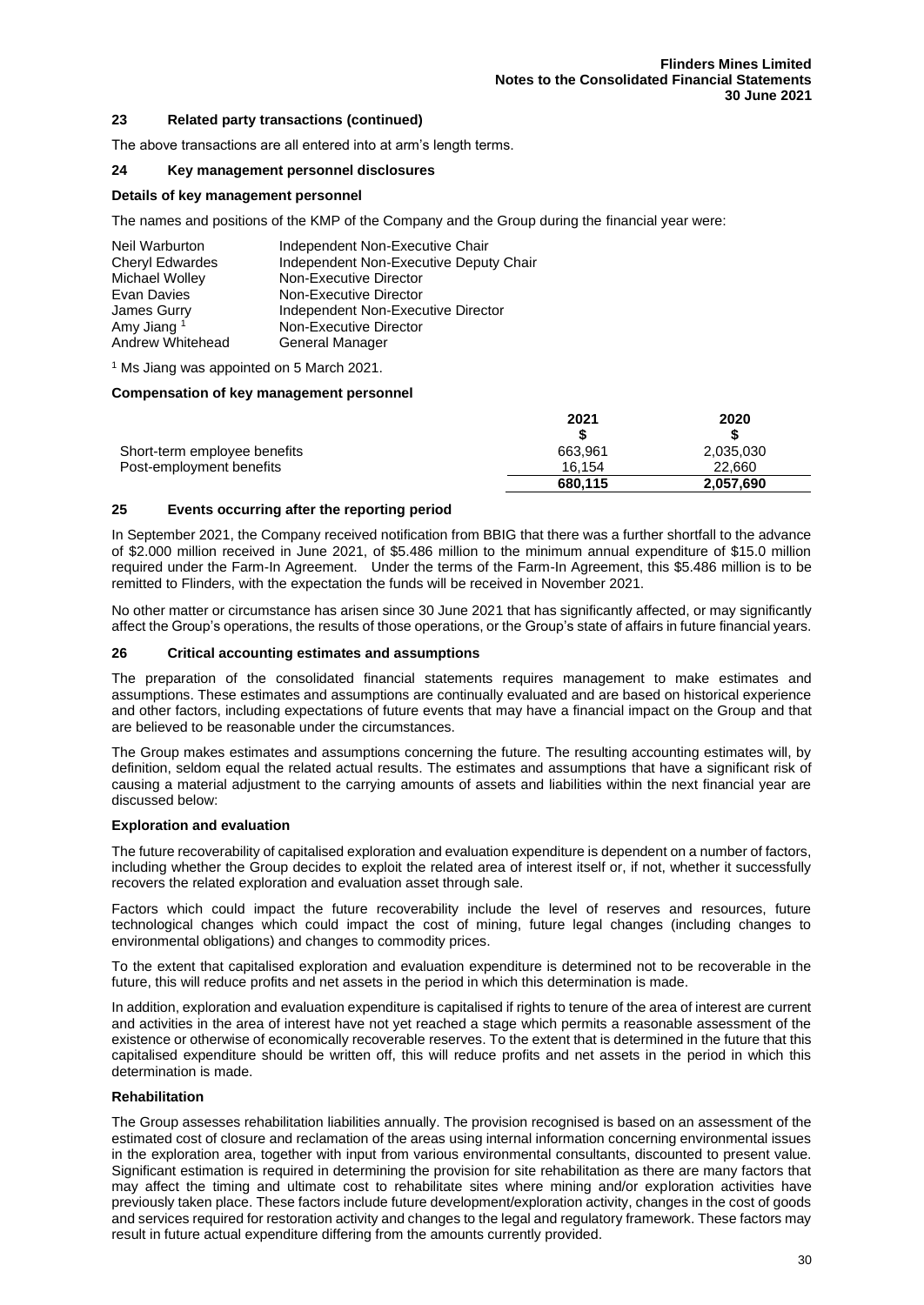#### **23 Related party transactions (continued)**

The above transactions are all entered into at arm's length terms.

#### **24 Key management personnel disclosures**

#### **Details of key management personnel**

The names and positions of the KMP of the Company and the Group during the financial year were:

| Neil Warburton         | Independent Non-Executive Chair        |
|------------------------|----------------------------------------|
| Cheryl Edwardes        | Independent Non-Executive Deputy Chair |
| Michael Wolley         | Non-Executive Director                 |
| Evan Davies            | Non-Executive Director                 |
| James Gurry            | Independent Non-Executive Director     |
| Amy Jiang <sup>1</sup> | Non-Executive Director                 |
| Andrew Whitehead       | General Manager                        |

<sup>1</sup> Ms Jiang was appointed on 5 March 2021.

#### **Compensation of key management personnel**

|                              | 2021    | 2020      |
|------------------------------|---------|-----------|
|                              |         |           |
| Short-term employee benefits | 663.961 | 2,035,030 |
| Post-employment benefits     | 16.154  | 22.660    |
|                              | 680.115 | 2,057,690 |

#### **25 Events occurring after the reporting period**

In September 2021, the Company received notification from BBIG that there was a further shortfall to the advance of \$2.000 million received in June 2021, of \$5.486 million to the minimum annual expenditure of \$15.0 million required under the Farm-In Agreement. Under the terms of the Farm-In Agreement, this \$5.486 million is to be remitted to Flinders, with the expectation the funds will be received in November 2021.

No other matter or circumstance has arisen since 30 June 2021 that has significantly affected, or may significantly affect the Group's operations, the results of those operations, or the Group's state of affairs in future financial years.

#### **26 Critical accounting estimates and assumptions**

The preparation of the consolidated financial statements requires management to make estimates and assumptions. These estimates and assumptions are continually evaluated and are based on historical experience and other factors, including expectations of future events that may have a financial impact on the Group and that are believed to be reasonable under the circumstances.

The Group makes estimates and assumptions concerning the future. The resulting accounting estimates will, by definition, seldom equal the related actual results. The estimates and assumptions that have a significant risk of causing a material adjustment to the carrying amounts of assets and liabilities within the next financial year are discussed below:

#### **Exploration and evaluation**

The future recoverability of capitalised exploration and evaluation expenditure is dependent on a number of factors, including whether the Group decides to exploit the related area of interest itself or, if not, whether it successfully recovers the related exploration and evaluation asset through sale.

Factors which could impact the future recoverability include the level of reserves and resources, future technological changes which could impact the cost of mining, future legal changes (including changes to environmental obligations) and changes to commodity prices.

To the extent that capitalised exploration and evaluation expenditure is determined not to be recoverable in the future, this will reduce profits and net assets in the period in which this determination is made.

In addition, exploration and evaluation expenditure is capitalised if rights to tenure of the area of interest are current and activities in the area of interest have not yet reached a stage which permits a reasonable assessment of the existence or otherwise of economically recoverable reserves. To the extent that is determined in the future that this capitalised expenditure should be written off, this will reduce profits and net assets in the period in which this determination is made.

#### **Rehabilitation**

The Group assesses rehabilitation liabilities annually. The provision recognised is based on an assessment of the estimated cost of closure and reclamation of the areas using internal information concerning environmental issues in the exploration area, together with input from various environmental consultants, discounted to present value. Significant estimation is required in determining the provision for site rehabilitation as there are many factors that may affect the timing and ultimate cost to rehabilitate sites where mining and/or exploration activities have previously taken place. These factors include future development/exploration activity, changes in the cost of goods and services required for restoration activity and changes to the legal and regulatory framework. These factors may result in future actual expenditure differing from the amounts currently provided.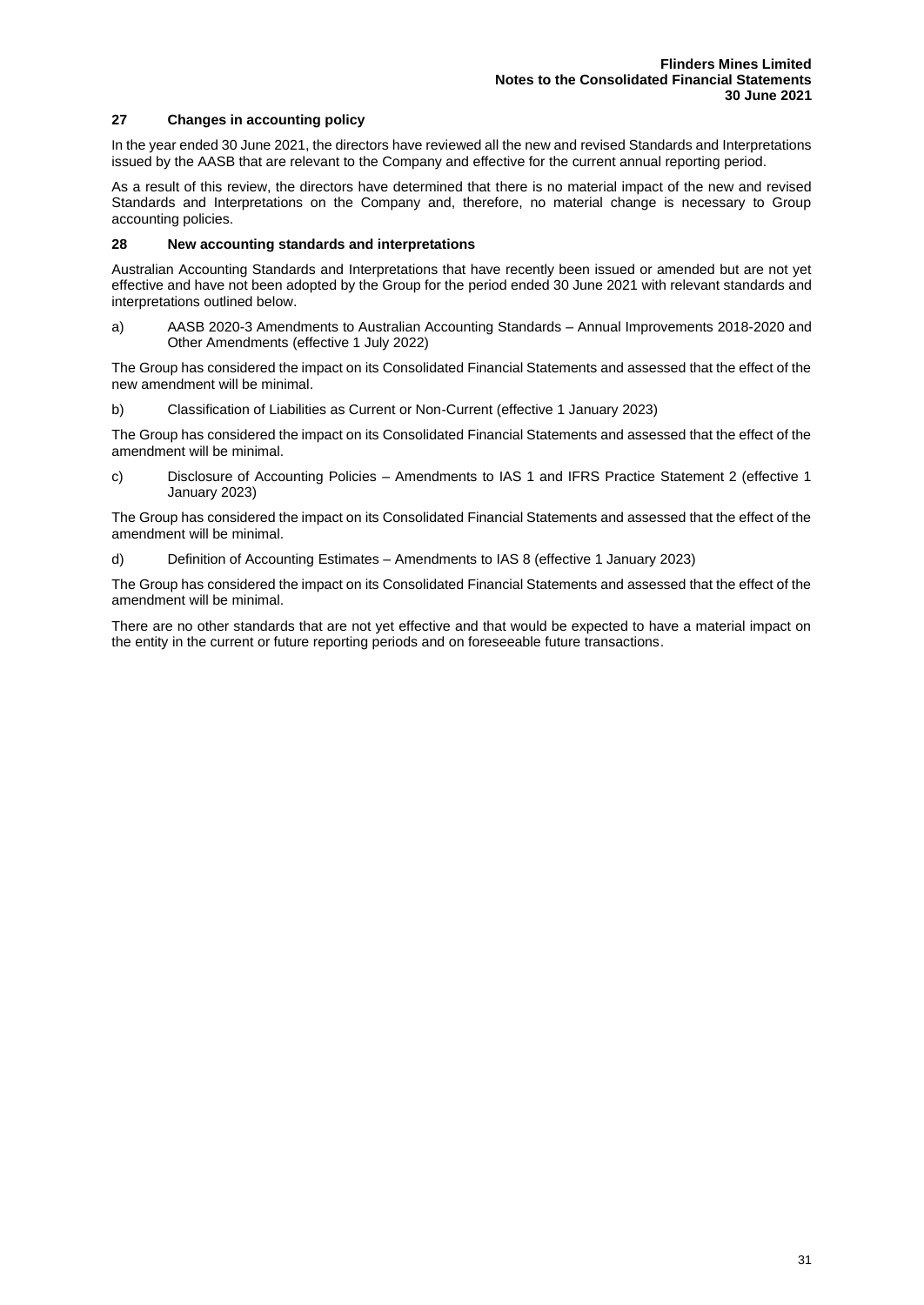#### **27 Changes in accounting policy**

In the year ended 30 June 2021, the directors have reviewed all the new and revised Standards and Interpretations issued by the AASB that are relevant to the Company and effective for the current annual reporting period.

As a result of this review, the directors have determined that there is no material impact of the new and revised Standards and Interpretations on the Company and, therefore, no material change is necessary to Group accounting policies.

#### **28 New accounting standards and interpretations**

Australian Accounting Standards and Interpretations that have recently been issued or amended but are not yet effective and have not been adopted by the Group for the period ended 30 June 2021 with relevant standards and interpretations outlined below.

a) AASB 2020-3 Amendments to Australian Accounting Standards – Annual Improvements 2018-2020 and Other Amendments (effective 1 July 2022)

The Group has considered the impact on its Consolidated Financial Statements and assessed that the effect of the new amendment will be minimal.

b) Classification of Liabilities as Current or Non-Current (effective 1 January 2023)

The Group has considered the impact on its Consolidated Financial Statements and assessed that the effect of the amendment will be minimal.

c) Disclosure of Accounting Policies – Amendments to IAS 1 and IFRS Practice Statement 2 (effective 1 January 2023)

The Group has considered the impact on its Consolidated Financial Statements and assessed that the effect of the amendment will be minimal.

d) Definition of Accounting Estimates – Amendments to IAS 8 (effective 1 January 2023)

The Group has considered the impact on its Consolidated Financial Statements and assessed that the effect of the amendment will be minimal.

There are no other standards that are not yet effective and that would be expected to have a material impact on the entity in the current or future reporting periods and on foreseeable future transactions.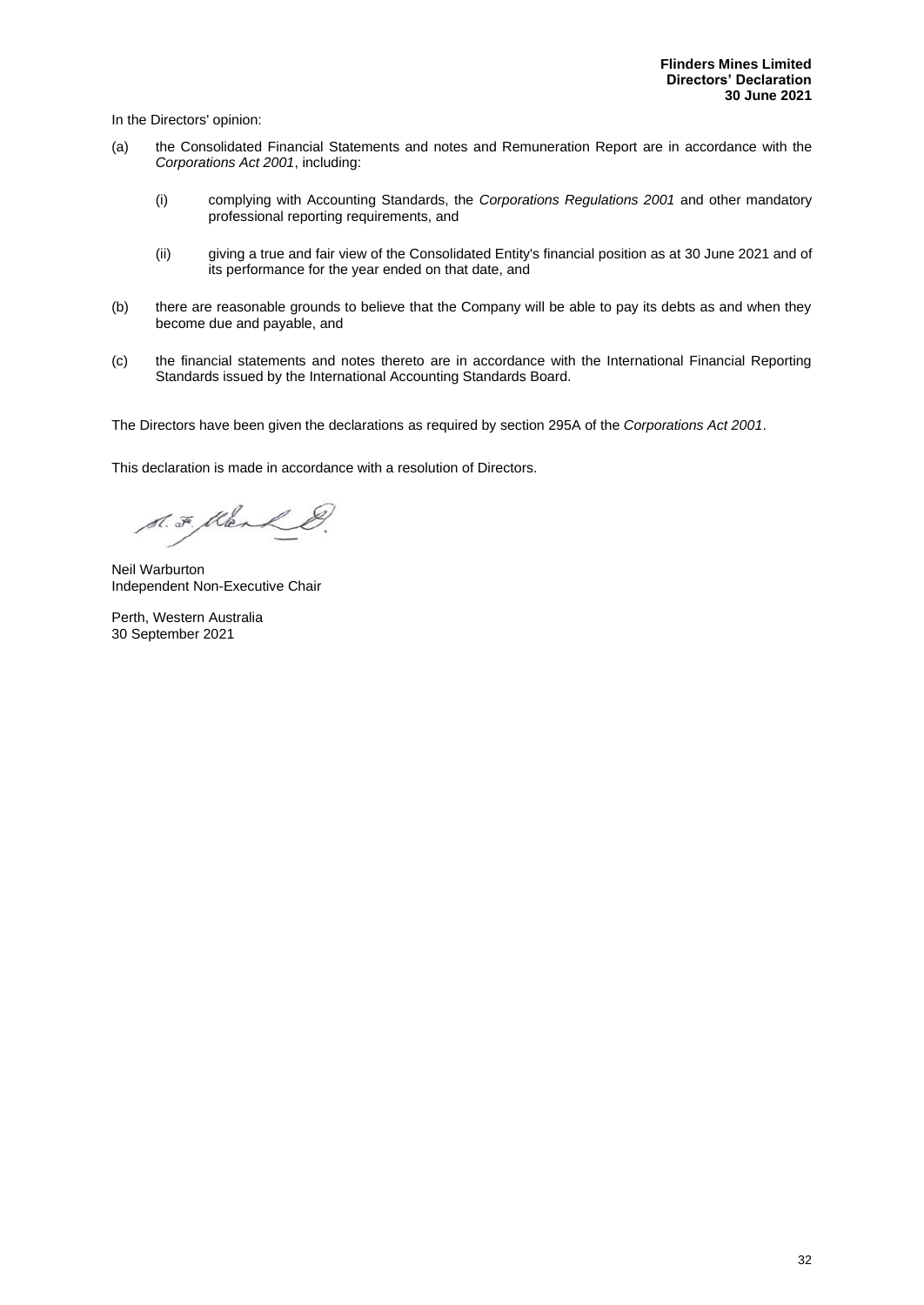In the Directors' opinion:

- (a) the Consolidated Financial Statements and notes and Remuneration Report are in accordance with the *Corporations Act 2001*, including:
	- (i) complying with Accounting Standards, the *Corporations Regulations 2001* and other mandatory professional reporting requirements, and
	- (ii) giving a true and fair view of the Consolidated Entity's financial position as at 30 June 2021 and of its performance for the year ended on that date, and
- (b) there are reasonable grounds to believe that the Company will be able to pay its debts as and when they become due and payable, and
- (c) the financial statements and notes thereto are in accordance with the International Financial Reporting Standards issued by the International Accounting Standards Board.

The Directors have been given the declarations as required by section 295A of the *Corporations Act 2001*.

This declaration is made in accordance with a resolution of Directors.

S.F. Klerk &.

Neil Warburton Independent Non-Executive Chair

Perth, Western Australia 30 September 2021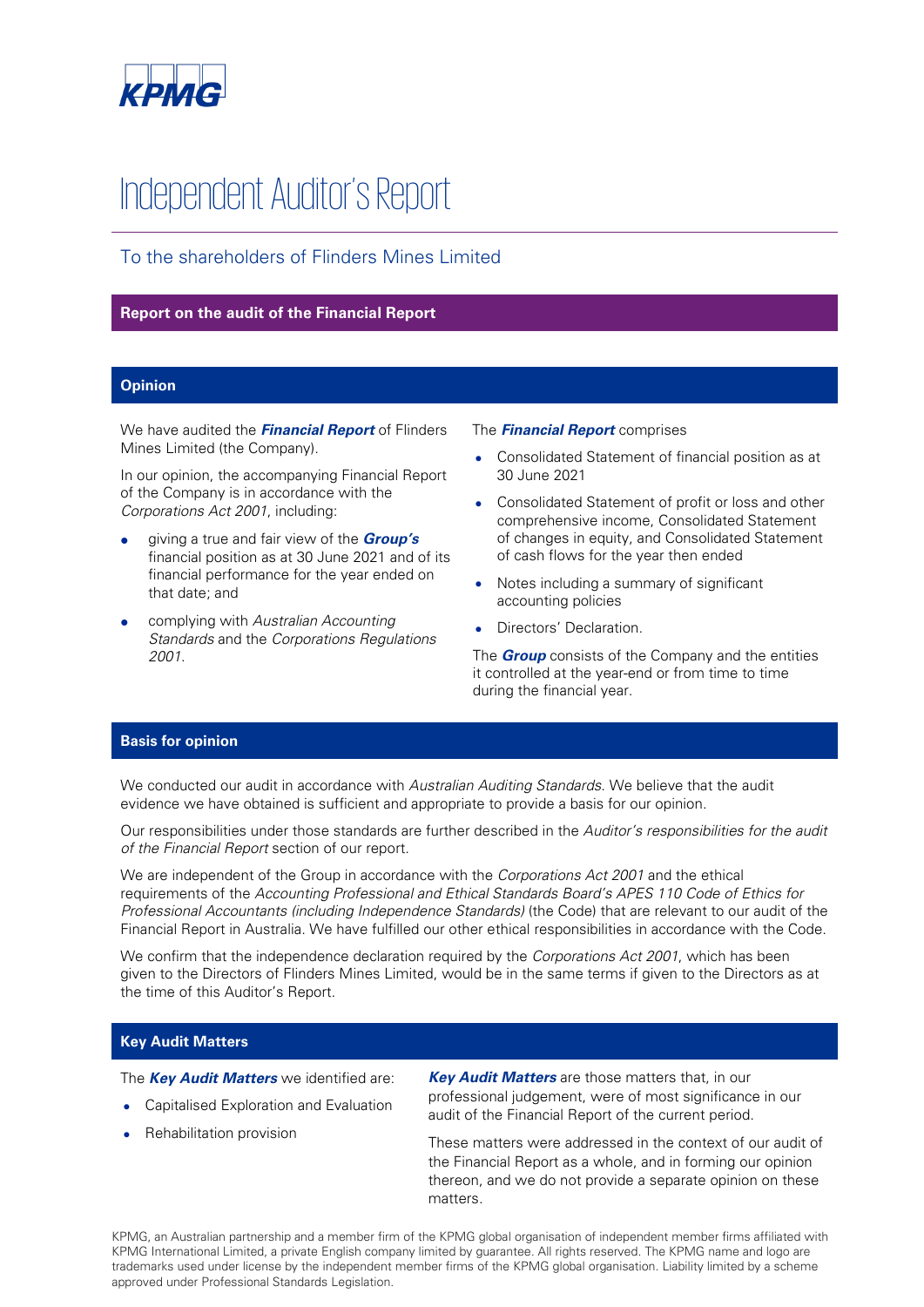

# Independent Auditor's Report

# To the shareholders of Flinders Mines Limited

## **Report on the audit of the Financial Report**

### **Opinion**

We have audited the **Financial Report** of Flinders Mines Limited (the Company).

In our opinion, the accompanying Financial Report of the Company is in accordance with the Corporations Act 2001, including:

- giving a true and fair view of the **Group's**  financial position as at 30 June 2021 and of its financial performance for the year ended on that date; and
- complying with Australian Accounting Standards and the Corporations Regulations 2001.

#### The **Financial Report** comprises

- Consolidated Statement of financial position as at 30 June 2021
- Consolidated Statement of profit or loss and other comprehensive income, Consolidated Statement of changes in equity, and Consolidated Statement of cash flows for the year then ended
- Notes including a summary of significant accounting policies
- Directors' Declaration.

The **Group** consists of the Company and the entities it controlled at the year-end or from time to time during the financial year.

#### **Basis for opinion**

We conducted our audit in accordance with Australian Auditing Standards. We believe that the audit evidence we have obtained is sufficient and appropriate to provide a basis for our opinion.

Our responsibilities under those standards are further described in the Auditor's responsibilities for the audit of the Financial Report section of our report.

We are independent of the Group in accordance with the Corporations Act 2001 and the ethical requirements of the Accounting Professional and Ethical Standards Board's APES 110 Code of Ethics for Professional Accountants (including Independence Standards) (the Code) that are relevant to our audit of the Financial Report in Australia. We have fulfilled our other ethical responsibilities in accordance with the Code.

We confirm that the independence declaration required by the Corporations Act 2001, which has been given to the Directors of Flinders Mines Limited, would be in the same terms if given to the Directors as at the time of this Auditor's Report.

#### **Key Audit Matters**

The **Key Audit Matters** we identified are:

- Capitalised Exploration and Evaluation
- Rehabilitation provision

**Key Audit Matters** are those matters that, in our professional judgement, were of most significance in our audit of the Financial Report of the current period.

These matters were addressed in the context of our audit of the Financial Report as a whole, and in forming our opinion thereon, and we do not provide a separate opinion on these matters.

KPMG, an Australian partnership and a member firm of the KPMG global organisation of independent member firms affiliated with KPMG International Limited, a private English company limited by guarantee. All rights reserved. The KPMG name and logo are trademarks used under license by the independent member firms of the KPMG global organisation. Liability limited by a scheme approved under Professional Standards Legislation.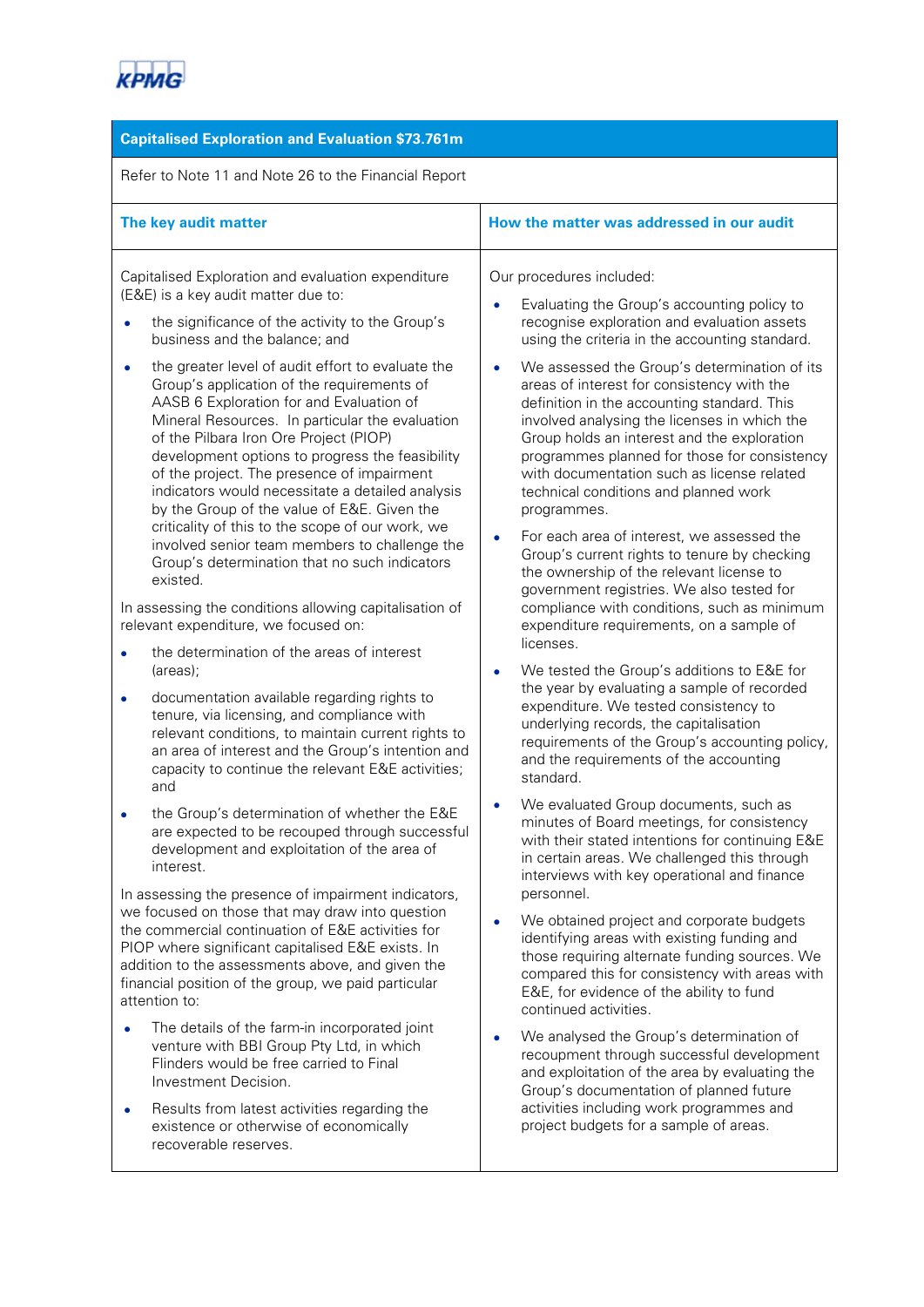

# **Capitalised Exploration and Evaluation \$73.761m**

Refer to Note 11 and Note 26 to the Financial Report

| How the matter was addressed in our audit                                                                                                                                                                                                                                                                                                                                                                                                                                                                                                                              |
|------------------------------------------------------------------------------------------------------------------------------------------------------------------------------------------------------------------------------------------------------------------------------------------------------------------------------------------------------------------------------------------------------------------------------------------------------------------------------------------------------------------------------------------------------------------------|
| Our procedures included:<br>Evaluating the Group's accounting policy to<br>$\bullet$<br>recognise exploration and evaluation assets<br>using the criteria in the accounting standard.                                                                                                                                                                                                                                                                                                                                                                                  |
| We assessed the Group's determination of its<br>$\bullet$<br>areas of interest for consistency with the<br>definition in the accounting standard. This<br>involved analysing the licenses in which the<br>Group holds an interest and the exploration<br>programmes planned for those for consistency<br>with documentation such as license related<br>technical conditions and planned work<br>programmes.<br>For each area of interest, we assessed the<br>$\bullet$                                                                                                 |
| Group's current rights to tenure by checking<br>the ownership of the relevant license to<br>government registries. We also tested for<br>compliance with conditions, such as minimum                                                                                                                                                                                                                                                                                                                                                                                   |
| expenditure requirements, on a sample of<br>licenses.                                                                                                                                                                                                                                                                                                                                                                                                                                                                                                                  |
| We tested the Group's additions to E&E for<br>the year by evaluating a sample of recorded<br>expenditure. We tested consistency to<br>underlying records, the capitalisation<br>requirements of the Group's accounting policy,<br>and the requirements of the accounting<br>standard.                                                                                                                                                                                                                                                                                  |
| We evaluated Group documents, such as<br>$\bullet$<br>minutes of Board meetings, for consistency<br>with their stated intentions for continuing E&E<br>in certain areas. We challenged this through<br>interviews with key operational and finance                                                                                                                                                                                                                                                                                                                     |
| personnel.<br>We obtained project and corporate budgets<br>identifying areas with existing funding and<br>those requiring alternate funding sources. We<br>compared this for consistency with areas with<br>E&E, for evidence of the ability to fund<br>continued activities.<br>We analysed the Group's determination of<br>$\bullet$<br>recoupment through successful development<br>and exploitation of the area by evaluating the<br>Group's documentation of planned future<br>activities including work programmes and<br>project budgets for a sample of areas. |
|                                                                                                                                                                                                                                                                                                                                                                                                                                                                                                                                                                        |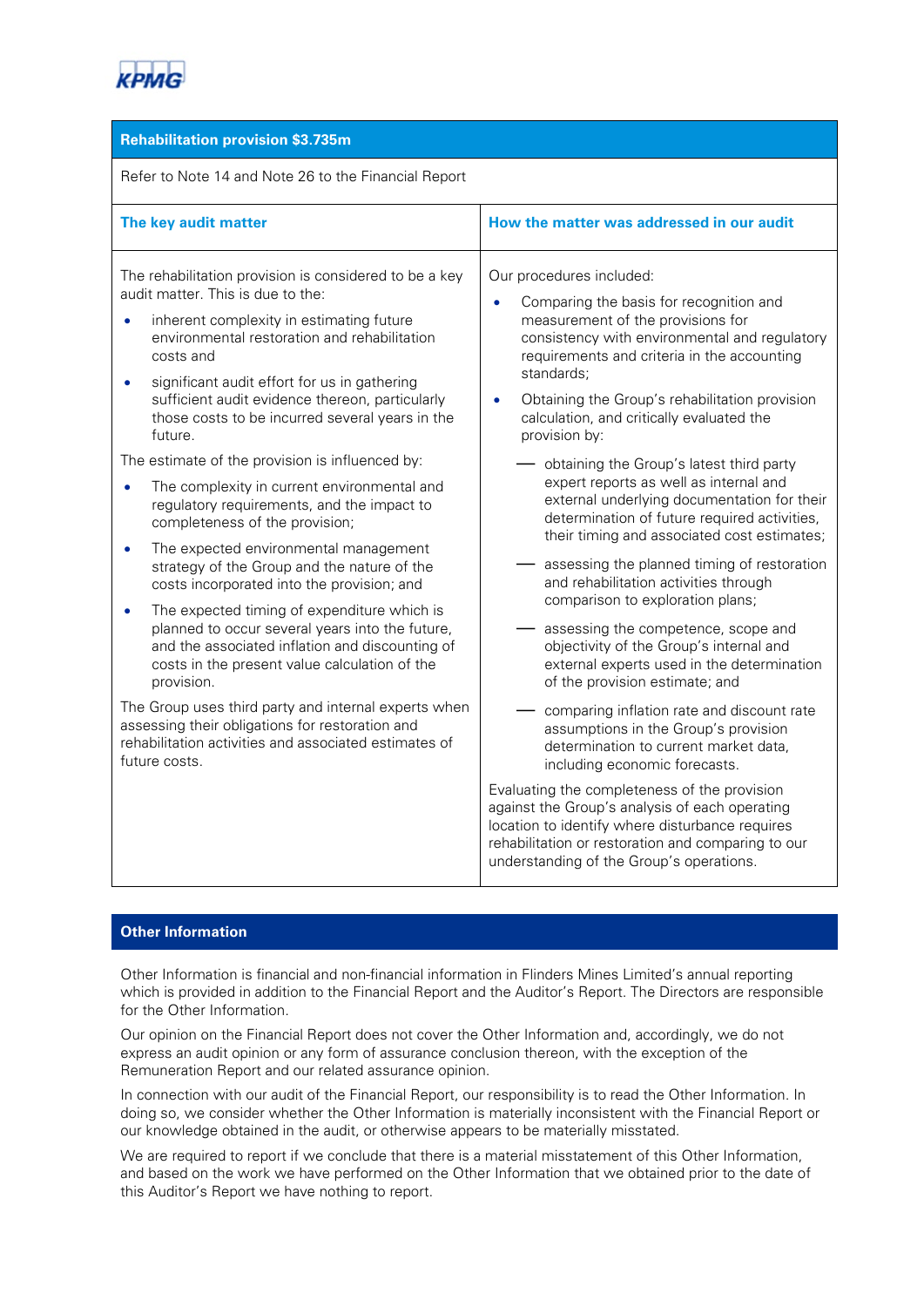

#### **Rehabilitation provision \$3.735m**

Refer to Note 14 and Note 26 to the Financial Report

| The key audit matter                                                                                                                                                                                                                                                                                                                                                                                                                                                                                                                                                                                                                                                                                                                                                                                                                                                                                                                                                                                                                                                                                   | How the matter was addressed in our audit                                                                                                                                                                                                                                                                                                                                                                                                                                                                                                                                                                                                                                                                                                                                                                                                                                                                                                                                                                                                                                                                                                                                                                                                                                                                    |
|--------------------------------------------------------------------------------------------------------------------------------------------------------------------------------------------------------------------------------------------------------------------------------------------------------------------------------------------------------------------------------------------------------------------------------------------------------------------------------------------------------------------------------------------------------------------------------------------------------------------------------------------------------------------------------------------------------------------------------------------------------------------------------------------------------------------------------------------------------------------------------------------------------------------------------------------------------------------------------------------------------------------------------------------------------------------------------------------------------|--------------------------------------------------------------------------------------------------------------------------------------------------------------------------------------------------------------------------------------------------------------------------------------------------------------------------------------------------------------------------------------------------------------------------------------------------------------------------------------------------------------------------------------------------------------------------------------------------------------------------------------------------------------------------------------------------------------------------------------------------------------------------------------------------------------------------------------------------------------------------------------------------------------------------------------------------------------------------------------------------------------------------------------------------------------------------------------------------------------------------------------------------------------------------------------------------------------------------------------------------------------------------------------------------------------|
| The rehabilitation provision is considered to be a key<br>audit matter. This is due to the:<br>inherent complexity in estimating future<br>environmental restoration and rehabilitation<br>costs and<br>significant audit effort for us in gathering<br>sufficient audit evidence thereon, particularly<br>those costs to be incurred several years in the<br>future.<br>The estimate of the provision is influenced by:<br>The complexity in current environmental and<br>regulatory requirements, and the impact to<br>completeness of the provision;<br>The expected environmental management<br>strategy of the Group and the nature of the<br>costs incorporated into the provision; and<br>The expected timing of expenditure which is<br>planned to occur several years into the future,<br>and the associated inflation and discounting of<br>costs in the present value calculation of the<br>provision.<br>The Group uses third party and internal experts when<br>assessing their obligations for restoration and<br>rehabilitation activities and associated estimates of<br>future costs. | Our procedures included:<br>Comparing the basis for recognition and<br>$\bullet$<br>measurement of the provisions for<br>consistency with environmental and regulatory<br>requirements and criteria in the accounting<br>standards;<br>Obtaining the Group's rehabilitation provision<br>calculation, and critically evaluated the<br>provision by:<br>obtaining the Group's latest third party<br>expert reports as well as internal and<br>external underlying documentation for their<br>determination of future required activities,<br>their timing and associated cost estimates;<br>assessing the planned timing of restoration<br>and rehabilitation activities through<br>comparison to exploration plans;<br>assessing the competence, scope and<br>objectivity of the Group's internal and<br>external experts used in the determination<br>of the provision estimate; and<br>comparing inflation rate and discount rate<br>assumptions in the Group's provision<br>determination to current market data.<br>including economic forecasts.<br>Evaluating the completeness of the provision<br>against the Group's analysis of each operating<br>location to identify where disturbance requires<br>rehabilitation or restoration and comparing to our<br>understanding of the Group's operations. |

## **Other Information**

Other Information is financial and non-financial information in Flinders Mines Limited's annual reporting which is provided in addition to the Financial Report and the Auditor's Report. The Directors are responsible for the Other Information.

Our opinion on the Financial Report does not cover the Other Information and, accordingly, we do not express an audit opinion or any form of assurance conclusion thereon, with the exception of the Remuneration Report and our related assurance opinion.

In connection with our audit of the Financial Report, our responsibility is to read the Other Information. In doing so, we consider whether the Other Information is materially inconsistent with the Financial Report or our knowledge obtained in the audit, or otherwise appears to be materially misstated.

We are required to report if we conclude that there is a material misstatement of this Other Information, and based on the work we have performed on the Other Information that we obtained prior to the date of this Auditor's Report we have nothing to report.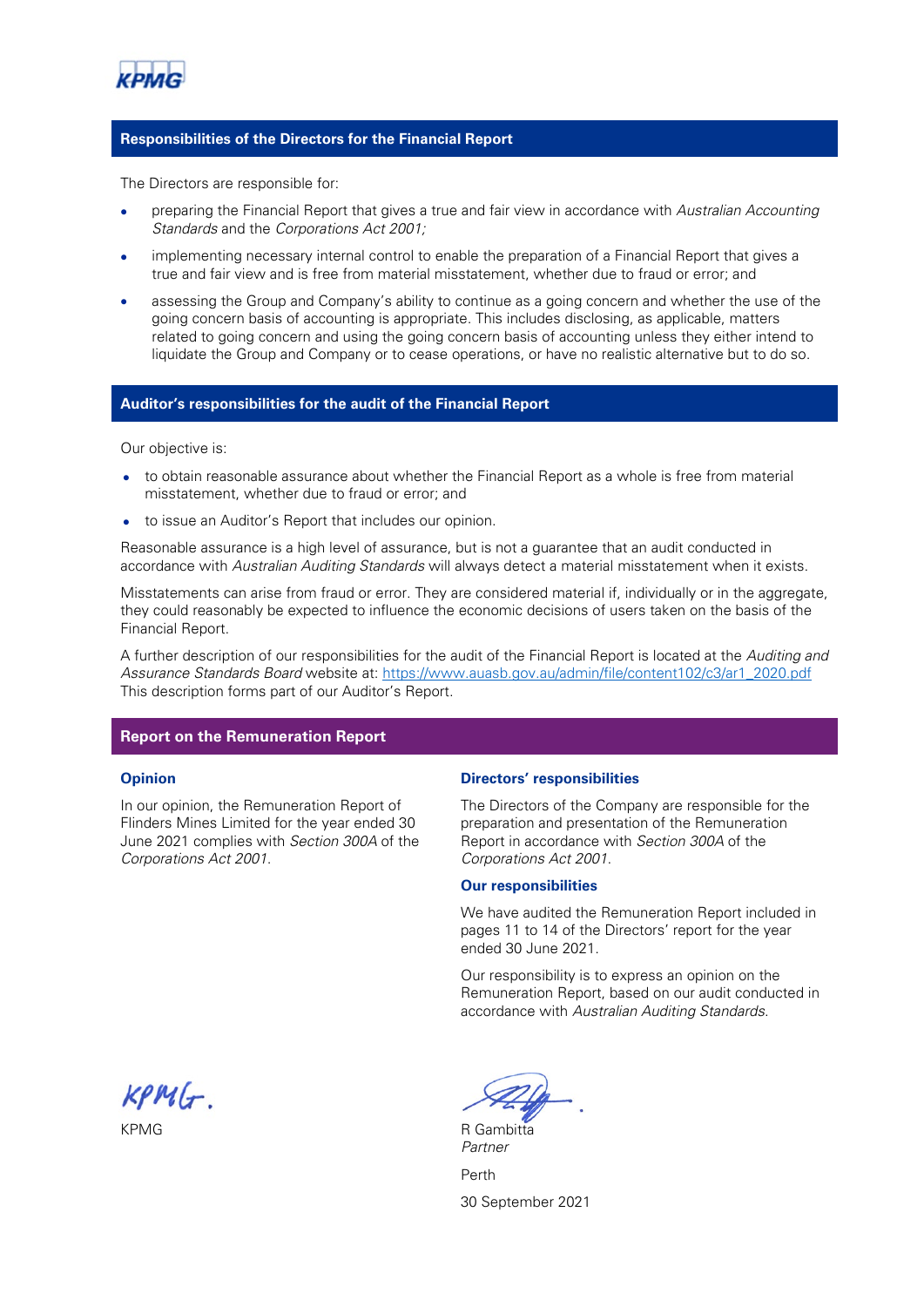

#### **Responsibilities of the Directors for the Financial Report**

The Directors are responsible for:

- preparing the Financial Report that gives a true and fair view in accordance with Australian Accounting Standards and the Corporations Act 2001;
- implementing necessary internal control to enable the preparation of a Financial Report that gives a true and fair view and is free from material misstatement, whether due to fraud or error; and
- assessing the Group and Company's ability to continue as a going concern and whether the use of the going concern basis of accounting is appropriate. This includes disclosing, as applicable, matters related to going concern and using the going concern basis of accounting unless they either intend to liquidate the Group and Company or to cease operations, or have no realistic alternative but to do so.

#### **Auditor's responsibilities for the audit of the Financial Report**

Our objective is:

- to obtain reasonable assurance about whether the Financial Report as a whole is free from material misstatement, whether due to fraud or error; and
- to issue an Auditor's Report that includes our opinion.

Reasonable assurance is a high level of assurance, but is not a guarantee that an audit conducted in accordance with Australian Auditing Standards will always detect a material misstatement when it exists.

Misstatements can arise from fraud or error. They are considered material if, individually or in the aggregate, they could reasonably be expected to influence the economic decisions of users taken on the basis of the Financial Report.

A further description of our responsibilities for the audit of the Financial Report is located at the Auditing and Assurance Standards Board website at: [https://www.auasb.gov.au/admin/file/content102/c3/ar1\\_2020.pdf](https://www.auasb.gov.au/admin/file/content102/c3/ar1_2020.pdf) This description forms part of our Auditor's Report.

#### **Report on the Remuneration Report**

#### **Opinion**

In our opinion, the Remuneration Report of Flinders Mines Limited for the year ended 30 June 2021 complies with Section 300A of the Corporations Act 2001.

#### **Directors' responsibilities**

The Directors of the Company are responsible for the preparation and presentation of the Remuneration Report in accordance with Section 300A of the Corporations Act 2001.

#### **Our responsibilities**

We have audited the Remuneration Report included in pages 11 to 14 of the Directors' report for the year ended 30 June 2021.

Our responsibility is to express an opinion on the Remuneration Report, based on our audit conducted in accordance with Australian Auditing Standards.

 $KPMG$ .

KPMG R Gambitta

Partner Perth 30 September 2021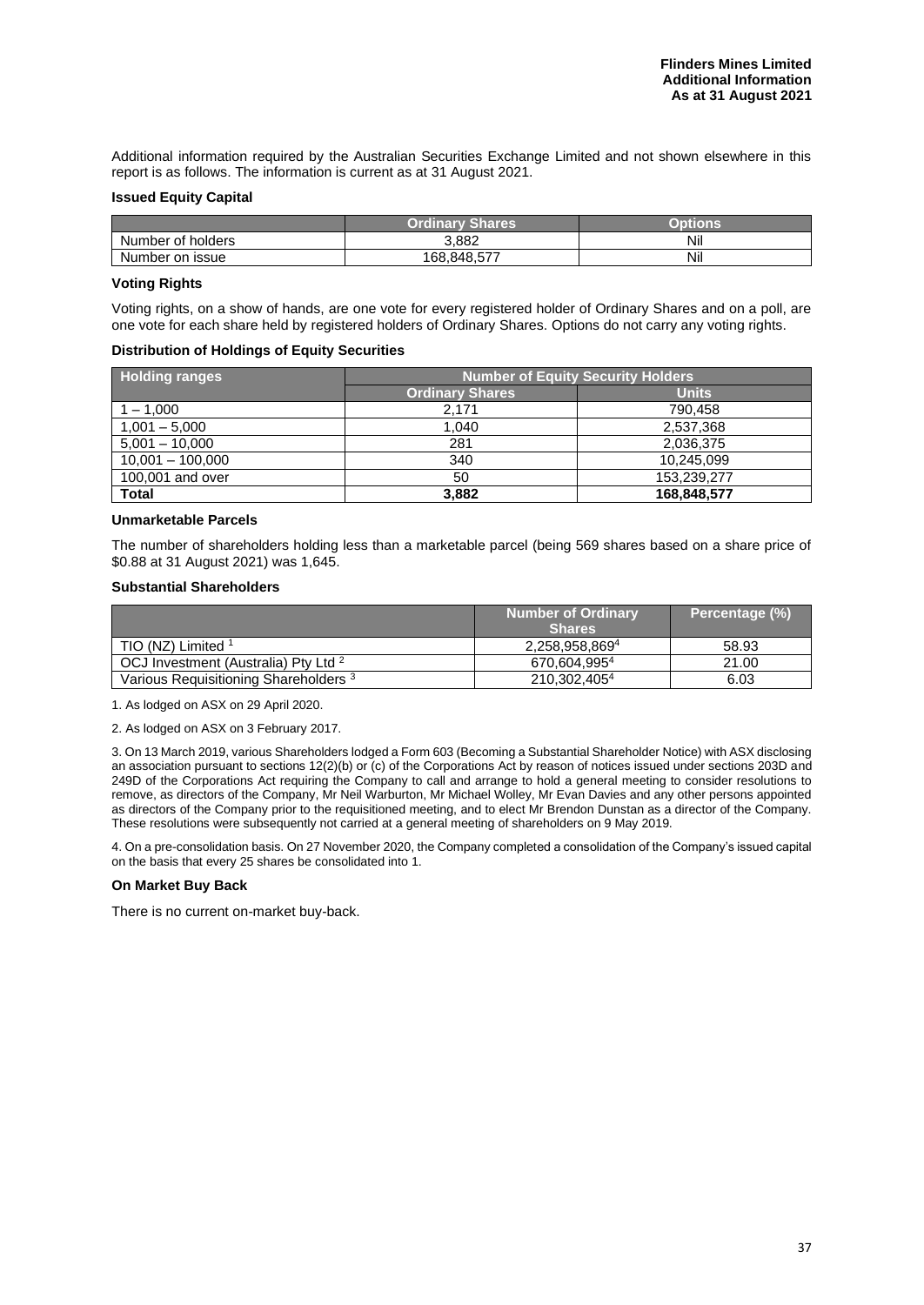Additional information required by the Australian Securities Exchange Limited and not shown elsewhere in this report is as follows. The information is current as at 31 August 2021.

#### **Issued Equity Capital**

|                   | Shares<br><b>Ordinary</b> |     |
|-------------------|---------------------------|-----|
| Number of holders | 3.882                     | Nil |
| Number on issue   | 168.848.577               | Nil |

#### **Voting Rights**

Voting rights, on a show of hands, are one vote for every registered holder of Ordinary Shares and on a poll, are one vote for each share held by registered holders of Ordinary Shares. Options do not carry any voting rights.

#### **Distribution of Holdings of Equity Securities**

| <b>Holding ranges</b> | <b>Number of Equity Security Holders</b> |              |  |
|-----------------------|------------------------------------------|--------------|--|
|                       | <b>Ordinary Shares</b>                   | <b>Units</b> |  |
| $-1.000$              | 2.171                                    | 790.458      |  |
| $1,001 - 5,000$       | 1.040                                    | 2,537,368    |  |
| $5,001 - 10,000$      | 281                                      | 2,036,375    |  |
| $10,001 - 100,000$    | 340                                      | 10,245,099   |  |
| 100,001 and over      | 50                                       | 153.239.277  |  |
| Total                 | 3.882                                    | 168,848,577  |  |

#### **Unmarketable Parcels**

The number of shareholders holding less than a marketable parcel (being 569 shares based on a share price of \$0.88 at 31 August 2021) was 1,645.

#### **Substantial Shareholders**

|                                                  | <b>Number of Ordinary</b> | Percentage (%) |
|--------------------------------------------------|---------------------------|----------------|
|                                                  | <b>Shares</b>             |                |
| TIO (NZ) Limited 1                               | 2.258.958.8694            | 58.93          |
| OCJ Investment (Australia) Pty Ltd <sup>2</sup>  | 670.604.9954              | 21.00          |
| Various Requisitioning Shareholders <sup>3</sup> | 210,302,4054              | 6.03           |

1. As lodged on ASX on 29 April 2020.

2. As lodged on ASX on 3 February 2017.

3. On 13 March 2019, various Shareholders lodged a Form 603 (Becoming a Substantial Shareholder Notice) with ASX disclosing an association pursuant to sections 12(2)(b) or (c) of the Corporations Act by reason of notices issued under sections 203D and 249D of the Corporations Act requiring the Company to call and arrange to hold a general meeting to consider resolutions to remove, as directors of the Company, Mr Neil Warburton, Mr Michael Wolley, Mr Evan Davies and any other persons appointed as directors of the Company prior to the requisitioned meeting, and to elect Mr Brendon Dunstan as a director of the Company. These resolutions were subsequently not carried at a general meeting of shareholders on 9 May 2019.

4. On a pre-consolidation basis. On 27 November 2020, the Company completed a consolidation of the Company's issued capital on the basis that every 25 shares be consolidated into 1.

#### **On Market Buy Back**

There is no current on-market buy-back.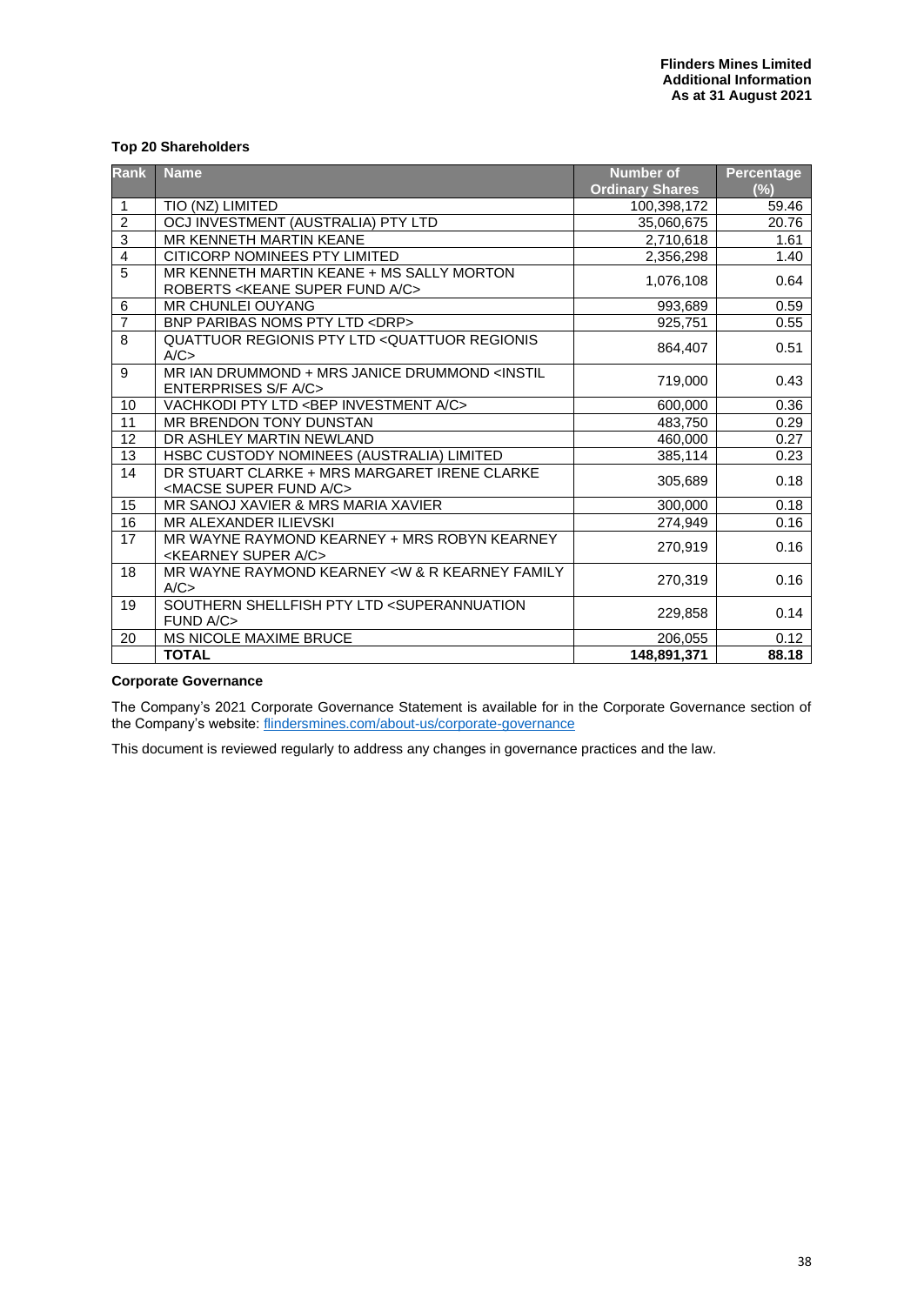#### **Top 20 Shareholders**

| <b>Rank</b>    | <b>Name</b>                                                                                 | <b>Number of</b><br><b>Ordinary Shares</b> | <b>Percentage</b><br>(%) |
|----------------|---------------------------------------------------------------------------------------------|--------------------------------------------|--------------------------|
| 1              | TIO (NZ) LIMITED                                                                            | 100,398,172                                | 59.46                    |
| $\overline{c}$ | OCJ INVESTMENT (AUSTRALIA) PTY LTD                                                          | 35,060,675                                 | 20.76                    |
| 3              | MR KENNETH MARTIN KEANE                                                                     | 2,710,618                                  | 1.61                     |
| $\overline{4}$ | CITICORP NOMINEES PTY LIMITED                                                               | 2,356,298                                  | 1.40                     |
| $\overline{5}$ | MR KENNETH MARTIN KEANE + MS SALLY MORTON<br>ROBERTS < KEANE SUPER FUND A/C>                | 1,076,108                                  | 0.64                     |
| 6              | <b>MR CHUNLEI OUYANG</b>                                                                    | 993,689                                    | 0.59                     |
| $\overline{7}$ | BNP PARIBAS NOMS PTY LTD <drp></drp>                                                        | 925,751                                    | 0.55                     |
| 8              | QUATTUOR REGIONIS PTY LTD <quattuor regionis<br="">A/C</quattuor>                           | 864,407                                    | 0.51                     |
| 9              | MR IAN DRUMMOND + MRS JANICE DRUMMOND <instil<br><b>ENTERPRISES S/F A/C&gt;</b></instil<br> | 719,000                                    | 0.43                     |
| 10             | VACHKODI PTY LTD <bep a="" c="" investment=""></bep>                                        | 600,000                                    | 0.36                     |
| 11             | MR BRENDON TONY DUNSTAN                                                                     | 483,750                                    | 0.29                     |
| 12             | DR ASHLEY MARTIN NEWLAND                                                                    | 460,000                                    | 0.27                     |
| 13             | HSBC CUSTODY NOMINEES (AUSTRALIA) LIMITED                                                   | 385,114                                    | 0.23                     |
| 14             | DR STUART CLARKE + MRS MARGARET IRENE CLARKE<br><macse a="" c="" fund="" super=""></macse>  | 305,689                                    | 0.18                     |
| 15             | MR SANOJ XAVIER & MRS MARIA XAVIER                                                          | 300,000                                    | 0.18                     |
| 16             | MR ALEXANDER ILIEVSKI                                                                       | 274,949                                    | 0.16                     |
| 17             | MR WAYNE RAYMOND KEARNEY + MRS ROBYN KEARNEY<br><kearney a="" c="" super=""></kearney>      | 270,919                                    | 0.16                     |
| 18             | MR WAYNE RAYMOND KEARNEY < W & R KEARNEY FAMILY<br>A/C                                      | 270,319                                    | 0.16                     |
| 19             | SOUTHERN SHELLFISH PTY LTD <superannuation<br>FUND A/C&gt;</superannuation<br>              | 229,858                                    | 0.14                     |
| 20             | MS NICOLE MAXIME BRUCE                                                                      | 206,055                                    | 0.12                     |
|                | <b>TOTAL</b>                                                                                | 148,891,371                                | 88.18                    |

#### **Corporate Governance**

The Company's 2021 Corporate Governance Statement is available for in the Corporate Governance section of the Company's website: [flindersmines.com/about-us/corporate-governance](http://flindersmines.com/about-us/corporate-governance)

This document is reviewed regularly to address any changes in governance practices and the law.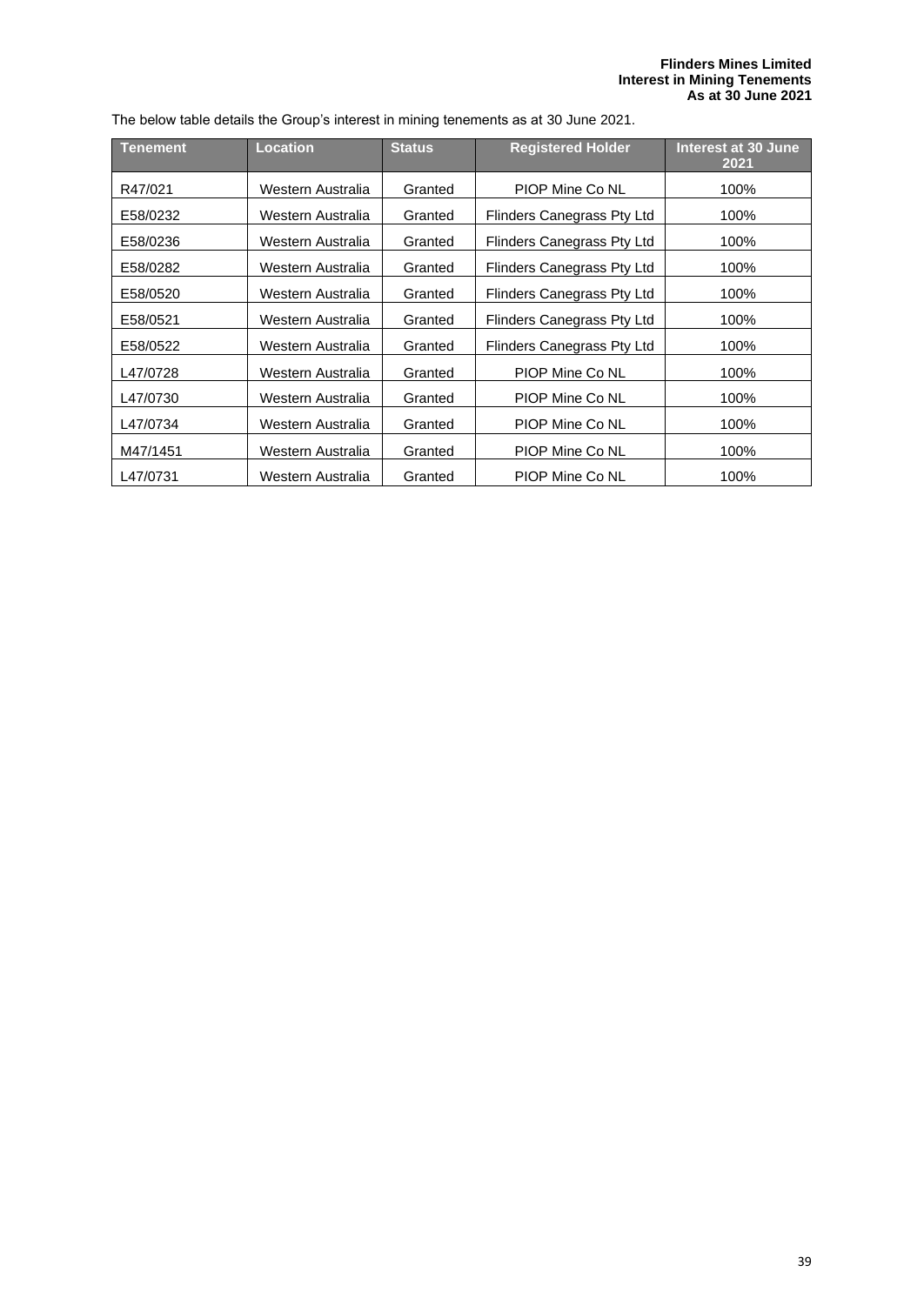#### **Flinders Mines Limited Interest in Mining Tenements As at 30 June 2021**

| The below table details the Group's interest in mining tenements as at 30 June 2021. |  |  |
|--------------------------------------------------------------------------------------|--|--|
|                                                                                      |  |  |

| Tenement | <b>Location</b>   | <b>Status</b> | <b>Registered Holder</b>   | Interest at 30 June<br>2021 |  |
|----------|-------------------|---------------|----------------------------|-----------------------------|--|
| R47/021  | Western Australia | Granted       | PIOP Mine Co NL            | 100%                        |  |
| E58/0232 | Western Australia | Granted       | Flinders Canegrass Pty Ltd | 100%                        |  |
| E58/0236 | Western Australia | Granted       | Flinders Canegrass Pty Ltd | 100%                        |  |
| E58/0282 | Western Australia | Granted       | Flinders Canegrass Pty Ltd | 100%                        |  |
| E58/0520 | Western Australia | Granted       | Flinders Canegrass Pty Ltd | 100%                        |  |
| E58/0521 | Western Australia | Granted       | Flinders Canegrass Pty Ltd | 100%                        |  |
| E58/0522 | Western Australia | Granted       | Flinders Canegrass Pty Ltd | 100%                        |  |
| L47/0728 | Western Australia | Granted       | PIOP Mine Co NL            | 100%                        |  |
| L47/0730 | Western Australia | Granted       | PIOP Mine Co NL            | 100%                        |  |
| L47/0734 | Western Australia | Granted       | PIOP Mine Co NL            | 100%                        |  |
| M47/1451 | Western Australia | Granted       | PIOP Mine Co NL            | 100%                        |  |
| L47/0731 | Western Australia | Granted       | PIOP Mine Co NL            | 100%                        |  |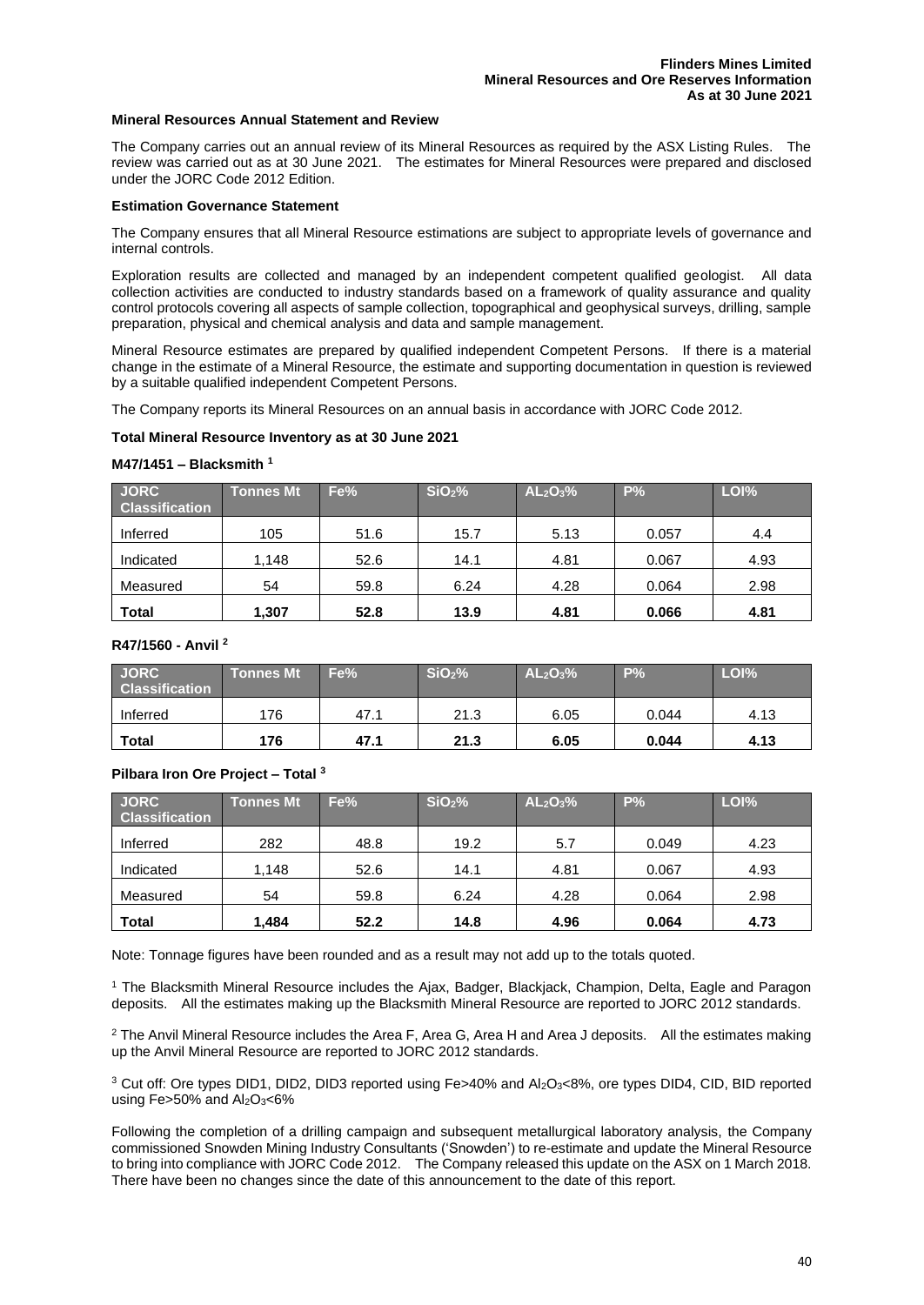#### **Mineral Resources Annual Statement and Review**

The Company carries out an annual review of its Mineral Resources as required by the ASX Listing Rules. The review was carried out as at 30 June 2021. The estimates for Mineral Resources were prepared and disclosed under the JORC Code 2012 Edition.

#### **Estimation Governance Statement**

The Company ensures that all Mineral Resource estimations are subject to appropriate levels of governance and internal controls.

Exploration results are collected and managed by an independent competent qualified geologist. All data collection activities are conducted to industry standards based on a framework of quality assurance and quality control protocols covering all aspects of sample collection, topographical and geophysical surveys, drilling, sample preparation, physical and chemical analysis and data and sample management.

Mineral Resource estimates are prepared by qualified independent Competent Persons. If there is a material change in the estimate of a Mineral Resource, the estimate and supporting documentation in question is reviewed by a suitable qualified independent Competent Persons.

The Company reports its Mineral Resources on an annual basis in accordance with JORC Code 2012.

#### **Total Mineral Resource Inventory as at 30 June 2021**

#### **M47/1451 – Blacksmith <sup>1</sup>**

| <b>JORC</b><br><b>Classification</b> | <b>Tonnes Mt</b> | Fe%  | SiO <sub>2</sub> % | AL <sub>2</sub> O <sub>3</sub> % | P%    | LOI% |
|--------------------------------------|------------------|------|--------------------|----------------------------------|-------|------|
| Inferred                             | 105              | 51.6 | 15.7               | 5.13                             | 0.057 | 4.4  |
| Indicated                            | 1,148            | 52.6 | 14.1               | 4.81                             | 0.067 | 4.93 |
| Measured                             | 54               | 59.8 | 6.24               | 4.28                             | 0.064 | 2.98 |
| <b>Total</b>                         | 1,307            | 52.8 | 13.9               | 4.81                             | 0.066 | 4.81 |

#### **R47/1560 - Anvil <sup>2</sup>**

| <b>JORC</b><br><b>Classification</b> | <b>Tonnes Mt</b> | Fe%  | SiO <sub>2</sub> % | AL <sub>2</sub> O <sub>3</sub> % | P%    | LOI% |
|--------------------------------------|------------------|------|--------------------|----------------------------------|-------|------|
| Inferred                             | 176              | 47.1 | 21.3               | 6.05                             | 0.044 | 4.13 |
| <b>Total</b>                         | 176              | 47.1 | 21.3               | 6.05                             | 0.044 | 4.13 |

#### **Pilbara Iron Ore Project – Total <sup>3</sup>**

| <b>JORC</b><br><b>Classification</b> | Tonnes Mt <sup>1</sup> | Fe%  | SiO <sub>2</sub> % | AL <sub>2</sub> O <sub>3</sub> % | $P\%$ | LOI% |
|--------------------------------------|------------------------|------|--------------------|----------------------------------|-------|------|
| Inferred                             | 282                    | 48.8 | 19.2               | 5.7                              | 0.049 | 4.23 |
| Indicated                            | 148. ا                 | 52.6 | 14.1               | 4.81                             | 0.067 | 4.93 |
| Measured                             | 54                     | 59.8 | 6.24               | 4.28                             | 0.064 | 2.98 |
| <b>Total</b>                         | 1,484                  | 52.2 | 14.8               | 4.96                             | 0.064 | 4.73 |

Note: Tonnage figures have been rounded and as a result may not add up to the totals quoted.

<sup>1</sup> The Blacksmith Mineral Resource includes the Ajax, Badger, Blackjack, Champion, Delta, Eagle and Paragon deposits. All the estimates making up the Blacksmith Mineral Resource are reported to JORC 2012 standards.

<sup>2</sup> The Anvil Mineral Resource includes the Area F, Area G, Area H and Area J deposits. All the estimates making up the Anvil Mineral Resource are reported to JORC 2012 standards.

<sup>3</sup> Cut off: Ore types DID1, DID2, DID3 reported using Fe>40% and Al<sub>2</sub>O<sub>3</sub><8%, ore types DID4, CID, BID reported using Fe $>50\%$  and Al<sub>2</sub>O<sub>3</sub><6%

Following the completion of a drilling campaign and subsequent metallurgical laboratory analysis, the Company commissioned Snowden Mining Industry Consultants ('Snowden') to re-estimate and update the Mineral Resource to bring into compliance with JORC Code 2012. The Company released this update on the ASX on 1 March 2018. There have been no changes since the date of this announcement to the date of this report.